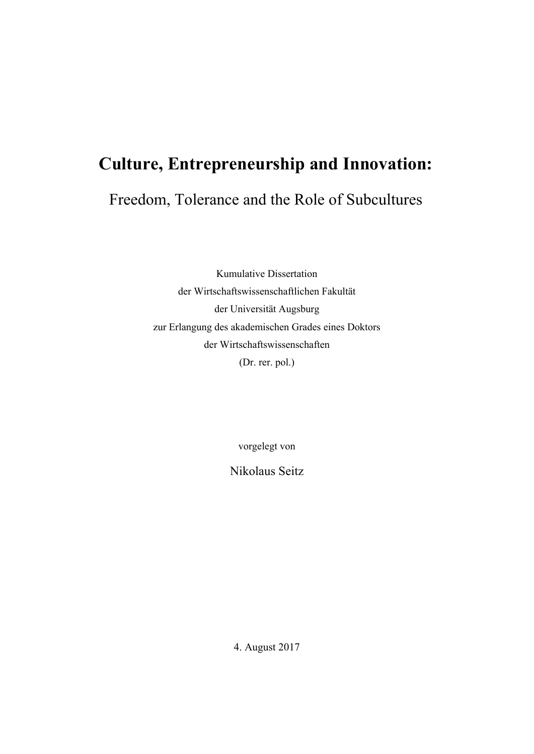# **Culture, Entrepreneurship and Innovation:**

# Freedom, Tolerance and the Role of Subcultures

Kumulative Dissertation der Wirtschaftswissenschaftlichen Fakultät der Universität Augsburg zur Erlangung des akademischen Grades eines Doktors der Wirtschaftswissenschaften (Dr. rer. pol.)

vorgelegt von

Nikolaus Seitz

4. August 2017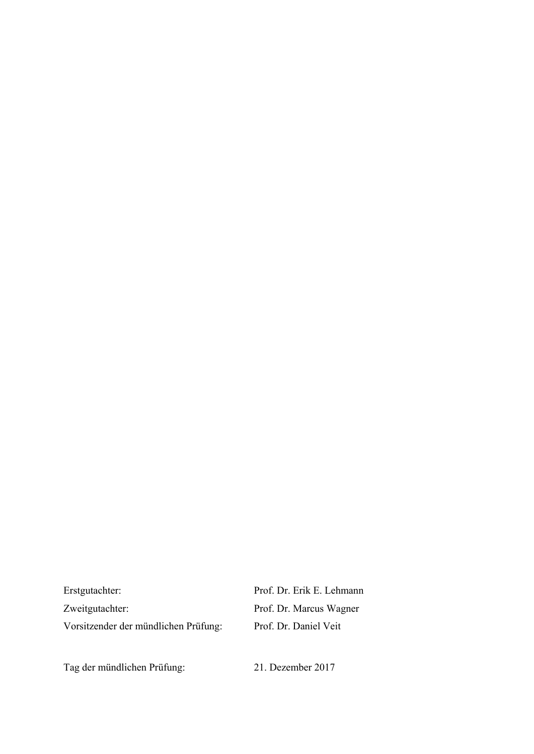Erstgutachter: Prof. Dr. Erik E. Lehmann Zweitgutachter: Prof. Dr. Marcus Wagner Vorsitzender der mündlichen Prüfung: Prof. Dr. Daniel Veit

Tag der mündlichen Prüfung: 21. Dezember 2017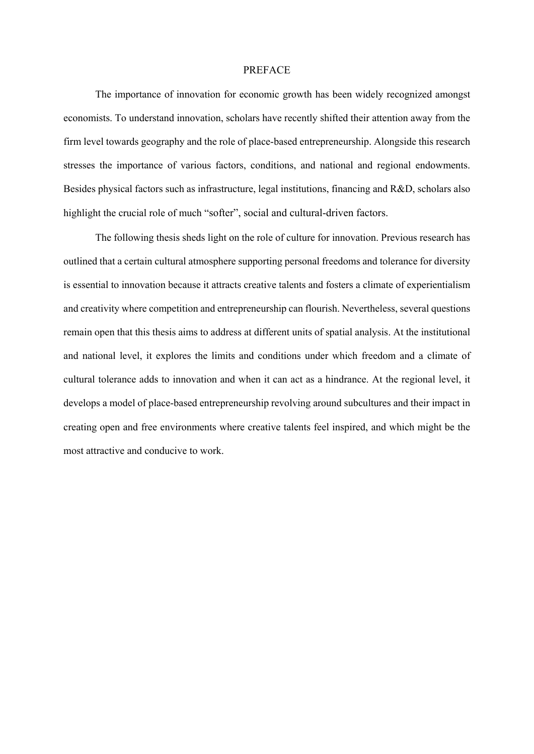#### PREFACE

The importance of innovation for economic growth has been widely recognized amongst economists. To understand innovation, scholars have recently shifted their attention away from the firm level towards geography and the role of place-based entrepreneurship. Alongside this research stresses the importance of various factors, conditions, and national and regional endowments. Besides physical factors such as infrastructure, legal institutions, financing and R&D, scholars also highlight the crucial role of much "softer", social and cultural-driven factors.

The following thesis sheds light on the role of culture for innovation. Previous research has outlined that a certain cultural atmosphere supporting personal freedoms and tolerance for diversity is essential to innovation because it attracts creative talents and fosters a climate of experientialism and creativity where competition and entrepreneurship can flourish. Nevertheless, several questions remain open that this thesis aims to address at different units of spatial analysis. At the institutional and national level, it explores the limits and conditions under which freedom and a climate of cultural tolerance adds to innovation and when it can act as a hindrance. At the regional level, it develops a model of place-based entrepreneurship revolving around subcultures and their impact in creating open and free environments where creative talents feel inspired, and which might be the most attractive and conducive to work.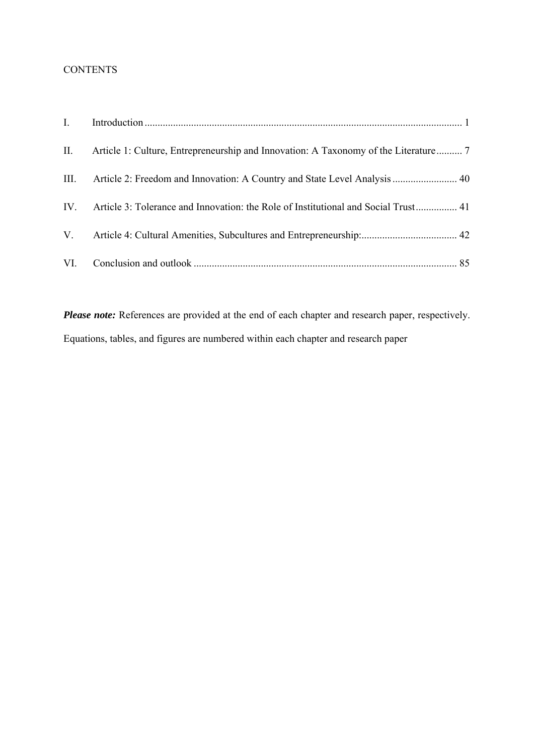# **CONTENTS**

| $\mathbf{I}$ . |                                                                                        |
|----------------|----------------------------------------------------------------------------------------|
| II.            | Article 1: Culture, Entrepreneurship and Innovation: A Taxonomy of the Literature 7    |
|                | III. Article 2: Freedom and Innovation: A Country and State Level Analysis  40         |
|                | IV. Article 3: Tolerance and Innovation: the Role of Institutional and Social Trust 41 |
| V.             |                                                                                        |
|                |                                                                                        |

*Please note:* References are provided at the end of each chapter and research paper, respectively. Equations, tables, and figures are numbered within each chapter and research paper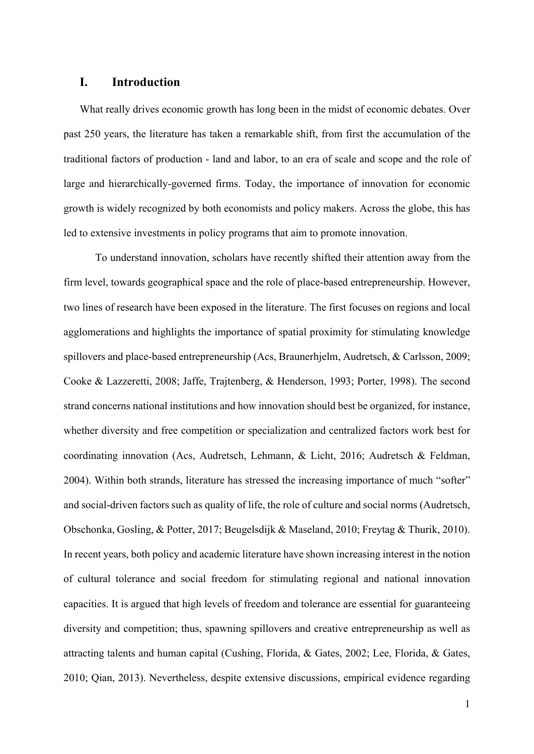#### **I. Introduction**

What really drives economic growth has long been in the midst of economic debates. Over past 250 years, the literature has taken a remarkable shift, from first the accumulation of the traditional factors of production - land and labor, to an era of scale and scope and the role of large and hierarchically-governed firms. Today, the importance of innovation for economic growth is widely recognized by both economists and policy makers. Across the globe, this has led to extensive investments in policy programs that aim to promote innovation.

To understand innovation, scholars have recently shifted their attention away from the firm level, towards geographical space and the role of place-based entrepreneurship. However, two lines of research have been exposed in the literature. The first focuses on regions and local agglomerations and highlights the importance of spatial proximity for stimulating knowledge spillovers and place-based entrepreneurship (Acs, Braunerhjelm, Audretsch, & Carlsson, 2009; Cooke & Lazzeretti, 2008; Jaffe, Trajtenberg, & Henderson, 1993; Porter, 1998). The second strand concerns national institutions and how innovation should best be organized, for instance, whether diversity and free competition or specialization and centralized factors work best for coordinating innovation (Acs, Audretsch, Lehmann, & Licht, 2016; Audretsch & Feldman, 2004). Within both strands, literature has stressed the increasing importance of much "softer" and social-driven factors such as quality of life, the role of culture and social norms (Audretsch, Obschonka, Gosling, & Potter, 2017; Beugelsdijk & Maseland, 2010; Freytag & Thurik, 2010). In recent years, both policy and academic literature have shown increasing interest in the notion of cultural tolerance and social freedom for stimulating regional and national innovation capacities. It is argued that high levels of freedom and tolerance are essential for guaranteeing diversity and competition; thus, spawning spillovers and creative entrepreneurship as well as attracting talents and human capital (Cushing, Florida, & Gates, 2002; Lee, Florida, & Gates, 2010; Qian, 2013). Nevertheless, despite extensive discussions, empirical evidence regarding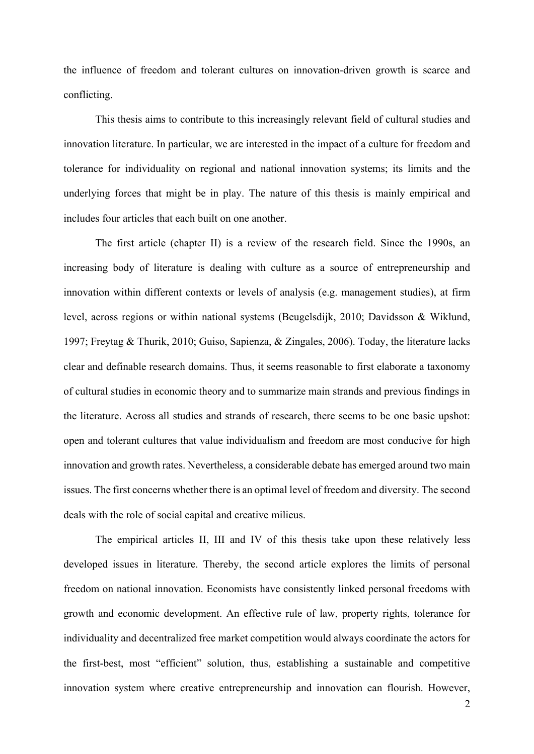the influence of freedom and tolerant cultures on innovation-driven growth is scarce and conflicting.

This thesis aims to contribute to this increasingly relevant field of cultural studies and innovation literature. In particular, we are interested in the impact of a culture for freedom and tolerance for individuality on regional and national innovation systems; its limits and the underlying forces that might be in play. The nature of this thesis is mainly empirical and includes four articles that each built on one another.

The first article (chapter II) is a review of the research field. Since the 1990s, an increasing body of literature is dealing with culture as a source of entrepreneurship and innovation within different contexts or levels of analysis (e.g. management studies), at firm level, across regions or within national systems (Beugelsdijk, 2010; Davidsson & Wiklund, 1997; Freytag & Thurik, 2010; Guiso, Sapienza, & Zingales, 2006). Today, the literature lacks clear and definable research domains. Thus, it seems reasonable to first elaborate a taxonomy of cultural studies in economic theory and to summarize main strands and previous findings in the literature. Across all studies and strands of research, there seems to be one basic upshot: open and tolerant cultures that value individualism and freedom are most conducive for high innovation and growth rates. Nevertheless, a considerable debate has emerged around two main issues. The first concerns whether there is an optimal level of freedom and diversity. The second deals with the role of social capital and creative milieus.

The empirical articles II, III and IV of this thesis take upon these relatively less developed issues in literature. Thereby, the second article explores the limits of personal freedom on national innovation. Economists have consistently linked personal freedoms with growth and economic development. An effective rule of law, property rights, tolerance for individuality and decentralized free market competition would always coordinate the actors for the first-best, most "efficient" solution, thus, establishing a sustainable and competitive innovation system where creative entrepreneurship and innovation can flourish. However,

2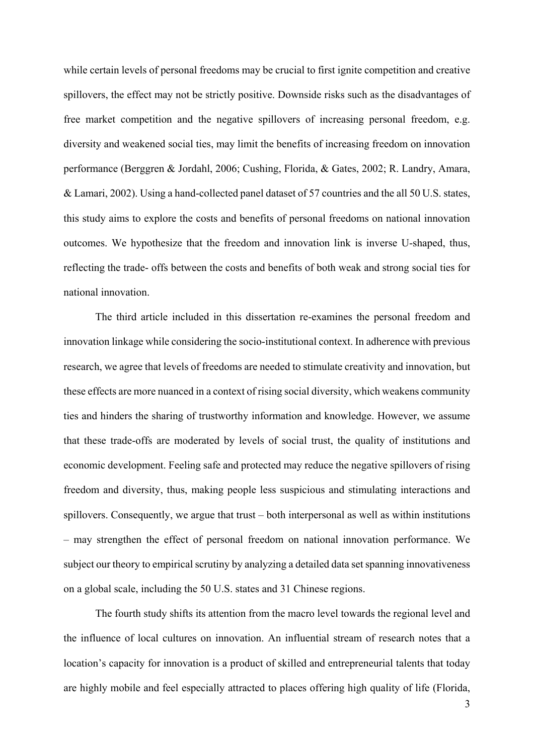while certain levels of personal freedoms may be crucial to first ignite competition and creative spillovers, the effect may not be strictly positive. Downside risks such as the disadvantages of free market competition and the negative spillovers of increasing personal freedom, e.g. diversity and weakened social ties, may limit the benefits of increasing freedom on innovation performance (Berggren & Jordahl, 2006; Cushing, Florida, & Gates, 2002; R. Landry, Amara, & Lamari, 2002). Using a hand-collected panel dataset of 57 countries and the all 50 U.S. states, this study aims to explore the costs and benefits of personal freedoms on national innovation outcomes. We hypothesize that the freedom and innovation link is inverse U-shaped, thus, reflecting the trade- offs between the costs and benefits of both weak and strong social ties for national innovation.

The third article included in this dissertation re-examines the personal freedom and innovation linkage while considering the socio-institutional context. In adherence with previous research, we agree that levels of freedoms are needed to stimulate creativity and innovation, but these effects are more nuanced in a context of rising social diversity, which weakens community ties and hinders the sharing of trustworthy information and knowledge. However, we assume that these trade-offs are moderated by levels of social trust, the quality of institutions and economic development. Feeling safe and protected may reduce the negative spillovers of rising freedom and diversity, thus, making people less suspicious and stimulating interactions and spillovers. Consequently, we argue that trust – both interpersonal as well as within institutions – may strengthen the effect of personal freedom on national innovation performance. We subject our theory to empirical scrutiny by analyzing a detailed data set spanning innovativeness on a global scale, including the 50 U.S. states and 31 Chinese regions.

The fourth study shifts its attention from the macro level towards the regional level and the influence of local cultures on innovation. An influential stream of research notes that a location's capacity for innovation is a product of skilled and entrepreneurial talents that today are highly mobile and feel especially attracted to places offering high quality of life (Florida,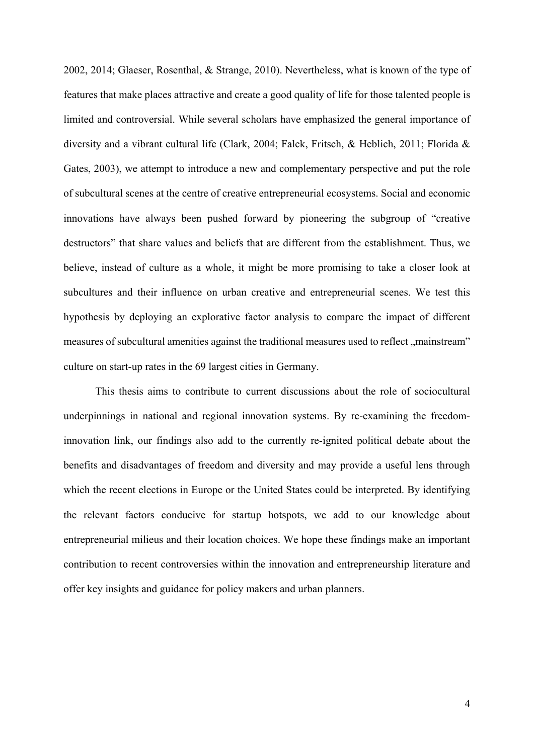2002, 2014; Glaeser, Rosenthal, & Strange, 2010). Nevertheless, what is known of the type of features that make places attractive and create a good quality of life for those talented people is limited and controversial. While several scholars have emphasized the general importance of diversity and a vibrant cultural life (Clark, 2004; Falck, Fritsch, & Heblich, 2011; Florida & Gates, 2003), we attempt to introduce a new and complementary perspective and put the role of subcultural scenes at the centre of creative entrepreneurial ecosystems. Social and economic innovations have always been pushed forward by pioneering the subgroup of "creative destructors" that share values and beliefs that are different from the establishment. Thus, we believe, instead of culture as a whole, it might be more promising to take a closer look at subcultures and their influence on urban creative and entrepreneurial scenes. We test this hypothesis by deploying an explorative factor analysis to compare the impact of different measures of subcultural amenities against the traditional measures used to reflect "mainstream" culture on start-up rates in the 69 largest cities in Germany.

This thesis aims to contribute to current discussions about the role of sociocultural underpinnings in national and regional innovation systems. By re-examining the freedominnovation link, our findings also add to the currently re-ignited political debate about the benefits and disadvantages of freedom and diversity and may provide a useful lens through which the recent elections in Europe or the United States could be interpreted. By identifying the relevant factors conducive for startup hotspots, we add to our knowledge about entrepreneurial milieus and their location choices. We hope these findings make an important contribution to recent controversies within the innovation and entrepreneurship literature and offer key insights and guidance for policy makers and urban planners.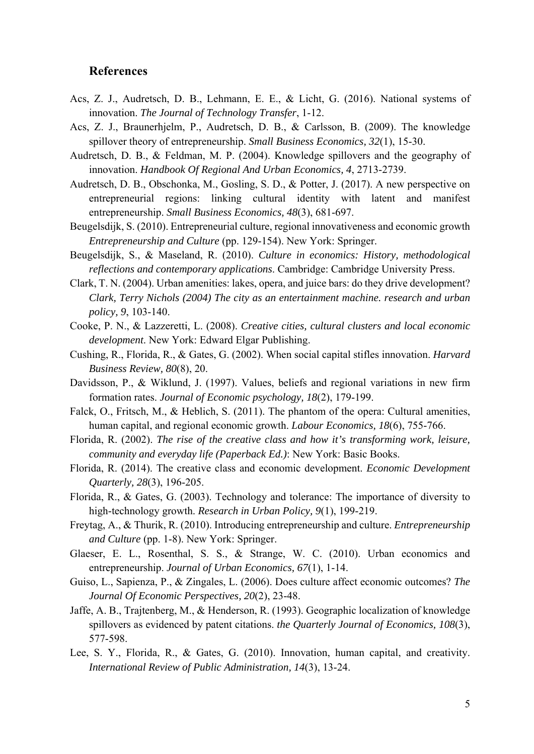### **References**

- Acs, Z. J., Audretsch, D. B., Lehmann, E. E., & Licht, G. (2016). National systems of innovation. *The Journal of Technology Transfer*, 1-12.
- Acs, Z. J., Braunerhjelm, P., Audretsch, D. B., & Carlsson, B. (2009). The knowledge spillover theory of entrepreneurship. *Small Business Economics, 32*(1), 15-30.
- Audretsch, D. B., & Feldman, M. P. (2004). Knowledge spillovers and the geography of innovation. *Handbook Of Regional And Urban Economics, 4*, 2713-2739.
- Audretsch, D. B., Obschonka, M., Gosling, S. D., & Potter, J. (2017). A new perspective on entrepreneurial regions: linking cultural identity with latent and manifest entrepreneurship. *Small Business Economics, 48*(3), 681-697.
- Beugelsdijk, S. (2010). Entrepreneurial culture, regional innovativeness and economic growth *Entrepreneurship and Culture* (pp. 129-154). New York: Springer.
- Beugelsdijk, S., & Maseland, R. (2010). *Culture in economics: History, methodological reflections and contemporary applications*. Cambridge: Cambridge University Press.
- Clark, T. N. (2004). Urban amenities: lakes, opera, and juice bars: do they drive development? *Clark, Terry Nichols (2004) The city as an entertainment machine. research and urban policy, 9*, 103-140.
- Cooke, P. N., & Lazzeretti, L. (2008). *Creative cities, cultural clusters and local economic development*. New York: Edward Elgar Publishing.
- Cushing, R., Florida, R., & Gates, G. (2002). When social capital stifles innovation. *Harvard Business Review, 80*(8), 20.
- Davidsson, P., & Wiklund, J. (1997). Values, beliefs and regional variations in new firm formation rates. *Journal of Economic psychology, 18*(2), 179-199.
- Falck, O., Fritsch, M., & Heblich, S. (2011). The phantom of the opera: Cultural amenities, human capital, and regional economic growth. *Labour Economics, 18*(6), 755-766.
- Florida, R. (2002). *The rise of the creative class and how it's transforming work, leisure, community and everyday life (Paperback Ed.)*: New York: Basic Books.
- Florida, R. (2014). The creative class and economic development. *Economic Development Quarterly, 28*(3), 196-205.
- Florida, R., & Gates, G. (2003). Technology and tolerance: The importance of diversity to high-technology growth. *Research in Urban Policy, 9*(1), 199-219.
- Freytag, A., & Thurik, R. (2010). Introducing entrepreneurship and culture. *Entrepreneurship and Culture* (pp. 1-8). New York: Springer.
- Glaeser, E. L., Rosenthal, S. S., & Strange, W. C. (2010). Urban economics and entrepreneurship. *Journal of Urban Economics, 67*(1), 1-14.
- Guiso, L., Sapienza, P., & Zingales, L. (2006). Does culture affect economic outcomes? *The Journal Of Economic Perspectives, 20*(2), 23-48.
- Jaffe, A. B., Trajtenberg, M., & Henderson, R. (1993). Geographic localization of knowledge spillovers as evidenced by patent citations. *the Quarterly Journal of Economics, 108*(3), 577-598.
- Lee, S. Y., Florida, R., & Gates, G. (2010). Innovation, human capital, and creativity. *International Review of Public Administration, 14*(3), 13-24.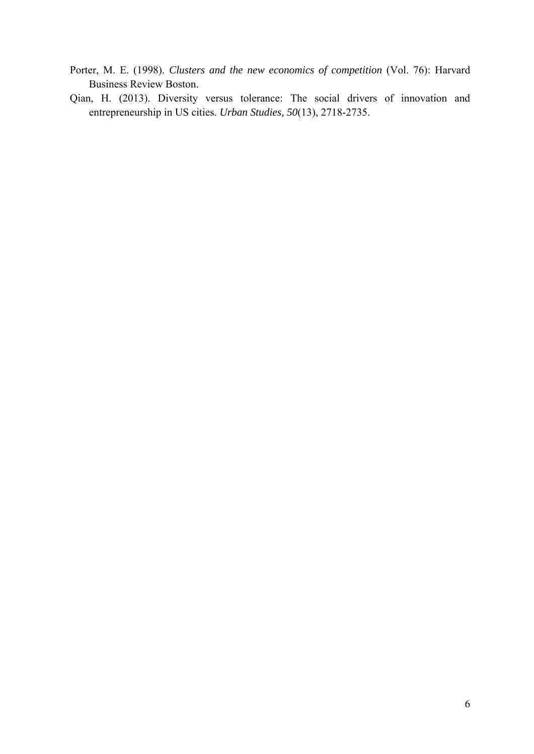- Porter, M. E. (1998). *Clusters and the new economics of competition* (Vol. 76): Harvard Business Review Boston.
- Qian, H. (2013). Diversity versus tolerance: The social drivers of innovation and entrepreneurship in US cities. *Urban Studies, 50*(13), 2718-2735.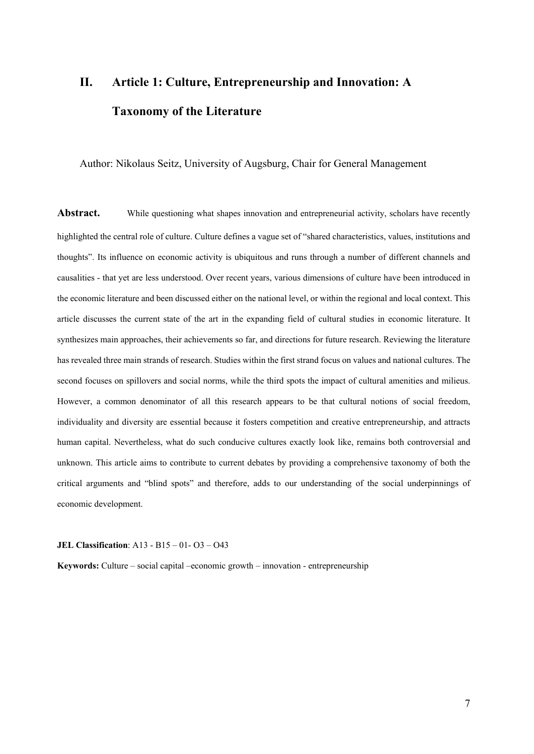# **II. Article 1: Culture, Entrepreneurship and Innovation: A Taxonomy of the Literature**

Author: Nikolaus Seitz, University of Augsburg, Chair for General Management

**Abstract.** While questioning what shapes innovation and entrepreneurial activity, scholars have recently highlighted the central role of culture. Culture defines a vague set of "shared characteristics, values, institutions and thoughts". Its influence on economic activity is ubiquitous and runs through a number of different channels and causalities - that yet are less understood. Over recent years, various dimensions of culture have been introduced in the economic literature and been discussed either on the national level, or within the regional and local context. This article discusses the current state of the art in the expanding field of cultural studies in economic literature. It synthesizes main approaches, their achievements so far, and directions for future research. Reviewing the literature has revealed three main strands of research. Studies within the first strand focus on values and national cultures. The second focuses on spillovers and social norms, while the third spots the impact of cultural amenities and milieus. However, a common denominator of all this research appears to be that cultural notions of social freedom, individuality and diversity are essential because it fosters competition and creative entrepreneurship, and attracts human capital. Nevertheless, what do such conducive cultures exactly look like, remains both controversial and unknown. This article aims to contribute to current debates by providing a comprehensive taxonomy of both the critical arguments and "blind spots" and therefore, adds to our understanding of the social underpinnings of economic development.

#### **JEL Classification**: A13 - B15 – 01- O3 – O43

**Keywords:** Culture – social capital –economic growth – innovation - entrepreneurship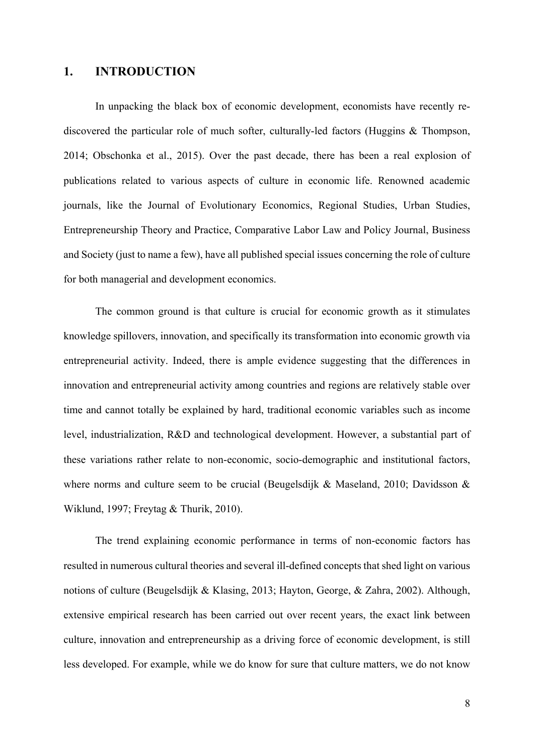### **1. INTRODUCTION**

In unpacking the black box of economic development, economists have recently rediscovered the particular role of much softer, culturally-led factors (Huggins & Thompson, 2014; Obschonka et al., 2015). Over the past decade, there has been a real explosion of publications related to various aspects of culture in economic life. Renowned academic journals, like the Journal of Evolutionary Economics, Regional Studies, Urban Studies, Entrepreneurship Theory and Practice, Comparative Labor Law and Policy Journal, Business and Society (just to name a few), have all published special issues concerning the role of culture for both managerial and development economics.

The common ground is that culture is crucial for economic growth as it stimulates knowledge spillovers, innovation, and specifically its transformation into economic growth via entrepreneurial activity. Indeed, there is ample evidence suggesting that the differences in innovation and entrepreneurial activity among countries and regions are relatively stable over time and cannot totally be explained by hard, traditional economic variables such as income level, industrialization, R&D and technological development. However, a substantial part of these variations rather relate to non-economic, socio-demographic and institutional factors, where norms and culture seem to be crucial (Beugelsdijk & Maseland, 2010; Davidsson & Wiklund, 1997; Freytag & Thurik, 2010).

The trend explaining economic performance in terms of non-economic factors has resulted in numerous cultural theories and several ill-defined concepts that shed light on various notions of culture (Beugelsdijk & Klasing, 2013; Hayton, George, & Zahra, 2002). Although, extensive empirical research has been carried out over recent years, the exact link between culture, innovation and entrepreneurship as a driving force of economic development, is still less developed. For example, while we do know for sure that culture matters, we do not know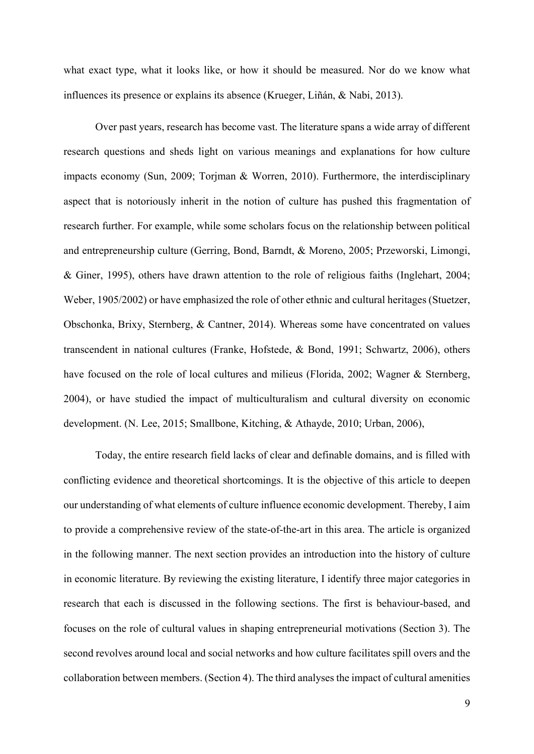what exact type, what it looks like, or how it should be measured. Nor do we know what influences its presence or explains its absence (Krueger, Liñán, & Nabi, 2013).

Over past years, research has become vast. The literature spans a wide array of different research questions and sheds light on various meanings and explanations for how culture impacts economy (Sun, 2009; Torjman & Worren, 2010). Furthermore, the interdisciplinary aspect that is notoriously inherit in the notion of culture has pushed this fragmentation of research further. For example, while some scholars focus on the relationship between political and entrepreneurship culture (Gerring, Bond, Barndt, & Moreno, 2005; Przeworski, Limongi, & Giner, 1995), others have drawn attention to the role of religious faiths (Inglehart, 2004; Weber, 1905/2002) or have emphasized the role of other ethnic and cultural heritages (Stuetzer, Obschonka, Brixy, Sternberg, & Cantner, 2014). Whereas some have concentrated on values transcendent in national cultures (Franke, Hofstede, & Bond, 1991; Schwartz, 2006), others have focused on the role of local cultures and milieus (Florida, 2002; Wagner & Sternberg, 2004), or have studied the impact of multiculturalism and cultural diversity on economic development. (N. Lee, 2015; Smallbone, Kitching, & Athayde, 2010; Urban, 2006),

Today, the entire research field lacks of clear and definable domains, and is filled with conflicting evidence and theoretical shortcomings. It is the objective of this article to deepen our understanding of what elements of culture influence economic development. Thereby, I aim to provide a comprehensive review of the state-of-the-art in this area. The article is organized in the following manner. The next section provides an introduction into the history of culture in economic literature. By reviewing the existing literature, I identify three major categories in research that each is discussed in the following sections. The first is behaviour-based, and focuses on the role of cultural values in shaping entrepreneurial motivations (Section 3). The second revolves around local and social networks and how culture facilitates spill overs and the collaboration between members. (Section 4). The third analyses the impact of cultural amenities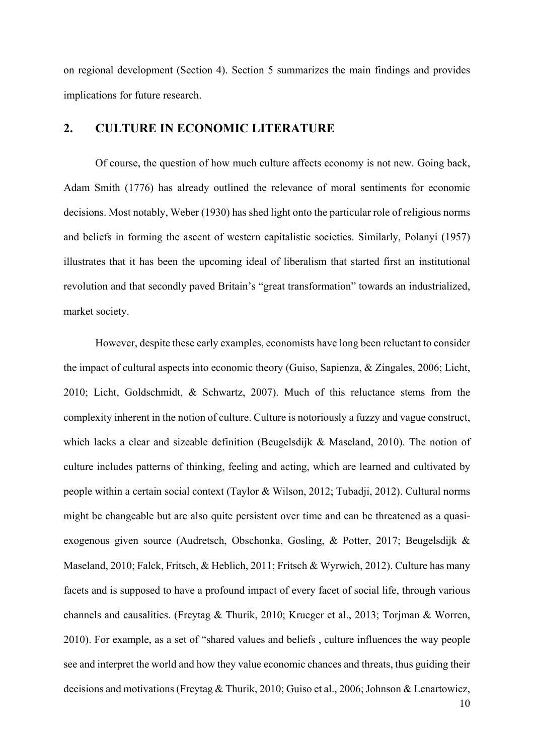on regional development (Section 4). Section 5 summarizes the main findings and provides implications for future research.

# **2. CULTURE IN ECONOMIC LITERATURE**

Of course, the question of how much culture affects economy is not new. Going back, Adam Smith (1776) has already outlined the relevance of moral sentiments for economic decisions. Most notably, Weber (1930) has shed light onto the particular role of religious norms and beliefs in forming the ascent of western capitalistic societies. Similarly, Polanyi (1957) illustrates that it has been the upcoming ideal of liberalism that started first an institutional revolution and that secondly paved Britain's "great transformation" towards an industrialized, market society.

However, despite these early examples, economists have long been reluctant to consider the impact of cultural aspects into economic theory (Guiso, Sapienza, & Zingales, 2006; Licht, 2010; Licht, Goldschmidt, & Schwartz, 2007). Much of this reluctance stems from the complexity inherent in the notion of culture. Culture is notoriously a fuzzy and vague construct, which lacks a clear and sizeable definition (Beugelsdijk & Maseland, 2010). The notion of culture includes patterns of thinking, feeling and acting, which are learned and cultivated by people within a certain social context (Taylor & Wilson, 2012; Tubadji, 2012). Cultural norms might be changeable but are also quite persistent over time and can be threatened as a quasiexogenous given source (Audretsch, Obschonka, Gosling, & Potter, 2017; Beugelsdijk & Maseland, 2010; Falck, Fritsch, & Heblich, 2011; Fritsch & Wyrwich, 2012). Culture has many facets and is supposed to have a profound impact of every facet of social life, through various channels and causalities. (Freytag & Thurik, 2010; Krueger et al., 2013; Torjman & Worren, 2010). For example, as a set of "shared values and beliefs , culture influences the way people see and interpret the world and how they value economic chances and threats, thus guiding their decisions and motivations (Freytag & Thurik, 2010; Guiso et al., 2006; Johnson & Lenartowicz,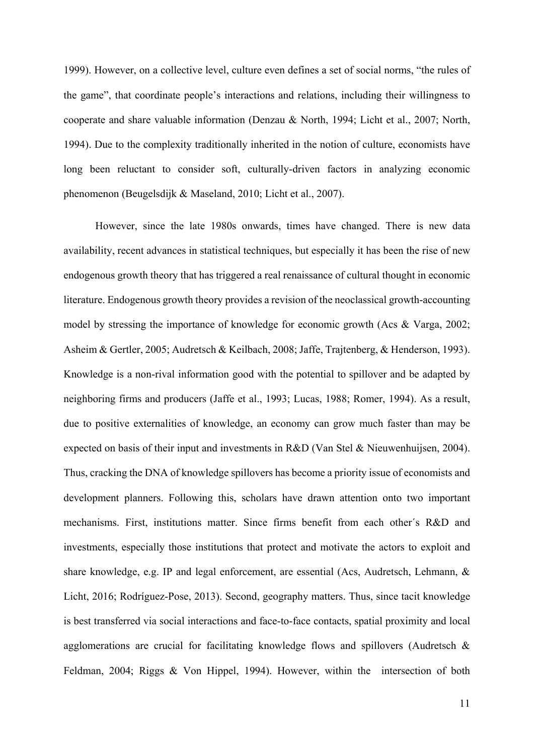1999). However, on a collective level, culture even defines a set of social norms, "the rules of the game", that coordinate people's interactions and relations, including their willingness to cooperate and share valuable information (Denzau & North, 1994; Licht et al., 2007; North, 1994). Due to the complexity traditionally inherited in the notion of culture, economists have long been reluctant to consider soft, culturally-driven factors in analyzing economic phenomenon (Beugelsdijk & Maseland, 2010; Licht et al., 2007).

However, since the late 1980s onwards, times have changed. There is new data availability, recent advances in statistical techniques, but especially it has been the rise of new endogenous growth theory that has triggered a real renaissance of cultural thought in economic literature. Endogenous growth theory provides a revision of the neoclassical growth-accounting model by stressing the importance of knowledge for economic growth (Acs & Varga, 2002; Asheim & Gertler, 2005; Audretsch & Keilbach, 2008; Jaffe, Trajtenberg, & Henderson, 1993). Knowledge is a non-rival information good with the potential to spillover and be adapted by neighboring firms and producers (Jaffe et al., 1993; Lucas, 1988; Romer, 1994). As a result, due to positive externalities of knowledge, an economy can grow much faster than may be expected on basis of their input and investments in R&D (Van Stel & Nieuwenhuijsen, 2004). Thus, cracking the DNA of knowledge spillovers has become a priority issue of economists and development planners. Following this, scholars have drawn attention onto two important mechanisms. First, institutions matter. Since firms benefit from each other´s R&D and investments, especially those institutions that protect and motivate the actors to exploit and share knowledge, e.g. IP and legal enforcement, are essential (Acs, Audretsch, Lehmann, & Licht, 2016; Rodríguez-Pose, 2013). Second, geography matters. Thus, since tacit knowledge is best transferred via social interactions and face-to-face contacts, spatial proximity and local agglomerations are crucial for facilitating knowledge flows and spillovers (Audretsch & Feldman, 2004; Riggs & Von Hippel, 1994). However, within the intersection of both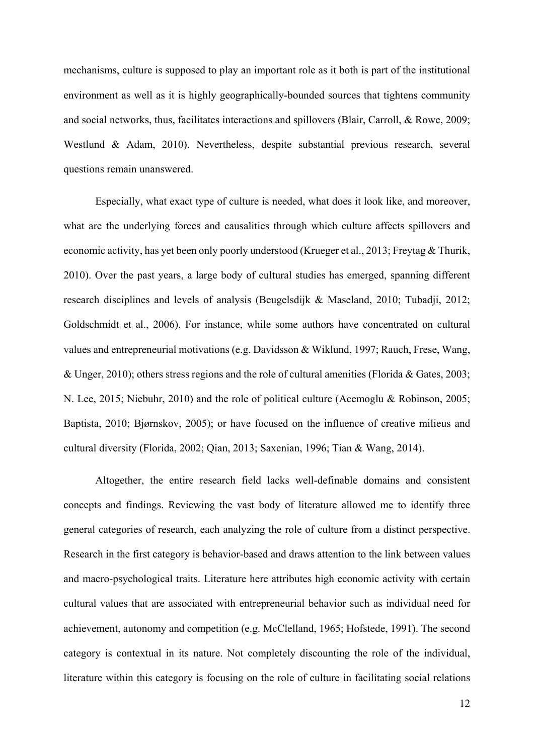mechanisms, culture is supposed to play an important role as it both is part of the institutional environment as well as it is highly geographically-bounded sources that tightens community and social networks, thus, facilitates interactions and spillovers (Blair, Carroll, & Rowe, 2009; Westlund & Adam, 2010). Nevertheless, despite substantial previous research, several questions remain unanswered.

Especially, what exact type of culture is needed, what does it look like, and moreover, what are the underlying forces and causalities through which culture affects spillovers and economic activity, has yet been only poorly understood (Krueger et al., 2013; Freytag & Thurik, 2010). Over the past years, a large body of cultural studies has emerged, spanning different research disciplines and levels of analysis (Beugelsdijk & Maseland, 2010; Tubadji, 2012; Goldschmidt et al., 2006). For instance, while some authors have concentrated on cultural values and entrepreneurial motivations (e.g. Davidsson & Wiklund, 1997; Rauch, Frese, Wang, & Unger, 2010); others stress regions and the role of cultural amenities (Florida & Gates, 2003; N. Lee, 2015; Niebuhr, 2010) and the role of political culture (Acemoglu & Robinson, 2005; Baptista, 2010; Bjørnskov, 2005); or have focused on the influence of creative milieus and cultural diversity (Florida, 2002; Qian, 2013; Saxenian, 1996; Tian & Wang, 2014).

Altogether, the entire research field lacks well-definable domains and consistent concepts and findings. Reviewing the vast body of literature allowed me to identify three general categories of research, each analyzing the role of culture from a distinct perspective. Research in the first category is behavior-based and draws attention to the link between values and macro-psychological traits. Literature here attributes high economic activity with certain cultural values that are associated with entrepreneurial behavior such as individual need for achievement, autonomy and competition (e.g. McClelland, 1965; Hofstede, 1991). The second category is contextual in its nature. Not completely discounting the role of the individual, literature within this category is focusing on the role of culture in facilitating social relations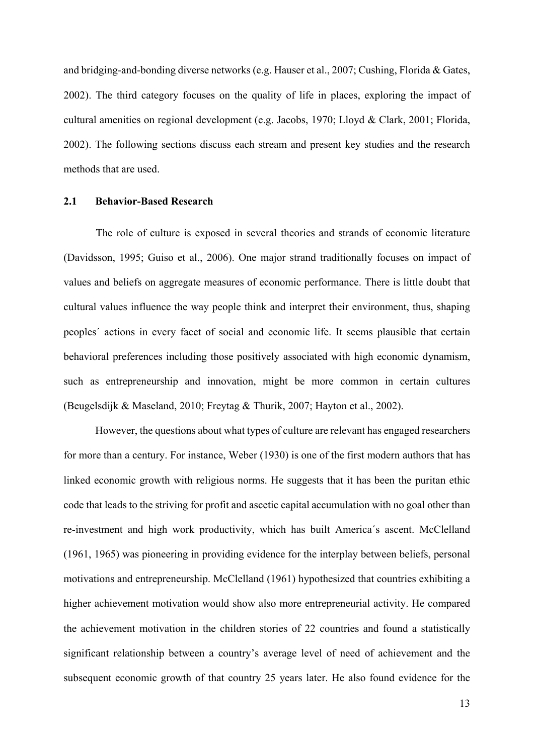and bridging-and-bonding diverse networks (e.g. Hauser et al., 2007; Cushing, Florida & Gates, 2002). The third category focuses on the quality of life in places, exploring the impact of cultural amenities on regional development (e.g. Jacobs, 1970; Lloyd & Clark, 2001; Florida, 2002). The following sections discuss each stream and present key studies and the research methods that are used.

#### **2.1 Behavior-Based Research**

The role of culture is exposed in several theories and strands of economic literature (Davidsson, 1995; Guiso et al., 2006). One major strand traditionally focuses on impact of values and beliefs on aggregate measures of economic performance. There is little doubt that cultural values influence the way people think and interpret their environment, thus, shaping peoples´ actions in every facet of social and economic life. It seems plausible that certain behavioral preferences including those positively associated with high economic dynamism, such as entrepreneurship and innovation, might be more common in certain cultures (Beugelsdijk & Maseland, 2010; Freytag & Thurik, 2007; Hayton et al., 2002).

However, the questions about what types of culture are relevant has engaged researchers for more than a century. For instance, Weber (1930) is one of the first modern authors that has linked economic growth with religious norms. He suggests that it has been the puritan ethic code that leads to the striving for profit and ascetic capital accumulation with no goal other than re-investment and high work productivity, which has built America´s ascent. McClelland (1961, 1965) was pioneering in providing evidence for the interplay between beliefs, personal motivations and entrepreneurship. McClelland (1961) hypothesized that countries exhibiting a higher achievement motivation would show also more entrepreneurial activity. He compared the achievement motivation in the children stories of 22 countries and found a statistically significant relationship between a country's average level of need of achievement and the subsequent economic growth of that country 25 years later. He also found evidence for the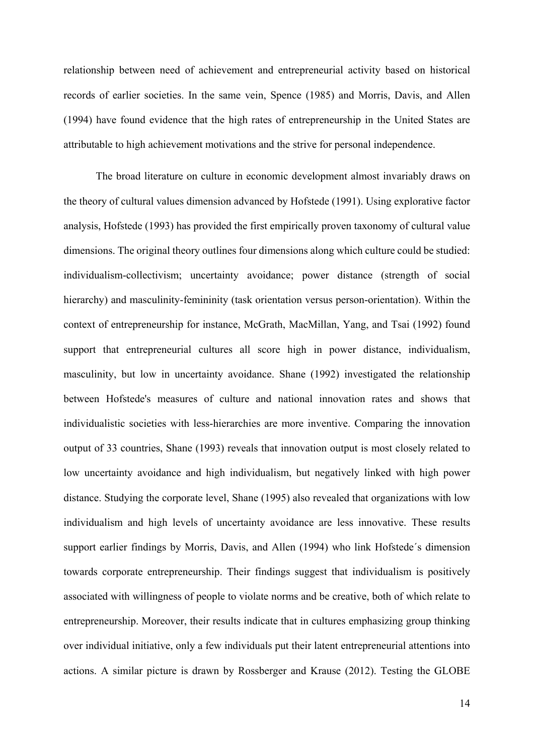relationship between need of achievement and entrepreneurial activity based on historical records of earlier societies. In the same vein, Spence (1985) and Morris, Davis, and Allen (1994) have found evidence that the high rates of entrepreneurship in the United States are attributable to high achievement motivations and the strive for personal independence.

The broad literature on culture in economic development almost invariably draws on the theory of cultural values dimension advanced by Hofstede (1991). Using explorative factor analysis, Hofstede (1993) has provided the first empirically proven taxonomy of cultural value dimensions. The original theory outlines four dimensions along which culture could be studied: individualism-collectivism; uncertainty avoidance; power distance (strength of social hierarchy) and masculinity-femininity (task orientation versus person-orientation). Within the context of entrepreneurship for instance, McGrath, MacMillan, Yang, and Tsai (1992) found support that entrepreneurial cultures all score high in power distance, individualism, masculinity, but low in uncertainty avoidance. Shane (1992) investigated the relationship between Hofstede's measures of culture and national innovation rates and shows that individualistic societies with less-hierarchies are more inventive. Comparing the innovation output of 33 countries, Shane (1993) reveals that innovation output is most closely related to low uncertainty avoidance and high individualism, but negatively linked with high power distance. Studying the corporate level, Shane (1995) also revealed that organizations with low individualism and high levels of uncertainty avoidance are less innovative. These results support earlier findings by Morris, Davis, and Allen (1994) who link Hofstede´s dimension towards corporate entrepreneurship. Their findings suggest that individualism is positively associated with willingness of people to violate norms and be creative, both of which relate to entrepreneurship. Moreover, their results indicate that in cultures emphasizing group thinking over individual initiative, only a few individuals put their latent entrepreneurial attentions into actions. A similar picture is drawn by Rossberger and Krause (2012). Testing the GLOBE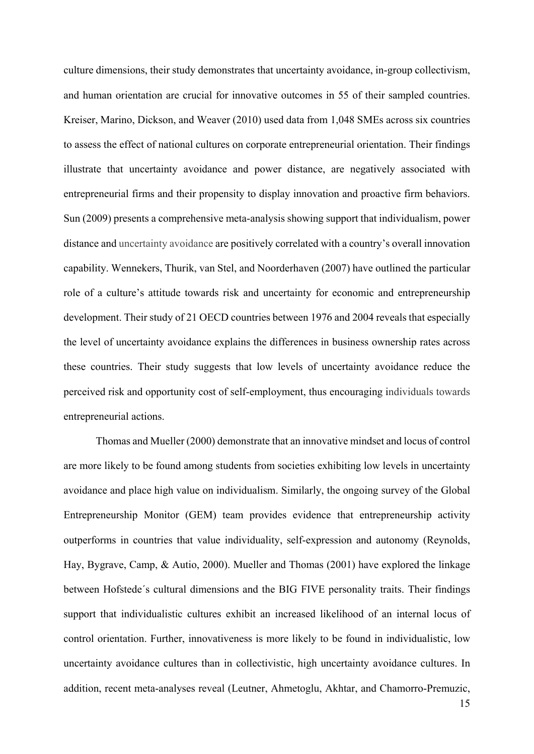culture dimensions, their study demonstrates that uncertainty avoidance, in-group collectivism, and human orientation are crucial for innovative outcomes in 55 of their sampled countries. Kreiser, Marino, Dickson, and Weaver (2010) used data from 1,048 SMEs across six countries to assess the effect of national cultures on corporate entrepreneurial orientation. Their findings illustrate that uncertainty avoidance and power distance, are negatively associated with entrepreneurial firms and their propensity to display innovation and proactive firm behaviors. Sun (2009) presents a comprehensive meta-analysis showing support that individualism, power distance and uncertainty avoidance are positively correlated with a country's overall innovation capability. Wennekers, Thurik, van Stel, and Noorderhaven (2007) have outlined the particular role of a culture's attitude towards risk and uncertainty for economic and entrepreneurship development. Their study of 21 OECD countries between 1976 and 2004 reveals that especially the level of uncertainty avoidance explains the differences in business ownership rates across these countries. Their study suggests that low levels of uncertainty avoidance reduce the perceived risk and opportunity cost of self-employment, thus encouraging individuals towards entrepreneurial actions.

Thomas and Mueller (2000) demonstrate that an innovative mindset and locus of control are more likely to be found among students from societies exhibiting low levels in uncertainty avoidance and place high value on individualism. Similarly, the ongoing survey of the Global Entrepreneurship Monitor (GEM) team provides evidence that entrepreneurship activity outperforms in countries that value individuality, self-expression and autonomy (Reynolds, Hay, Bygrave, Camp, & Autio, 2000). Mueller and Thomas (2001) have explored the linkage between Hofstede´s cultural dimensions and the BIG FIVE personality traits. Their findings support that individualistic cultures exhibit an increased likelihood of an internal locus of control orientation. Further, innovativeness is more likely to be found in individualistic, low uncertainty avoidance cultures than in collectivistic, high uncertainty avoidance cultures. In addition, recent meta-analyses reveal (Leutner, Ahmetoglu, Akhtar, and Chamorro-Premuzic,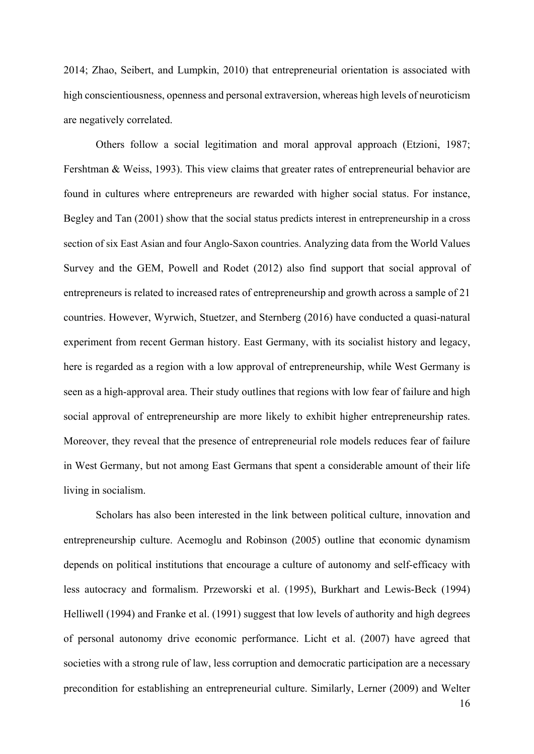2014; Zhao, Seibert, and Lumpkin, 2010) that entrepreneurial orientation is associated with high conscientiousness, openness and personal extraversion, whereas high levels of neuroticism are negatively correlated.

Others follow a social legitimation and moral approval approach (Etzioni, 1987; Fershtman & Weiss, 1993). This view claims that greater rates of entrepreneurial behavior are found in cultures where entrepreneurs are rewarded with higher social status. For instance, Begley and Tan (2001) show that the social status predicts interest in entrepreneurship in a cross section of six East Asian and four Anglo-Saxon countries. Analyzing data from the World Values Survey and the GEM, Powell and Rodet (2012) also find support that social approval of entrepreneurs is related to increased rates of entrepreneurship and growth across a sample of 21 countries. However, Wyrwich, Stuetzer, and Sternberg (2016) have conducted a quasi-natural experiment from recent German history. East Germany, with its socialist history and legacy, here is regarded as a region with a low approval of entrepreneurship, while West Germany is seen as a high-approval area. Their study outlines that regions with low fear of failure and high social approval of entrepreneurship are more likely to exhibit higher entrepreneurship rates. Moreover, they reveal that the presence of entrepreneurial role models reduces fear of failure in West Germany, but not among East Germans that spent a considerable amount of their life living in socialism.

Scholars has also been interested in the link between political culture, innovation and entrepreneurship culture. Acemoglu and Robinson (2005) outline that economic dynamism depends on political institutions that encourage a culture of autonomy and self-efficacy with less autocracy and formalism. Przeworski et al. (1995), Burkhart and Lewis-Beck (1994) Helliwell (1994) and Franke et al. (1991) suggest that low levels of authority and high degrees of personal autonomy drive economic performance. Licht et al. (2007) have agreed that societies with a strong rule of law, less corruption and democratic participation are a necessary precondition for establishing an entrepreneurial culture. Similarly, Lerner (2009) and Welter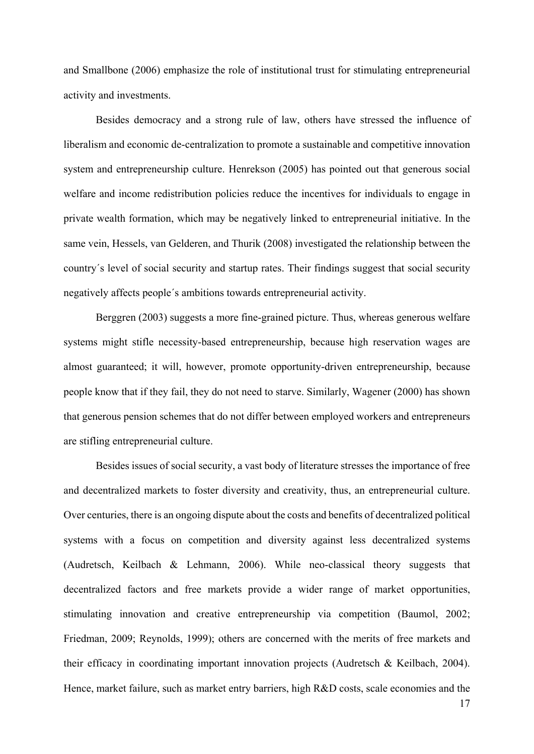and Smallbone (2006) emphasize the role of institutional trust for stimulating entrepreneurial activity and investments.

Besides democracy and a strong rule of law, others have stressed the influence of liberalism and economic de-centralization to promote a sustainable and competitive innovation system and entrepreneurship culture. Henrekson (2005) has pointed out that generous social welfare and income redistribution policies reduce the incentives for individuals to engage in private wealth formation, which may be negatively linked to entrepreneurial initiative. In the same vein, Hessels, van Gelderen, and Thurik (2008) investigated the relationship between the country´s level of social security and startup rates. Their findings suggest that social security negatively affects people´s ambitions towards entrepreneurial activity.

Berggren (2003) suggests a more fine-grained picture. Thus, whereas generous welfare systems might stifle necessity-based entrepreneurship, because high reservation wages are almost guaranteed; it will, however, promote opportunity-driven entrepreneurship, because people know that if they fail, they do not need to starve. Similarly, Wagener (2000) has shown that generous pension schemes that do not differ between employed workers and entrepreneurs are stifling entrepreneurial culture.

Besides issues of social security, a vast body of literature stresses the importance of free and decentralized markets to foster diversity and creativity, thus, an entrepreneurial culture. Over centuries, there is an ongoing dispute about the costs and benefits of decentralized political systems with a focus on competition and diversity against less decentralized systems (Audretsch, Keilbach & Lehmann, 2006). While neo-classical theory suggests that decentralized factors and free markets provide a wider range of market opportunities, stimulating innovation and creative entrepreneurship via competition (Baumol, 2002; Friedman, 2009; Reynolds, 1999); others are concerned with the merits of free markets and their efficacy in coordinating important innovation projects (Audretsch & Keilbach, 2004). Hence, market failure, such as market entry barriers, high R&D costs, scale economies and the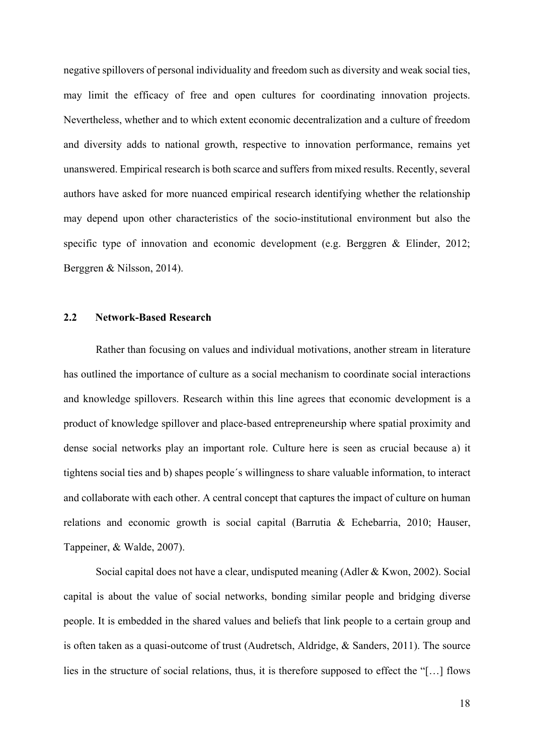negative spillovers of personal individuality and freedom such as diversity and weak social ties, may limit the efficacy of free and open cultures for coordinating innovation projects. Nevertheless, whether and to which extent economic decentralization and a culture of freedom and diversity adds to national growth, respective to innovation performance, remains yet unanswered. Empirical research is both scarce and suffers from mixed results. Recently, several authors have asked for more nuanced empirical research identifying whether the relationship may depend upon other characteristics of the socio-institutional environment but also the specific type of innovation and economic development (e.g. Berggren & Elinder, 2012; Berggren & Nilsson, 2014).

#### **2.2 Network-Based Research**

Rather than focusing on values and individual motivations, another stream in literature has outlined the importance of culture as a social mechanism to coordinate social interactions and knowledge spillovers. Research within this line agrees that economic development is a product of knowledge spillover and place-based entrepreneurship where spatial proximity and dense social networks play an important role. Culture here is seen as crucial because a) it tightens social ties and b) shapes people´s willingness to share valuable information, to interact and collaborate with each other. A central concept that captures the impact of culture on human relations and economic growth is social capital (Barrutia & Echebarria, 2010; Hauser, Tappeiner, & Walde, 2007).

Social capital does not have a clear, undisputed meaning (Adler & Kwon, 2002). Social capital is about the value of social networks, bonding similar people and bridging diverse people. It is embedded in the shared values and beliefs that link people to a certain group and is often taken as a quasi-outcome of trust (Audretsch, Aldridge, & Sanders, 2011). The source lies in the structure of social relations, thus, it is therefore supposed to effect the "[…] flows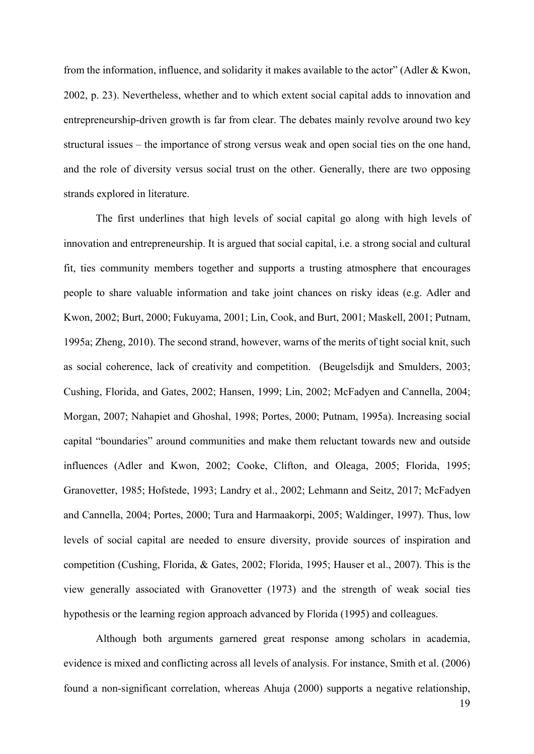from the information, influence, and solidarity it makes available to the actor" (Adler & Kwon, 2002, p. 23). Nevertheless, whether and to which extent social capital adds to innovation and entrepreneurship-driven growth is far from clear. The debates mainly revolve around two key structural issues – the importance of strong versus weak and open social ties on the one hand, and the role of diversity versus social trust on the other. Generally, there are two opposing strands explored in literature.

The first underlines that high levels of social capital go along with high levels of innovation and entrepreneurship. It is argued that social capital, i.e. a strong social and cultural fit, ties community members together and supports a trusting atmosphere that encourages people to share valuable information and take joint chances on risky ideas (e.g. Adler and Kwon, 2002; Burt, 2000; Fukuyama, 2001; Lin, Cook, and Burt, 2001; Maskell, 2001; Putnam, 1995a; Zheng, 2010). The second strand, however, warns of the merits of tight social knit, such as social coherence, lack of creativity and competition. (Beugelsdijk and Smulders, 2003; Cushing, Florida, and Gates, 2002; Hansen, 1999; Lin, 2002; McFadyen and Cannella, 2004; Morgan, 2007; Nahapiet and Ghoshal, 1998; Portes, 2000; Putnam, 1995a). Increasing social capital "boundaries" around communities and make them reluctant towards new and outside influences (Adler and Kwon, 2002; Cooke, Clifton, and Oleaga, 2005; Florida, 1995; Granovetter, 1985; Hofstede, 1993; Landry et al., 2002; Lehmann and Seitz, 2017; McFadyen and Cannella, 2004; Portes, 2000; Tura and Harmaakorpi, 2005; Waldinger, 1997). Thus, low levels of social capital are needed to ensure diversity, provide sources of inspiration and competition (Cushing, Florida, & Gates, 2002; Florida, 1995; Hauser et al., 2007). This is the view generally associated with Granovetter (1973) and the strength of weak social ties hypothesis or the learning region approach advanced by Florida (1995) and colleagues.

Although both arguments garnered great response among scholars in academia, evidence is mixed and conflicting across all levels of analysis. For instance, Smith et al. (2006) found a non-significant correlation, whereas Ahuja (2000) supports a negative relationship,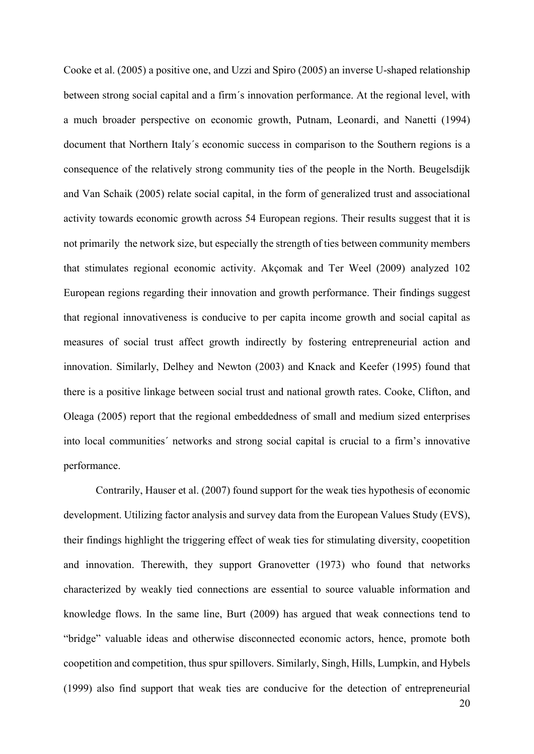Cooke et al. (2005) a positive one, and Uzzi and Spiro (2005) an inverse U-shaped relationship between strong social capital and a firm´s innovation performance. At the regional level, with a much broader perspective on economic growth, Putnam, Leonardi, and Nanetti (1994) document that Northern Italy´s economic success in comparison to the Southern regions is a consequence of the relatively strong community ties of the people in the North. Beugelsdijk and Van Schaik (2005) relate social capital, in the form of generalized trust and associational activity towards economic growth across 54 European regions. Their results suggest that it is not primarily the network size, but especially the strength of ties between community members that stimulates regional economic activity. Akçomak and Ter Weel (2009) analyzed 102 European regions regarding their innovation and growth performance. Their findings suggest that regional innovativeness is conducive to per capita income growth and social capital as measures of social trust affect growth indirectly by fostering entrepreneurial action and innovation. Similarly, Delhey and Newton (2003) and Knack and Keefer (1995) found that there is a positive linkage between social trust and national growth rates. Cooke, Clifton, and Oleaga (2005) report that the regional embeddedness of small and medium sized enterprises into local communities´ networks and strong social capital is crucial to a firm's innovative performance.

Contrarily, Hauser et al. (2007) found support for the weak ties hypothesis of economic development. Utilizing factor analysis and survey data from the European Values Study (EVS), their findings highlight the triggering effect of weak ties for stimulating diversity, coopetition and innovation. Therewith, they support Granovetter (1973) who found that networks characterized by weakly tied connections are essential to source valuable information and knowledge flows. In the same line, Burt (2009) has argued that weak connections tend to "bridge" valuable ideas and otherwise disconnected economic actors, hence, promote both coopetition and competition, thus spur spillovers. Similarly, Singh, Hills, Lumpkin, and Hybels (1999) also find support that weak ties are conducive for the detection of entrepreneurial

20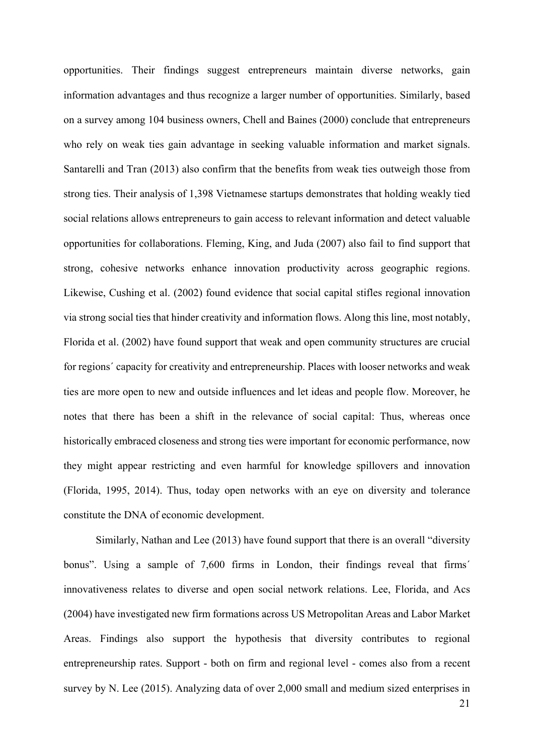opportunities. Their findings suggest entrepreneurs maintain diverse networks, gain information advantages and thus recognize a larger number of opportunities. Similarly, based on a survey among 104 business owners, Chell and Baines (2000) conclude that entrepreneurs who rely on weak ties gain advantage in seeking valuable information and market signals. Santarelli and Tran (2013) also confirm that the benefits from weak ties outweigh those from strong ties. Their analysis of 1,398 Vietnamese startups demonstrates that holding weakly tied social relations allows entrepreneurs to gain access to relevant information and detect valuable opportunities for collaborations. Fleming, King, and Juda (2007) also fail to find support that strong, cohesive networks enhance innovation productivity across geographic regions. Likewise, Cushing et al. (2002) found evidence that social capital stifles regional innovation via strong social ties that hinder creativity and information flows. Along this line, most notably, Florida et al. (2002) have found support that weak and open community structures are crucial for regions´ capacity for creativity and entrepreneurship. Places with looser networks and weak ties are more open to new and outside influences and let ideas and people flow. Moreover, he notes that there has been a shift in the relevance of social capital: Thus, whereas once historically embraced closeness and strong ties were important for economic performance, now they might appear restricting and even harmful for knowledge spillovers and innovation (Florida, 1995, 2014). Thus, today open networks with an eye on diversity and tolerance constitute the DNA of economic development.

Similarly, Nathan and Lee (2013) have found support that there is an overall "diversity bonus". Using a sample of 7,600 firms in London, their findings reveal that firms' innovativeness relates to diverse and open social network relations. Lee, Florida, and Acs (2004) have investigated new firm formations across US Metropolitan Areas and Labor Market Areas. Findings also support the hypothesis that diversity contributes to regional entrepreneurship rates. Support - both on firm and regional level - comes also from a recent survey by N. Lee (2015). Analyzing data of over 2,000 small and medium sized enterprises in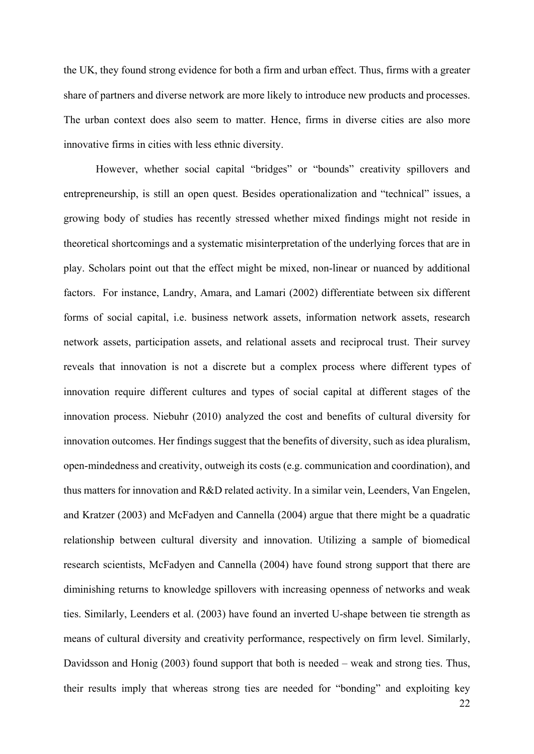the UK, they found strong evidence for both a firm and urban effect. Thus, firms with a greater share of partners and diverse network are more likely to introduce new products and processes. The urban context does also seem to matter. Hence, firms in diverse cities are also more innovative firms in cities with less ethnic diversity.

However, whether social capital "bridges" or "bounds" creativity spillovers and entrepreneurship, is still an open quest. Besides operationalization and "technical" issues, a growing body of studies has recently stressed whether mixed findings might not reside in theoretical shortcomings and a systematic misinterpretation of the underlying forces that are in play. Scholars point out that the effect might be mixed, non-linear or nuanced by additional factors. For instance, Landry, Amara, and Lamari (2002) differentiate between six different forms of social capital, i.e. business network assets, information network assets, research network assets, participation assets, and relational assets and reciprocal trust. Their survey reveals that innovation is not a discrete but a complex process where different types of innovation require different cultures and types of social capital at different stages of the innovation process. Niebuhr (2010) analyzed the cost and benefits of cultural diversity for innovation outcomes. Her findings suggest that the benefits of diversity, such as idea pluralism, open-mindedness and creativity, outweigh its costs (e.g. communication and coordination), and thus matters for innovation and R&D related activity. In a similar vein, Leenders, Van Engelen, and Kratzer (2003) and McFadyen and Cannella (2004) argue that there might be a quadratic relationship between cultural diversity and innovation. Utilizing a sample of biomedical research scientists, McFadyen and Cannella (2004) have found strong support that there are diminishing returns to knowledge spillovers with increasing openness of networks and weak ties. Similarly, Leenders et al. (2003) have found an inverted U-shape between tie strength as means of cultural diversity and creativity performance, respectively on firm level. Similarly, Davidsson and Honig (2003) found support that both is needed – weak and strong ties. Thus, their results imply that whereas strong ties are needed for "bonding" and exploiting key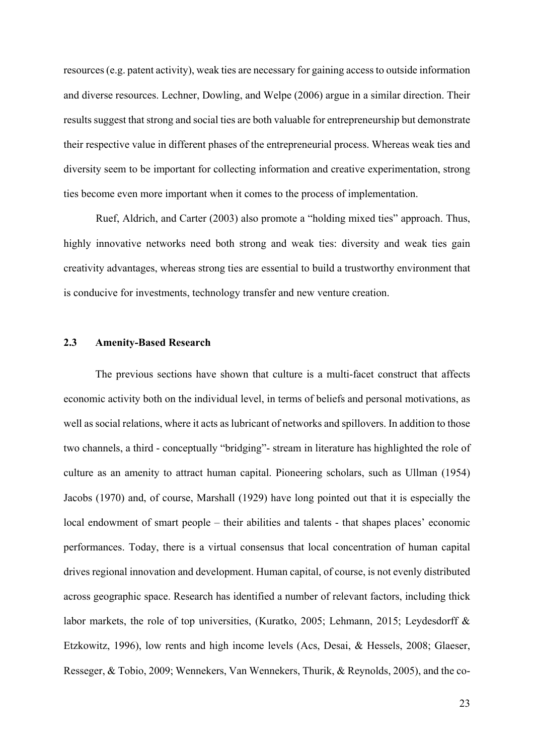resources (e.g. patent activity), weak ties are necessary for gaining access to outside information and diverse resources. Lechner, Dowling, and Welpe (2006) argue in a similar direction. Their results suggest that strong and social ties are both valuable for entrepreneurship but demonstrate their respective value in different phases of the entrepreneurial process. Whereas weak ties and diversity seem to be important for collecting information and creative experimentation, strong ties become even more important when it comes to the process of implementation.

Ruef, Aldrich, and Carter (2003) also promote a "holding mixed ties" approach. Thus, highly innovative networks need both strong and weak ties: diversity and weak ties gain creativity advantages, whereas strong ties are essential to build a trustworthy environment that is conducive for investments, technology transfer and new venture creation.

#### **2.3 Amenity-Based Research**

The previous sections have shown that culture is a multi-facet construct that affects economic activity both on the individual level, in terms of beliefs and personal motivations, as well as social relations, where it acts as lubricant of networks and spillovers. In addition to those two channels, a third - conceptually "bridging"- stream in literature has highlighted the role of culture as an amenity to attract human capital. Pioneering scholars, such as Ullman (1954) Jacobs (1970) and, of course, Marshall (1929) have long pointed out that it is especially the local endowment of smart people – their abilities and talents - that shapes places' economic performances. Today, there is a virtual consensus that local concentration of human capital drives regional innovation and development. Human capital, of course, is not evenly distributed across geographic space. Research has identified a number of relevant factors, including thick labor markets, the role of top universities, (Kuratko, 2005; Lehmann, 2015; Leydesdorff & Etzkowitz, 1996), low rents and high income levels (Acs, Desai, & Hessels, 2008; Glaeser, Resseger, & Tobio, 2009; Wennekers, Van Wennekers, Thurik, & Reynolds, 2005), and the co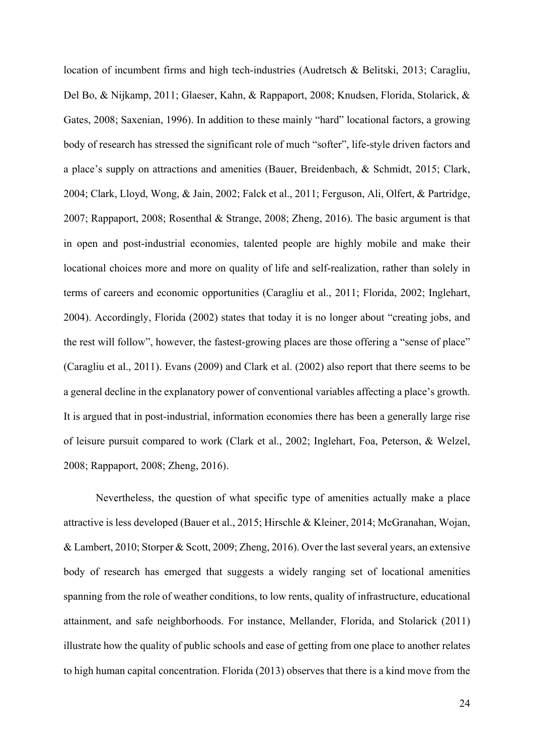location of incumbent firms and high tech-industries (Audretsch & Belitski, 2013; Caragliu, Del Bo, & Nijkamp, 2011; Glaeser, Kahn, & Rappaport, 2008; Knudsen, Florida, Stolarick, & Gates, 2008; Saxenian, 1996). In addition to these mainly "hard" locational factors, a growing body of research has stressed the significant role of much "softer", life-style driven factors and a place's supply on attractions and amenities (Bauer, Breidenbach, & Schmidt, 2015; Clark, 2004; Clark, Lloyd, Wong, & Jain, 2002; Falck et al., 2011; Ferguson, Ali, Olfert, & Partridge, 2007; Rappaport, 2008; Rosenthal & Strange, 2008; Zheng, 2016). The basic argument is that in open and post-industrial economies, talented people are highly mobile and make their locational choices more and more on quality of life and self-realization, rather than solely in terms of careers and economic opportunities (Caragliu et al., 2011; Florida, 2002; Inglehart, 2004). Accordingly, Florida (2002) states that today it is no longer about "creating jobs, and the rest will follow", however, the fastest-growing places are those offering a "sense of place" (Caragliu et al., 2011). Evans (2009) and Clark et al. (2002) also report that there seems to be a general decline in the explanatory power of conventional variables affecting a place's growth. It is argued that in post-industrial, information economies there has been a generally large rise of leisure pursuit compared to work (Clark et al., 2002; Inglehart, Foa, Peterson, & Welzel, 2008; Rappaport, 2008; Zheng, 2016).

Nevertheless, the question of what specific type of amenities actually make a place attractive is less developed (Bauer et al., 2015; Hirschle & Kleiner, 2014; McGranahan, Wojan, & Lambert, 2010; Storper & Scott, 2009; Zheng, 2016). Over the last several years, an extensive body of research has emerged that suggests a widely ranging set of locational amenities spanning from the role of weather conditions, to low rents, quality of infrastructure, educational attainment, and safe neighborhoods. For instance, Mellander, Florida, and Stolarick (2011) illustrate how the quality of public schools and ease of getting from one place to another relates to high human capital concentration. Florida (2013) observes that there is a kind move from the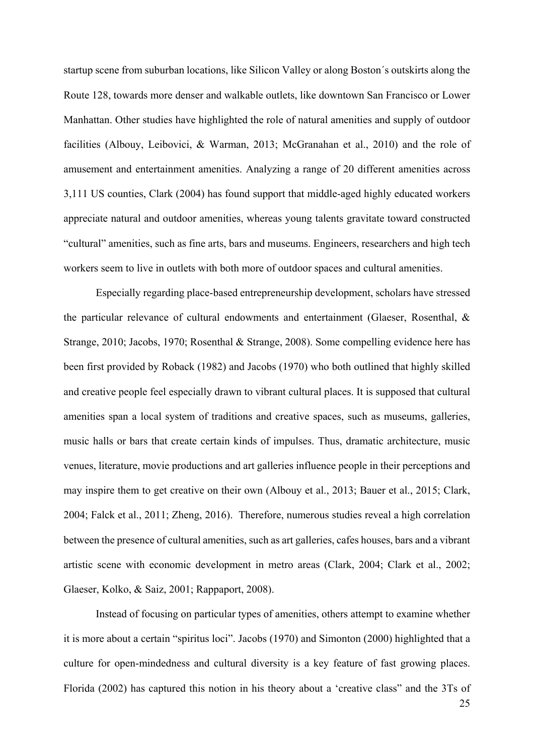startup scene from suburban locations, like Silicon Valley or along Boston´s outskirts along the Route 128, towards more denser and walkable outlets, like downtown San Francisco or Lower Manhattan. Other studies have highlighted the role of natural amenities and supply of outdoor facilities (Albouy, Leibovici, & Warman, 2013; McGranahan et al., 2010) and the role of amusement and entertainment amenities. Analyzing a range of 20 different amenities across 3,111 US counties, Clark (2004) has found support that middle-aged highly educated workers appreciate natural and outdoor amenities, whereas young talents gravitate toward constructed "cultural" amenities, such as fine arts, bars and museums. Engineers, researchers and high tech workers seem to live in outlets with both more of outdoor spaces and cultural amenities.

Especially regarding place-based entrepreneurship development, scholars have stressed the particular relevance of cultural endowments and entertainment (Glaeser, Rosenthal, & Strange, 2010; Jacobs, 1970; Rosenthal & Strange, 2008). Some compelling evidence here has been first provided by Roback (1982) and Jacobs (1970) who both outlined that highly skilled and creative people feel especially drawn to vibrant cultural places. It is supposed that cultural amenities span a local system of traditions and creative spaces, such as museums, galleries, music halls or bars that create certain kinds of impulses. Thus, dramatic architecture, music venues, literature, movie productions and art galleries influence people in their perceptions and may inspire them to get creative on their own (Albouy et al., 2013; Bauer et al., 2015; Clark, 2004; Falck et al., 2011; Zheng, 2016). Therefore, numerous studies reveal a high correlation between the presence of cultural amenities, such as art galleries, cafes houses, bars and a vibrant artistic scene with economic development in metro areas (Clark, 2004; Clark et al., 2002; Glaeser, Kolko, & Saiz, 2001; Rappaport, 2008).

Instead of focusing on particular types of amenities, others attempt to examine whether it is more about a certain "spiritus loci". Jacobs (1970) and Simonton (2000) highlighted that a culture for open-mindedness and cultural diversity is a key feature of fast growing places. Florida (2002) has captured this notion in his theory about a 'creative class" and the 3Ts of

25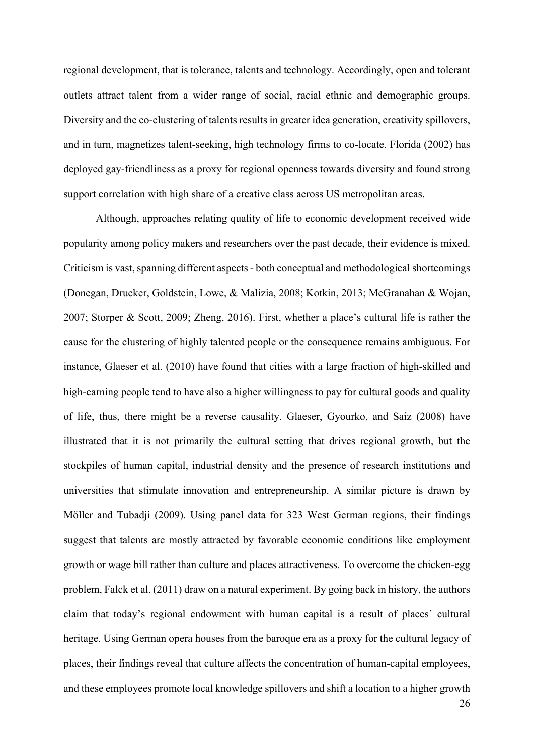regional development, that is tolerance, talents and technology. Accordingly, open and tolerant outlets attract talent from a wider range of social, racial ethnic and demographic groups. Diversity and the co-clustering of talents results in greater idea generation, creativity spillovers, and in turn, magnetizes talent-seeking, high technology firms to co-locate. Florida (2002) has deployed gay-friendliness as a proxy for regional openness towards diversity and found strong support correlation with high share of a creative class across US metropolitan areas.

Although, approaches relating quality of life to economic development received wide popularity among policy makers and researchers over the past decade, their evidence is mixed. Criticism is vast, spanning different aspects - both conceptual and methodological shortcomings (Donegan, Drucker, Goldstein, Lowe, & Malizia, 2008; Kotkin, 2013; McGranahan & Wojan, 2007; Storper & Scott, 2009; Zheng, 2016). First, whether a place's cultural life is rather the cause for the clustering of highly talented people or the consequence remains ambiguous. For instance, Glaeser et al. (2010) have found that cities with a large fraction of high-skilled and high-earning people tend to have also a higher willingness to pay for cultural goods and quality of life, thus, there might be a reverse causality. Glaeser, Gyourko, and Saiz (2008) have illustrated that it is not primarily the cultural setting that drives regional growth, but the stockpiles of human capital, industrial density and the presence of research institutions and universities that stimulate innovation and entrepreneurship. A similar picture is drawn by Möller and Tubadji (2009). Using panel data for 323 West German regions, their findings suggest that talents are mostly attracted by favorable economic conditions like employment growth or wage bill rather than culture and places attractiveness. To overcome the chicken-egg problem, Falck et al. (2011) draw on a natural experiment. By going back in history, the authors claim that today's regional endowment with human capital is a result of places´ cultural heritage. Using German opera houses from the baroque era as a proxy for the cultural legacy of places, their findings reveal that culture affects the concentration of human-capital employees, and these employees promote local knowledge spillovers and shift a location to a higher growth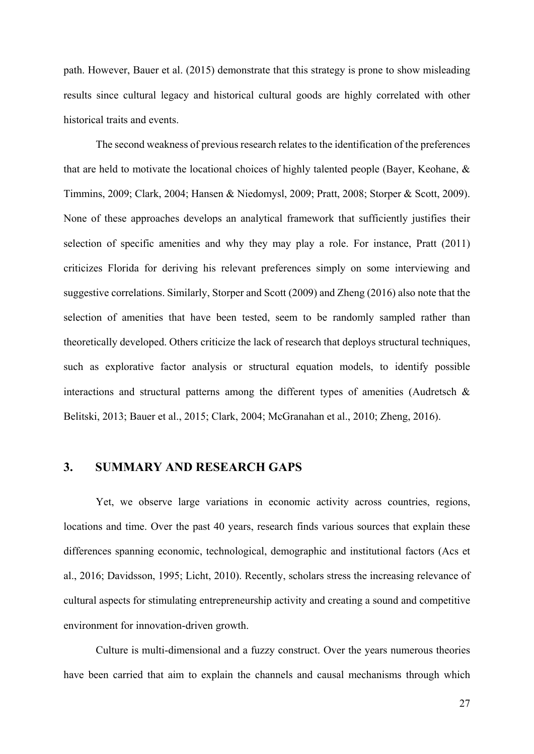path. However, Bauer et al. (2015) demonstrate that this strategy is prone to show misleading results since cultural legacy and historical cultural goods are highly correlated with other historical traits and events.

The second weakness of previous research relates to the identification of the preferences that are held to motivate the locational choices of highly talented people (Bayer, Keohane, & Timmins, 2009; Clark, 2004; Hansen & Niedomysl, 2009; Pratt, 2008; Storper & Scott, 2009). None of these approaches develops an analytical framework that sufficiently justifies their selection of specific amenities and why they may play a role. For instance, Pratt (2011) criticizes Florida for deriving his relevant preferences simply on some interviewing and suggestive correlations. Similarly, Storper and Scott (2009) and Zheng (2016) also note that the selection of amenities that have been tested, seem to be randomly sampled rather than theoretically developed. Others criticize the lack of research that deploys structural techniques, such as explorative factor analysis or structural equation models, to identify possible interactions and structural patterns among the different types of amenities (Audretsch  $\&$ Belitski, 2013; Bauer et al., 2015; Clark, 2004; McGranahan et al., 2010; Zheng, 2016).

# **3. SUMMARY AND RESEARCH GAPS**

Yet, we observe large variations in economic activity across countries, regions, locations and time. Over the past 40 years, research finds various sources that explain these differences spanning economic, technological, demographic and institutional factors (Acs et al., 2016; Davidsson, 1995; Licht, 2010). Recently, scholars stress the increasing relevance of cultural aspects for stimulating entrepreneurship activity and creating a sound and competitive environment for innovation-driven growth.

Culture is multi-dimensional and a fuzzy construct. Over the years numerous theories have been carried that aim to explain the channels and causal mechanisms through which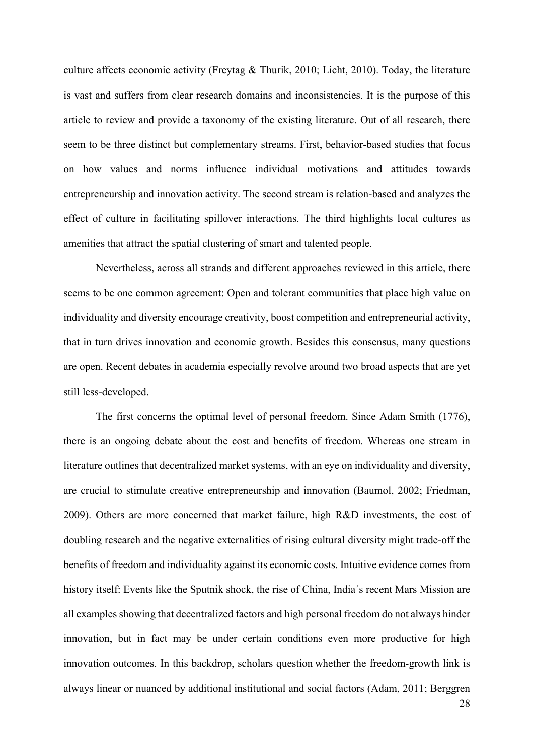culture affects economic activity (Freytag & Thurik, 2010; Licht, 2010). Today, the literature is vast and suffers from clear research domains and inconsistencies. It is the purpose of this article to review and provide a taxonomy of the existing literature. Out of all research, there seem to be three distinct but complementary streams. First, behavior-based studies that focus on how values and norms influence individual motivations and attitudes towards entrepreneurship and innovation activity. The second stream is relation-based and analyzes the effect of culture in facilitating spillover interactions. The third highlights local cultures as amenities that attract the spatial clustering of smart and talented people.

Nevertheless, across all strands and different approaches reviewed in this article, there seems to be one common agreement: Open and tolerant communities that place high value on individuality and diversity encourage creativity, boost competition and entrepreneurial activity, that in turn drives innovation and economic growth. Besides this consensus, many questions are open. Recent debates in academia especially revolve around two broad aspects that are yet still less-developed.

The first concerns the optimal level of personal freedom. Since Adam Smith (1776), there is an ongoing debate about the cost and benefits of freedom. Whereas one stream in literature outlines that decentralized market systems, with an eye on individuality and diversity, are crucial to stimulate creative entrepreneurship and innovation (Baumol, 2002; Friedman, 2009). Others are more concerned that market failure, high R&D investments, the cost of doubling research and the negative externalities of rising cultural diversity might trade-off the benefits of freedom and individuality against its economic costs. Intuitive evidence comes from history itself: Events like the Sputnik shock, the rise of China, India´s recent Mars Mission are all examples showing that decentralized factors and high personal freedom do not always hinder innovation, but in fact may be under certain conditions even more productive for high innovation outcomes. In this backdrop, scholars question whether the freedom-growth link is always linear or nuanced by additional institutional and social factors (Adam, 2011; Berggren

28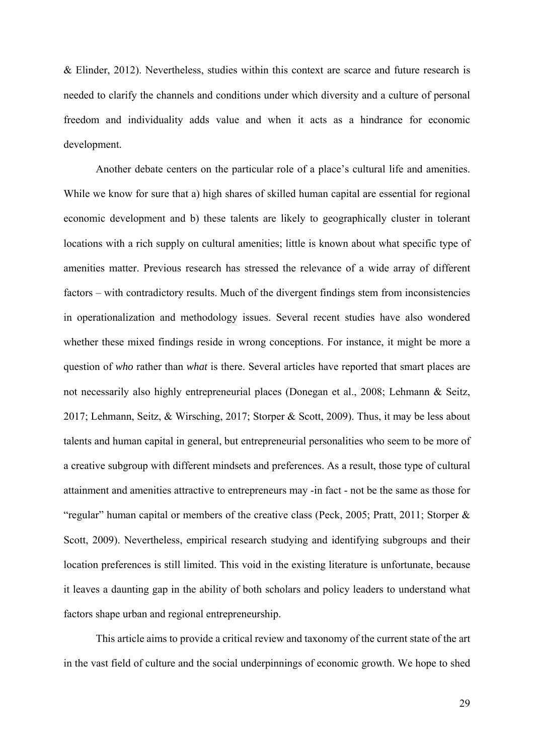& Elinder, 2012). Nevertheless, studies within this context are scarce and future research is needed to clarify the channels and conditions under which diversity and a culture of personal freedom and individuality adds value and when it acts as a hindrance for economic development.

Another debate centers on the particular role of a place's cultural life and amenities. While we know for sure that a) high shares of skilled human capital are essential for regional economic development and b) these talents are likely to geographically cluster in tolerant locations with a rich supply on cultural amenities; little is known about what specific type of amenities matter. Previous research has stressed the relevance of a wide array of different factors – with contradictory results. Much of the divergent findings stem from inconsistencies in operationalization and methodology issues. Several recent studies have also wondered whether these mixed findings reside in wrong conceptions. For instance, it might be more a question of *who* rather than *what* is there. Several articles have reported that smart places are not necessarily also highly entrepreneurial places (Donegan et al., 2008; Lehmann & Seitz, 2017; Lehmann, Seitz, & Wirsching, 2017; Storper & Scott, 2009). Thus, it may be less about talents and human capital in general, but entrepreneurial personalities who seem to be more of a creative subgroup with different mindsets and preferences. As a result, those type of cultural attainment and amenities attractive to entrepreneurs may -in fact - not be the same as those for "regular" human capital or members of the creative class (Peck, 2005; Pratt, 2011; Storper & Scott, 2009). Nevertheless, empirical research studying and identifying subgroups and their location preferences is still limited. This void in the existing literature is unfortunate, because it leaves a daunting gap in the ability of both scholars and policy leaders to understand what factors shape urban and regional entrepreneurship.

This article aims to provide a critical review and taxonomy of the current state of the art in the vast field of culture and the social underpinnings of economic growth. We hope to shed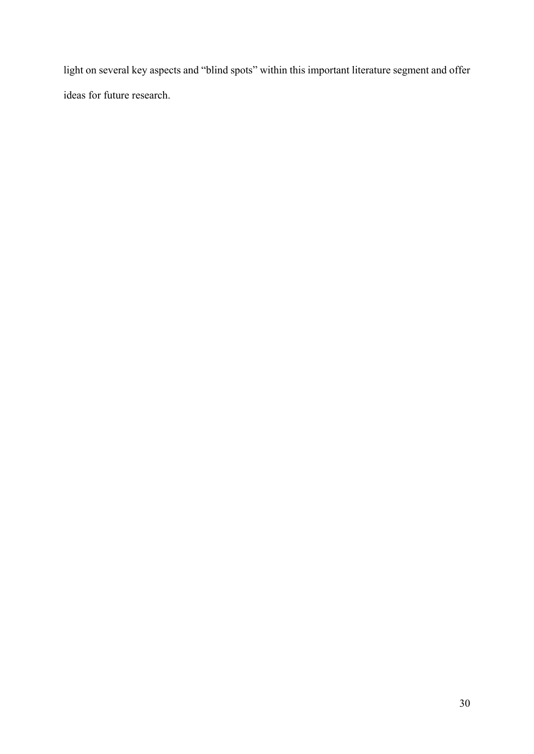light on several key aspects and "blind spots" within this important literature segment and offer ideas for future research.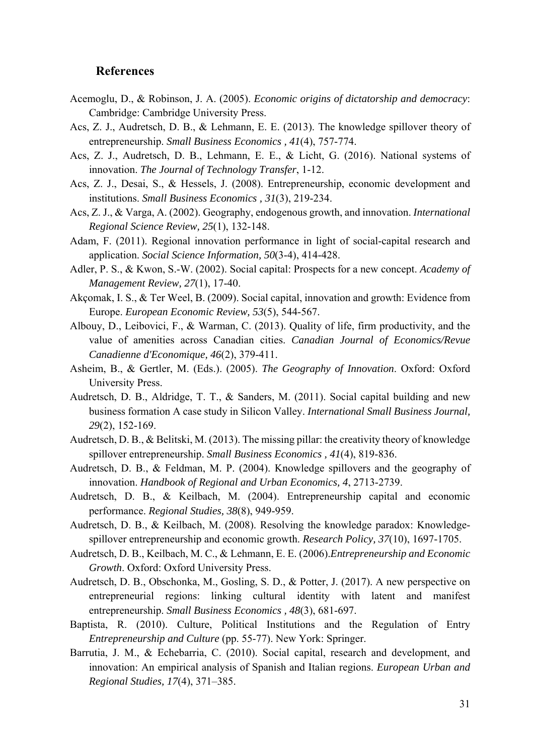## **References**

- Acemoglu, D., & Robinson, J. A. (2005). *Economic origins of dictatorship and democracy*: Cambridge: Cambridge University Press.
- Acs, Z. J., Audretsch, D. B., & Lehmann, E. E. (2013). The knowledge spillover theory of entrepreneurship. *Small Business Economics , 41*(4), 757-774.
- Acs, Z. J., Audretsch, D. B., Lehmann, E. E., & Licht, G. (2016). National systems of innovation. *The Journal of Technology Transfer*, 1-12.
- Acs, Z. J., Desai, S., & Hessels, J. (2008). Entrepreneurship, economic development and institutions. *Small Business Economics , 31*(3), 219-234.
- Acs, Z. J., & Varga, A. (2002). Geography, endogenous growth, and innovation. *International Regional Science Review, 25*(1), 132-148.
- Adam, F. (2011). Regional innovation performance in light of social-capital research and application. *Social Science Information, 50*(3-4), 414-428.
- Adler, P. S., & Kwon, S.-W. (2002). Social capital: Prospects for a new concept. *Academy of Management Review, 27*(1), 17-40.
- Akçomak, I. S., & Ter Weel, B. (2009). Social capital, innovation and growth: Evidence from Europe. *European Economic Review, 53*(5), 544-567.
- Albouy, D., Leibovici, F., & Warman, C. (2013). Quality of life, firm productivity, and the value of amenities across Canadian cities. *Canadian Journal of Economics/Revue Canadienne d'Economique, 46*(2), 379-411.
- Asheim, B., & Gertler, M. (Eds.). (2005). *The Geography of Innovation*. Oxford: Oxford University Press.
- Audretsch, D. B., Aldridge, T. T., & Sanders, M. (2011). Social capital building and new business formation A case study in Silicon Valley. *International Small Business Journal, 29*(2), 152-169.
- Audretsch, D. B., & Belitski, M. (2013). The missing pillar: the creativity theory of knowledge spillover entrepreneurship. *Small Business Economics , 41*(4), 819-836.
- Audretsch, D. B., & Feldman, M. P. (2004). Knowledge spillovers and the geography of innovation. *Handbook of Regional and Urban Economics, 4*, 2713-2739.
- Audretsch, D. B., & Keilbach, M. (2004). Entrepreneurship capital and economic performance. *Regional Studies, 38*(8), 949-959.
- Audretsch, D. B., & Keilbach, M. (2008). Resolving the knowledge paradox: Knowledgespillover entrepreneurship and economic growth. *Research Policy, 37*(10), 1697-1705.
- Audretsch, D. B., Keilbach, M. C., & Lehmann, E. E. (2006).*Entrepreneurship and Economic Growth*. Oxford: Oxford University Press.
- Audretsch, D. B., Obschonka, M., Gosling, S. D., & Potter, J. (2017). A new perspective on entrepreneurial regions: linking cultural identity with latent and manifest entrepreneurship. *Small Business Economics , 48*(3), 681-697.
- Baptista, R. (2010). Culture, Political Institutions and the Regulation of Entry *Entrepreneurship and Culture* (pp. 55-77). New York: Springer.
- Barrutia, J. M., & Echebarria, C. (2010). Social capital, research and development, and innovation: An empirical analysis of Spanish and Italian regions. *European Urban and Regional Studies, 17*(4), 371–385.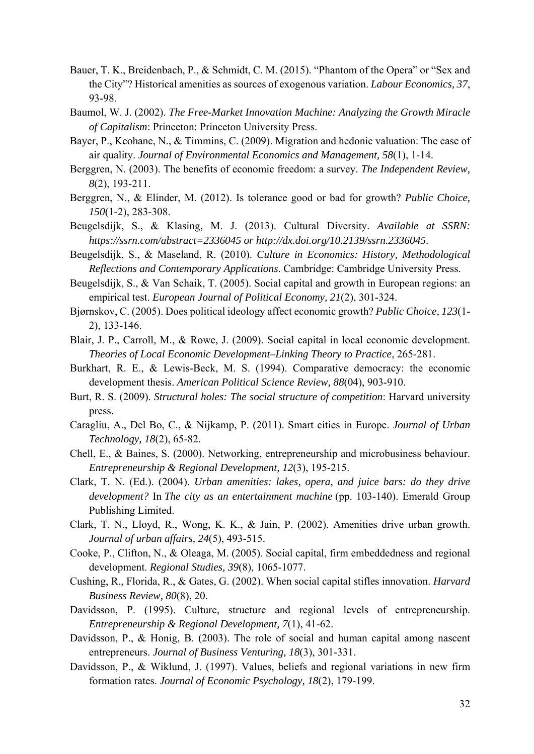- Bauer, T. K., Breidenbach, P., & Schmidt, C. M. (2015). "Phantom of the Opera" or "Sex and the City"? Historical amenities as sources of exogenous variation. *Labour Economics, 37*, 93-98.
- Baumol, W. J. (2002). *The Free-Market Innovation Machine: Analyzing the Growth Miracle of Capitalism*: Princeton: Princeton University Press.
- Bayer, P., Keohane, N., & Timmins, C. (2009). Migration and hedonic valuation: The case of air quality. *Journal of Environmental Economics and Management, 58*(1), 1-14.
- Berggren, N. (2003). The benefits of economic freedom: a survey. *The Independent Review, 8*(2), 193-211.
- Berggren, N., & Elinder, M. (2012). Is tolerance good or bad for growth? *Public Choice, 150*(1-2), 283-308.
- Beugelsdijk, S., & Klasing, M. J. (2013). Cultural Diversity. *Available at SSRN: https://ssrn.com/abstract=2336045 or http://dx.doi.org/10.2139/ssrn.2336045*.
- Beugelsdijk, S., & Maseland, R. (2010). *Culture in Economics: History, Methodological Reflections and Contemporary Applications*. Cambridge: Cambridge University Press.
- Beugelsdijk, S., & Van Schaik, T. (2005). Social capital and growth in European regions: an empirical test. *European Journal of Political Economy, 21*(2), 301-324.
- Bjørnskov, C. (2005). Does political ideology affect economic growth? *Public Choice, 123*(1- 2), 133-146.
- Blair, J. P., Carroll, M., & Rowe, J. (2009). Social capital in local economic development. *Theories of Local Economic Development–Linking Theory to Practice*, 265-281.
- Burkhart, R. E., & Lewis-Beck, M. S. (1994). Comparative democracy: the economic development thesis. *American Political Science Review, 88*(04), 903-910.
- Burt, R. S. (2009). *Structural holes: The social structure of competition*: Harvard university press.
- Caragliu, A., Del Bo, C., & Nijkamp, P. (2011). Smart cities in Europe. *Journal of Urban Technology, 18*(2), 65-82.
- Chell, E., & Baines, S. (2000). Networking, entrepreneurship and microbusiness behaviour. *Entrepreneurship & Regional Development, 12*(3), 195-215.
- Clark, T. N. (Ed.). (2004). *Urban amenities: lakes, opera, and juice bars: do they drive development?* In *The city as an entertainment machine* (pp. 103-140). Emerald Group Publishing Limited.
- Clark, T. N., Lloyd, R., Wong, K. K., & Jain, P. (2002). Amenities drive urban growth. *Journal of urban affairs, 24*(5), 493-515.
- Cooke, P., Clifton, N., & Oleaga, M. (2005). Social capital, firm embeddedness and regional development. *Regional Studies, 39*(8), 1065-1077.
- Cushing, R., Florida, R., & Gates, G. (2002). When social capital stifles innovation. *Harvard Business Review, 80*(8), 20.
- Davidsson, P. (1995). Culture, structure and regional levels of entrepreneurship. *Entrepreneurship & Regional Development, 7*(1), 41-62.
- Davidsson, P., & Honig, B. (2003). The role of social and human capital among nascent entrepreneurs. *Journal of Business Venturing, 18*(3), 301-331.
- Davidsson, P., & Wiklund, J. (1997). Values, beliefs and regional variations in new firm formation rates. *Journal of Economic Psychology, 18*(2), 179-199.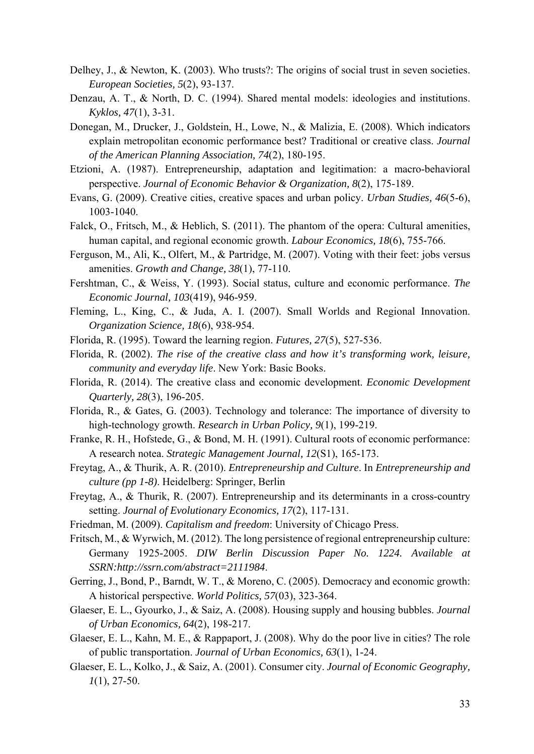- Delhey, J., & Newton, K. (2003). Who trusts?: The origins of social trust in seven societies. *European Societies, 5*(2), 93-137.
- Denzau, A. T., & North, D. C. (1994). Shared mental models: ideologies and institutions. *Kyklos, 47*(1), 3-31.
- Donegan, M., Drucker, J., Goldstein, H., Lowe, N., & Malizia, E. (2008). Which indicators explain metropolitan economic performance best? Traditional or creative class. *Journal of the American Planning Association, 74*(2), 180-195.
- Etzioni, A. (1987). Entrepreneurship, adaptation and legitimation: a macro-behavioral perspective. *Journal of Economic Behavior & Organization, 8*(2), 175-189.
- Evans, G. (2009). Creative cities, creative spaces and urban policy. *Urban Studies, 46*(5-6), 1003-1040.
- Falck, O., Fritsch, M., & Heblich, S. (2011). The phantom of the opera: Cultural amenities, human capital, and regional economic growth. *Labour Economics, 18*(6), 755-766.
- Ferguson, M., Ali, K., Olfert, M., & Partridge, M. (2007). Voting with their feet: jobs versus amenities. *Growth and Change, 38*(1), 77-110.
- Fershtman, C., & Weiss, Y. (1993). Social status, culture and economic performance. *The Economic Journal, 103*(419), 946-959.
- Fleming, L., King, C., & Juda, A. I. (2007). Small Worlds and Regional Innovation. *Organization Science, 18*(6), 938-954.
- Florida, R. (1995). Toward the learning region. *Futures, 27*(5), 527-536.
- Florida, R. (2002). *The rise of the creative class and how it's transforming work, leisure, community and everyday life*. New York: Basic Books.
- Florida, R. (2014). The creative class and economic development. *Economic Development Quarterly, 28*(3), 196-205.
- Florida, R., & Gates, G. (2003). Technology and tolerance: The importance of diversity to high-technology growth. *Research in Urban Policy, 9*(1), 199-219.
- Franke, R. H., Hofstede, G., & Bond, M. H. (1991). Cultural roots of economic performance: A research notea. *Strategic Management Journal, 12*(S1), 165-173.
- Freytag, A., & Thurik, A. R. (2010). *Entrepreneurship and Culture*. In *Entrepreneurship and culture (pp 1-8)*. Heidelberg: Springer, Berlin
- Freytag, A., & Thurik, R. (2007). Entrepreneurship and its determinants in a cross-country setting. *Journal of Evolutionary Economics, 17*(2), 117-131.
- Friedman, M. (2009). *Capitalism and freedom*: University of Chicago Press.
- Fritsch, M., & Wyrwich, M. (2012). The long persistence of regional entrepreneurship culture: Germany 1925-2005. *DIW Berlin Discussion Paper No. 1224. Available at SSRN:http://ssrn.com/abstract=2111984*.
- Gerring, J., Bond, P., Barndt, W. T., & Moreno, C. (2005). Democracy and economic growth: A historical perspective. *World Politics, 57*(03), 323-364.
- Glaeser, E. L., Gyourko, J., & Saiz, A. (2008). Housing supply and housing bubbles. *Journal of Urban Economics, 64*(2), 198-217.
- Glaeser, E. L., Kahn, M. E., & Rappaport, J. (2008). Why do the poor live in cities? The role of public transportation. *Journal of Urban Economics, 63*(1), 1-24.
- Glaeser, E. L., Kolko, J., & Saiz, A. (2001). Consumer city. *Journal of Economic Geography, 1*(1), 27-50.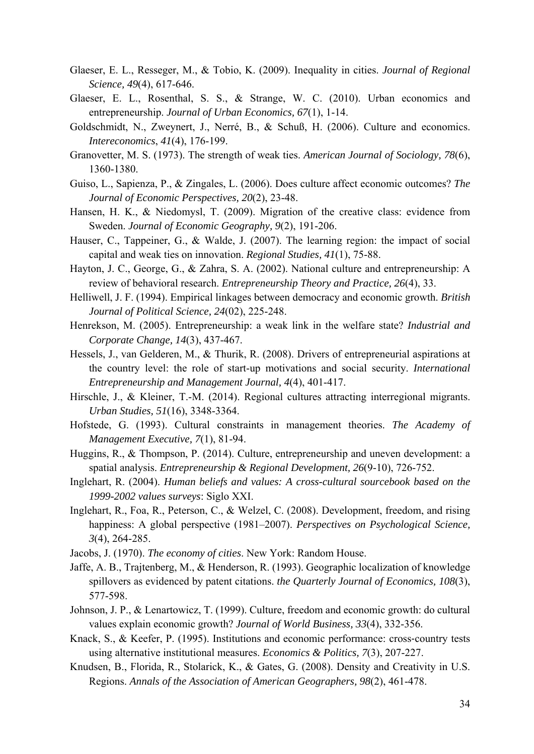- Glaeser, E. L., Resseger, M., & Tobio, K. (2009). Inequality in cities. *Journal of Regional Science, 49*(4), 617-646.
- Glaeser, E. L., Rosenthal, S. S., & Strange, W. C. (2010). Urban economics and entrepreneurship. *Journal of Urban Economics, 67*(1), 1-14.
- Goldschmidt, N., Zweynert, J., Nerré, B., & Schuß, H. (2006). Culture and economics. *Intereconomics*, *41*(4), 176-199.
- Granovetter, M. S. (1973). The strength of weak ties. *American Journal of Sociology, 78*(6), 1360-1380.
- Guiso, L., Sapienza, P., & Zingales, L. (2006). Does culture affect economic outcomes? *The Journal of Economic Perspectives, 20*(2), 23-48.
- Hansen, H. K., & Niedomysl, T. (2009). Migration of the creative class: evidence from Sweden. *Journal of Economic Geography, 9*(2), 191-206.
- Hauser, C., Tappeiner, G., & Walde, J. (2007). The learning region: the impact of social capital and weak ties on innovation. *Regional Studies, 41*(1), 75-88.
- Hayton, J. C., George, G., & Zahra, S. A. (2002). National culture and entrepreneurship: A review of behavioral research. *Entrepreneurship Theory and Practice, 26*(4), 33.
- Helliwell, J. F. (1994). Empirical linkages between democracy and economic growth. *British Journal of Political Science, 24*(02), 225-248.
- Henrekson, M. (2005). Entrepreneurship: a weak link in the welfare state? *Industrial and Corporate Change, 14*(3), 437-467.
- Hessels, J., van Gelderen, M., & Thurik, R. (2008). Drivers of entrepreneurial aspirations at the country level: the role of start-up motivations and social security. *International Entrepreneurship and Management Journal, 4*(4), 401-417.
- Hirschle, J., & Kleiner, T.-M. (2014). Regional cultures attracting interregional migrants. *Urban Studies, 51*(16), 3348-3364.
- Hofstede, G. (1993). Cultural constraints in management theories. *The Academy of Management Executive, 7*(1), 81-94.
- Huggins, R., & Thompson, P. (2014). Culture, entrepreneurship and uneven development: a spatial analysis. *Entrepreneurship & Regional Development, 26*(9-10), 726-752.
- Inglehart, R. (2004). *Human beliefs and values: A cross-cultural sourcebook based on the 1999-2002 values surveys*: Siglo XXI.
- Inglehart, R., Foa, R., Peterson, C., & Welzel, C. (2008). Development, freedom, and rising happiness: A global perspective (1981–2007). *Perspectives on Psychological Science, 3*(4), 264-285.
- Jacobs, J. (1970). *The economy of cities*. New York: Random House.
- Jaffe, A. B., Trajtenberg, M., & Henderson, R. (1993). Geographic localization of knowledge spillovers as evidenced by patent citations. *the Quarterly Journal of Economics, 108*(3), 577-598.
- Johnson, J. P., & Lenartowicz, T. (1999). Culture, freedom and economic growth: do cultural values explain economic growth? *Journal of World Business, 33*(4), 332-356.
- Knack, S., & Keefer, P. (1995). Institutions and economic performance: cross-country tests using alternative institutional measures. *Economics & Politics, 7*(3), 207-227.
- Knudsen, B., Florida, R., Stolarick, K., & Gates, G. (2008). Density and Creativity in U.S. Regions. *Annals of the Association of American Geographers, 98*(2), 461-478.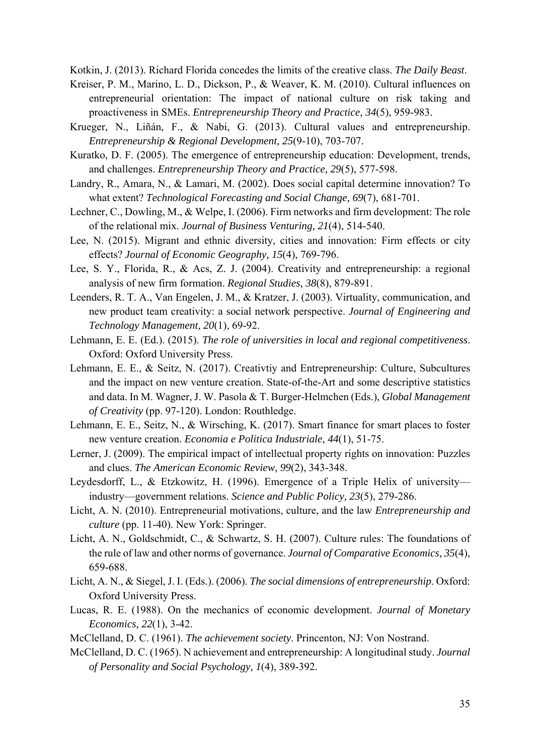Kotkin, J. (2013). Richard Florida concedes the limits of the creative class. *The Daily Beast*.

- Kreiser, P. M., Marino, L. D., Dickson, P., & Weaver, K. M. (2010). Cultural influences on entrepreneurial orientation: The impact of national culture on risk taking and proactiveness in SMEs. *Entrepreneurship Theory and Practice, 34*(5), 959-983.
- Krueger, N., Liñán, F., & Nabi, G. (2013). Cultural values and entrepreneurship. *Entrepreneurship & Regional Development, 25*(9-10), 703-707.
- Kuratko, D. F. (2005). The emergence of entrepreneurship education: Development, trends, and challenges. *Entrepreneurship Theory and Practice, 29*(5), 577-598.
- Landry, R., Amara, N., & Lamari, M. (2002). Does social capital determine innovation? To what extent? *Technological Forecasting and Social Change, 69*(7), 681-701.
- Lechner, C., Dowling, M., & Welpe, I. (2006). Firm networks and firm development: The role of the relational mix. *Journal of Business Venturing, 21*(4), 514-540.
- Lee, N. (2015). Migrant and ethnic diversity, cities and innovation: Firm effects or city effects? *Journal of Economic Geography, 15*(4), 769-796.
- Lee, S. Y., Florida, R., & Acs, Z. J. (2004). Creativity and entrepreneurship: a regional analysis of new firm formation. *Regional Studies, 38*(8), 879-891.
- Leenders, R. T. A., Van Engelen, J. M., & Kratzer, J. (2003). Virtuality, communication, and new product team creativity: a social network perspective. *Journal of Engineering and Technology Management, 20*(1), 69-92.
- Lehmann, E. E. (Ed.). (2015). *The role of universities in local and regional competitiveness*. Oxford: Oxford University Press.
- Lehmann, E. E., & Seitz, N. (2017). Creativtiy and Entrepreneurship: Culture, Subcultures and the impact on new venture creation. State-of-the-Art and some descriptive statistics and data. In M. Wagner, J. W. Pasola & T. Burger-Helmchen (Eds.), *Global Management of Creativity* (pp. 97-120). London: Routhledge.
- Lehmann, E. E., Seitz, N., & Wirsching, K. (2017). Smart finance for smart places to foster new venture creation. *Economia e Politica Industriale, 44*(1), 51-75.
- Lerner, J. (2009). The empirical impact of intellectual property rights on innovation: Puzzles and clues. *The American Economic Review, 99*(2), 343-348.
- Leydesdorff, L., & Etzkowitz, H. (1996). Emergence of a Triple Helix of university industry—government relations. *Science and Public Policy, 23*(5), 279-286.
- Licht, A. N. (2010). Entrepreneurial motivations, culture, and the law *Entrepreneurship and culture* (pp. 11-40). New York: Springer.
- Licht, A. N., Goldschmidt, C., & Schwartz, S. H. (2007). Culture rules: The foundations of the rule of law and other norms of governance. *Journal of Comparative Economics, 35*(4), 659-688.
- Licht, A. N., & Siegel, J. I. (Eds.). (2006). *The social dimensions of entrepreneurship*. Oxford: Oxford University Press.
- Lucas, R. E. (1988). On the mechanics of economic development. *Journal of Monetary Economics, 22*(1), 3-42.
- McClelland, D. C. (1961). *The achievement society*. Princenton, NJ: Von Nostrand.
- McClelland, D. C. (1965). N achievement and entrepreneurship: A longitudinal study. *Journal of Personality and Social Psychology, 1*(4), 389-392.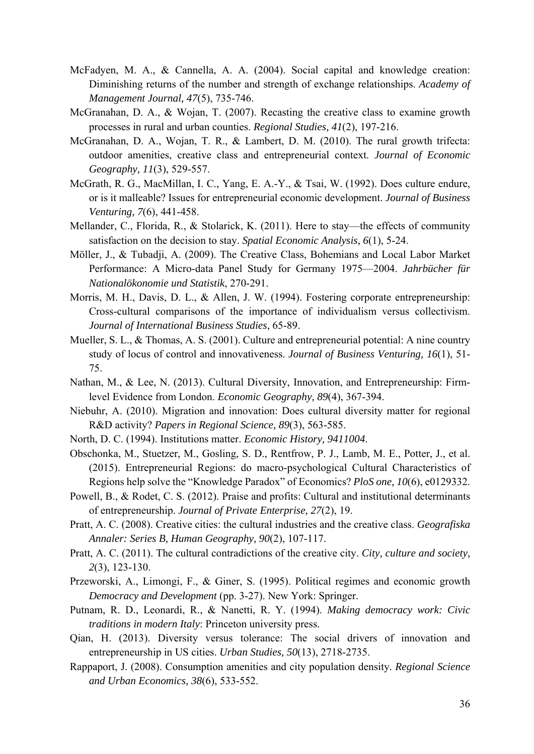- McFadyen, M. A., & Cannella, A. A. (2004). Social capital and knowledge creation: Diminishing returns of the number and strength of exchange relationships. *Academy of Management Journal, 47*(5), 735-746.
- McGranahan, D. A., & Wojan, T. (2007). Recasting the creative class to examine growth processes in rural and urban counties. *Regional Studies, 41*(2), 197-216.
- McGranahan, D. A., Wojan, T. R., & Lambert, D. M. (2010). The rural growth trifecta: outdoor amenities, creative class and entrepreneurial context. *Journal of Economic Geography, 11*(3), 529-557.
- McGrath, R. G., MacMillan, I. C., Yang, E. A.-Y., & Tsai, W. (1992). Does culture endure, or is it malleable? Issues for entrepreneurial economic development. *Journal of Business Venturing, 7*(6), 441-458.
- Mellander, C., Florida, R., & Stolarick, K. (2011). Here to stay—the effects of community satisfaction on the decision to stay. *Spatial Economic Analysis, 6*(1), 5-24.
- Möller, J., & Tubadji, A. (2009). The Creative Class, Bohemians and Local Labor Market Performance: A Micro-data Panel Study for Germany 1975—2004. *Jahrbücher für Nationalökonomie und Statistik*, 270-291.
- Morris, M. H., Davis, D. L., & Allen, J. W. (1994). Fostering corporate entrepreneurship: Cross-cultural comparisons of the importance of individualism versus collectivism. *Journal of International Business Studies*, 65-89.
- Mueller, S. L., & Thomas, A. S. (2001). Culture and entrepreneurial potential: A nine country study of locus of control and innovativeness. *Journal of Business Venturing, 16*(1), 51- 75.
- Nathan, M., & Lee, N. (2013). Cultural Diversity, Innovation, and Entrepreneurship: Firmlevel Evidence from London. *Economic Geography, 89*(4), 367-394.
- Niebuhr, A. (2010). Migration and innovation: Does cultural diversity matter for regional R&D activity? *Papers in Regional Science, 89*(3), 563-585.
- North, D. C. (1994). Institutions matter. *Economic History, 9411004*.
- Obschonka, M., Stuetzer, M., Gosling, S. D., Rentfrow, P. J., Lamb, M. E., Potter, J., et al. (2015). Entrepreneurial Regions: do macro-psychological Cultural Characteristics of Regions help solve the "Knowledge Paradox" of Economics? *PloS one, 10*(6), e0129332.
- Powell, B., & Rodet, C. S. (2012). Praise and profits: Cultural and institutional determinants of entrepreneurship. *Journal of Private Enterprise, 27*(2), 19.
- Pratt, A. C. (2008). Creative cities: the cultural industries and the creative class. *Geografiska Annaler: Series B, Human Geography, 90*(2), 107-117.
- Pratt, A. C. (2011). The cultural contradictions of the creative city. *City, culture and society, 2*(3), 123-130.
- Przeworski, A., Limongi, F., & Giner, S. (1995). Political regimes and economic growth *Democracy and Development* (pp. 3-27). New York: Springer.
- Putnam, R. D., Leonardi, R., & Nanetti, R. Y. (1994). *Making democracy work: Civic traditions in modern Italy*: Princeton university press.
- Qian, H. (2013). Diversity versus tolerance: The social drivers of innovation and entrepreneurship in US cities. *Urban Studies, 50*(13), 2718-2735.
- Rappaport, J. (2008). Consumption amenities and city population density. *Regional Science and Urban Economics, 38*(6), 533-552.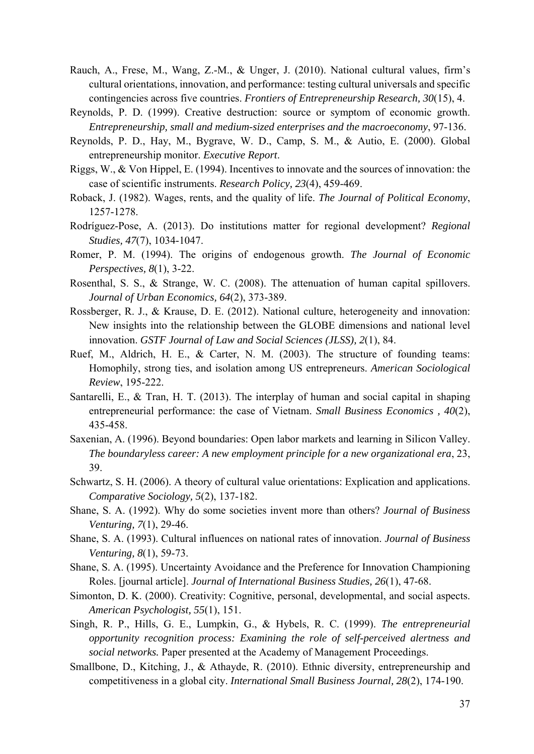- Rauch, A., Frese, M., Wang, Z.-M., & Unger, J. (2010). National cultural values, firm's cultural orientations, innovation, and performance: testing cultural universals and specific contingencies across five countries. *Frontiers of Entrepreneurship Research, 30*(15), 4.
- Reynolds, P. D. (1999). Creative destruction: source or symptom of economic growth. *Entrepreneurship, small and medium-sized enterprises and the macroeconomy*, 97-136.
- Reynolds, P. D., Hay, M., Bygrave, W. D., Camp, S. M., & Autio, E. (2000). Global entrepreneurship monitor. *Executive Report*.
- Riggs, W., & Von Hippel, E. (1994). Incentives to innovate and the sources of innovation: the case of scientific instruments. *Research Policy, 23*(4), 459-469.
- Roback, J. (1982). Wages, rents, and the quality of life. *The Journal of Political Economy*, 1257-1278.
- Rodríguez-Pose, A. (2013). Do institutions matter for regional development? *Regional Studies, 47*(7), 1034-1047.
- Romer, P. M. (1994). The origins of endogenous growth. *The Journal of Economic Perspectives, 8*(1), 3-22.
- Rosenthal, S. S., & Strange, W. C. (2008). The attenuation of human capital spillovers. *Journal of Urban Economics, 64*(2), 373-389.
- Rossberger, R. J., & Krause, D. E. (2012). National culture, heterogeneity and innovation: New insights into the relationship between the GLOBE dimensions and national level innovation. *GSTF Journal of Law and Social Sciences (JLSS), 2*(1), 84.
- Ruef, M., Aldrich, H. E., & Carter, N. M. (2003). The structure of founding teams: Homophily, strong ties, and isolation among US entrepreneurs. *American Sociological Review*, 195-222.
- Santarelli, E., & Tran, H. T. (2013). The interplay of human and social capital in shaping entrepreneurial performance: the case of Vietnam. *Small Business Economics , 40*(2), 435-458.
- Saxenian, A. (1996). Beyond boundaries: Open labor markets and learning in Silicon Valley. *The boundaryless career: A new employment principle for a new organizational era*, 23, 39.
- Schwartz, S. H. (2006). A theory of cultural value orientations: Explication and applications. *Comparative Sociology, 5*(2), 137-182.
- Shane, S. A. (1992). Why do some societies invent more than others? *Journal of Business Venturing, 7*(1), 29-46.
- Shane, S. A. (1993). Cultural influences on national rates of innovation. *Journal of Business Venturing, 8*(1), 59-73.
- Shane, S. A. (1995). Uncertainty Avoidance and the Preference for Innovation Championing Roles. [journal article]. *Journal of International Business Studies, 26*(1), 47-68.
- Simonton, D. K. (2000). Creativity: Cognitive, personal, developmental, and social aspects. *American Psychologist, 55*(1), 151.
- Singh, R. P., Hills, G. E., Lumpkin, G., & Hybels, R. C. (1999). *The entrepreneurial opportunity recognition process: Examining the role of self-perceived alertness and social networks.* Paper presented at the Academy of Management Proceedings.
- Smallbone, D., Kitching, J., & Athayde, R. (2010). Ethnic diversity, entrepreneurship and competitiveness in a global city. *International Small Business Journal, 28*(2), 174-190.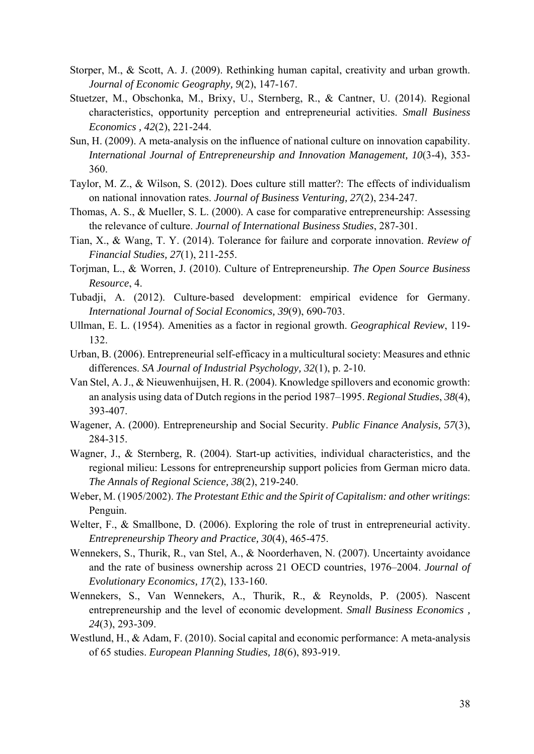- Storper, M., & Scott, A. J. (2009). Rethinking human capital, creativity and urban growth. *Journal of Economic Geography, 9*(2), 147-167.
- Stuetzer, M., Obschonka, M., Brixy, U., Sternberg, R., & Cantner, U. (2014). Regional characteristics, opportunity perception and entrepreneurial activities. *Small Business Economics , 42*(2), 221-244.
- Sun, H. (2009). A meta-analysis on the influence of national culture on innovation capability. *International Journal of Entrepreneurship and Innovation Management, 10*(3-4), 353- 360.
- Taylor, M. Z., & Wilson, S. (2012). Does culture still matter?: The effects of individualism on national innovation rates. *Journal of Business Venturing, 27*(2), 234-247.
- Thomas, A. S., & Mueller, S. L. (2000). A case for comparative entrepreneurship: Assessing the relevance of culture. *Journal of International Business Studies*, 287-301.
- Tian, X., & Wang, T. Y. (2014). Tolerance for failure and corporate innovation. *Review of Financial Studies, 27*(1), 211-255.
- Torjman, L., & Worren, J. (2010). Culture of Entrepreneurship. *The Open Source Business Resource*, 4.
- Tubadji, A. (2012). Culture-based development: empirical evidence for Germany. *International Journal of Social Economics, 39*(9), 690-703.
- Ullman, E. L. (1954). Amenities as a factor in regional growth. *Geographical Review*, 119- 132.
- Urban, B. (2006). Entrepreneurial self-efficacy in a multicultural society: Measures and ethnic differences. *SA Journal of Industrial Psychology, 32*(1), p. 2-10.
- Van Stel, A. J., & Nieuwenhuijsen, H. R. (2004). Knowledge spillovers and economic growth: an analysis using data of Dutch regions in the period 1987–1995. *Regional Studies*, *38*(4), 393-407.
- Wagener, A. (2000). Entrepreneurship and Social Security. *Public Finance Analysis, 57*(3), 284-315.
- Wagner, J., & Sternberg, R. (2004). Start-up activities, individual characteristics, and the regional milieu: Lessons for entrepreneurship support policies from German micro data. *The Annals of Regional Science, 38*(2), 219-240.
- Weber, M. (1905/2002). *The Protestant Ethic and the Spirit of Capitalism: and other writings*: Penguin.
- Welter, F., & Smallbone, D. (2006). Exploring the role of trust in entrepreneurial activity. *Entrepreneurship Theory and Practice, 30*(4), 465-475.
- Wennekers, S., Thurik, R., van Stel, A., & Noorderhaven, N. (2007). Uncertainty avoidance and the rate of business ownership across 21 OECD countries, 1976–2004. *Journal of Evolutionary Economics, 17*(2), 133-160.
- Wennekers, S., Van Wennekers, A., Thurik, R., & Reynolds, P. (2005). Nascent entrepreneurship and the level of economic development. *Small Business Economics , 24*(3), 293-309.
- Westlund, H., & Adam, F. (2010). Social capital and economic performance: A meta-analysis of 65 studies. *European Planning Studies, 18*(6), 893-919.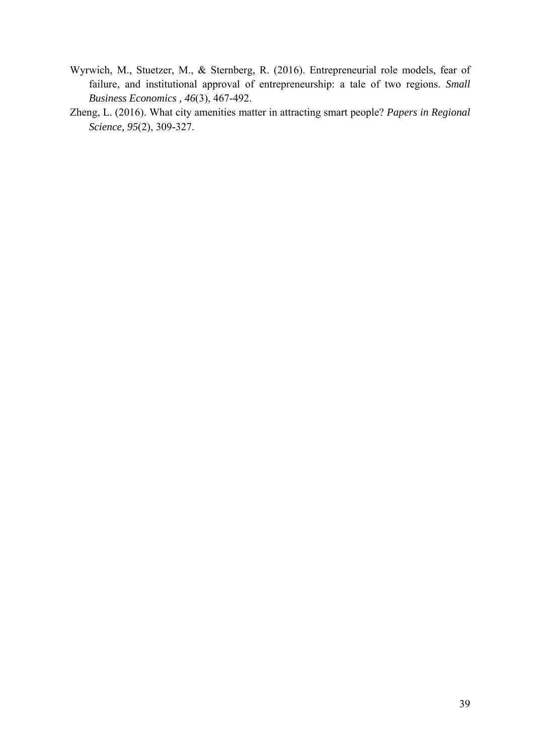- Wyrwich, M., Stuetzer, M., & Sternberg, R. (2016). Entrepreneurial role models, fear of failure, and institutional approval of entrepreneurship: a tale of two regions. *Small Business Economics , 46*(3), 467-492.
- Zheng, L. (2016). What city amenities matter in attracting smart people? *Papers in Regional Science, 95*(2), 309-327.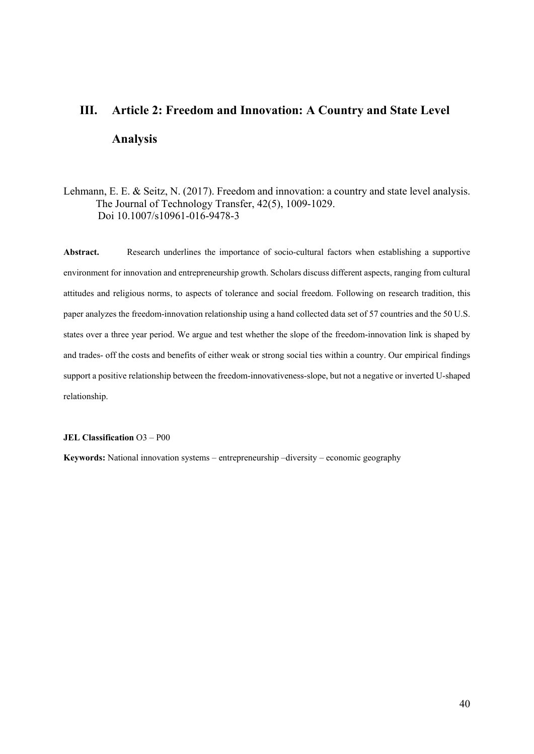# **III. Article 2: Freedom and Innovation: A Country and State Level Analysis**

## Lehmann, E. E. & Seitz, N. (2017). Freedom and innovation: a country and state level analysis. The Journal of Technology Transfer, 42(5), 1009-1029. Doi 10.1007/s10961-016-9478-3

Abstract. Research underlines the importance of socio-cultural factors when establishing a supportive environment for innovation and entrepreneurship growth. Scholars discuss different aspects, ranging from cultural attitudes and religious norms, to aspects of tolerance and social freedom. Following on research tradition, this paper analyzes the freedom-innovation relationship using a hand collected data set of 57 countries and the 50 U.S. states over a three year period. We argue and test whether the slope of the freedom-innovation link is shaped by and trades- off the costs and benefits of either weak or strong social ties within a country. Our empirical findings support a positive relationship between the freedom-innovativeness-slope, but not a negative or inverted U-shaped relationship.

#### **JEL Classification** O3 – P00

**Keywords:** National innovation systems – entrepreneurship –diversity – economic geography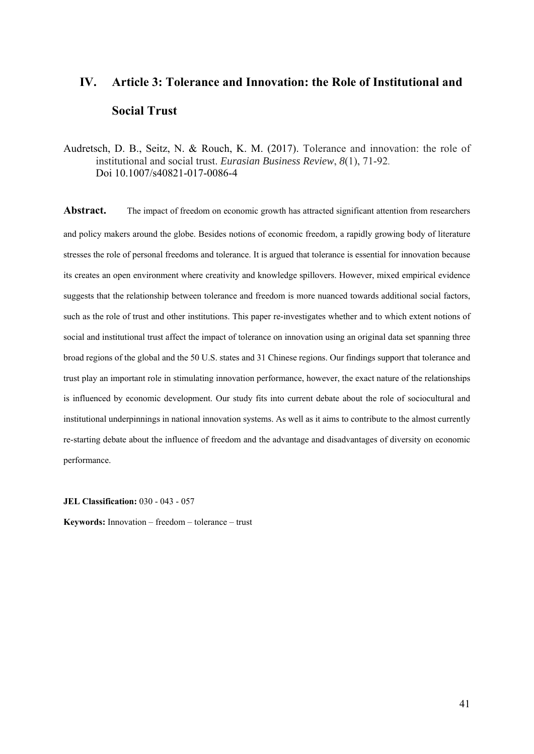# **IV. Article 3: Tolerance and Innovation: the Role of Institutional and Social Trust**

Audretsch, D. B., Seitz, N. & Rouch, K. M. (2017). Tolerance and innovation: the role of institutional and social trust. *Eurasian Business Review*, *8*(1), 71-92. Doi 10.1007/s40821-017-0086-4

**Abstract.** The impact of freedom on economic growth has attracted significant attention from researchers and policy makers around the globe. Besides notions of economic freedom, a rapidly growing body of literature stresses the role of personal freedoms and tolerance. It is argued that tolerance is essential for innovation because its creates an open environment where creativity and knowledge spillovers. However, mixed empirical evidence suggests that the relationship between tolerance and freedom is more nuanced towards additional social factors, such as the role of trust and other institutions. This paper re-investigates whether and to which extent notions of social and institutional trust affect the impact of tolerance on innovation using an original data set spanning three broad regions of the global and the 50 U.S. states and 31 Chinese regions. Our findings support that tolerance and trust play an important role in stimulating innovation performance, however, the exact nature of the relationships is influenced by economic development. Our study fits into current debate about the role of sociocultural and institutional underpinnings in national innovation systems. As well as it aims to contribute to the almost currently re-starting debate about the influence of freedom and the advantage and disadvantages of diversity on economic performance.

**JEL Classification:** 030 - 043 - 057

**Keywords:** Innovation – freedom – tolerance – trust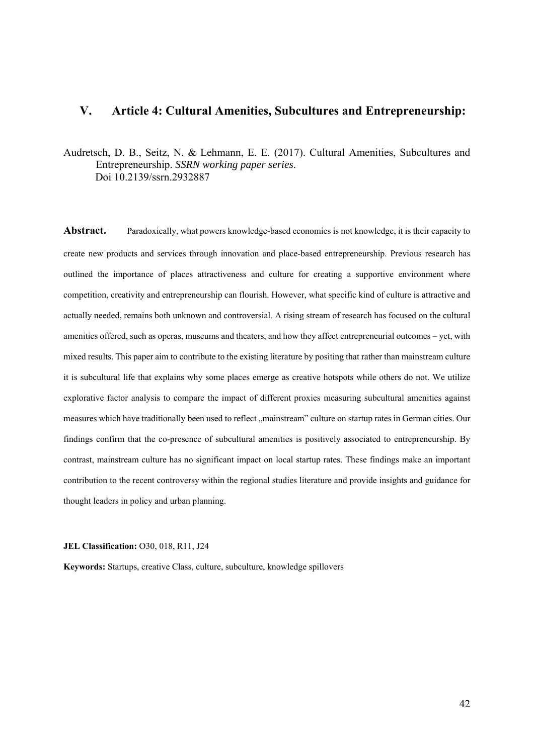## **V. Article 4: Cultural Amenities, Subcultures and Entrepreneurship:**

Audretsch, D. B., Seitz, N. & Lehmann, E. E. (2017). Cultural Amenities, Subcultures and Entrepreneurship. *SSRN working paper series*. Doi 10.2139/ssrn.2932887

**Abstract.** Paradoxically, what powers knowledge-based economies is not knowledge, it is their capacity to create new products and services through innovation and place-based entrepreneurship. Previous research has outlined the importance of places attractiveness and culture for creating a supportive environment where competition, creativity and entrepreneurship can flourish. However, what specific kind of culture is attractive and actually needed, remains both unknown and controversial. A rising stream of research has focused on the cultural amenities offered, such as operas, museums and theaters, and how they affect entrepreneurial outcomes – yet, with mixed results. This paper aim to contribute to the existing literature by positing that rather than mainstream culture it is subcultural life that explains why some places emerge as creative hotspots while others do not. We utilize explorative factor analysis to compare the impact of different proxies measuring subcultural amenities against measures which have traditionally been used to reflect "mainstream" culture on startup rates in German cities. Our findings confirm that the co-presence of subcultural amenities is positively associated to entrepreneurship. By contrast, mainstream culture has no significant impact on local startup rates. These findings make an important contribution to the recent controversy within the regional studies literature and provide insights and guidance for thought leaders in policy and urban planning.

#### **JEL Classification:** O30, 018, R11, J24

**Keywords:** Startups, creative Class, culture, subculture, knowledge spillovers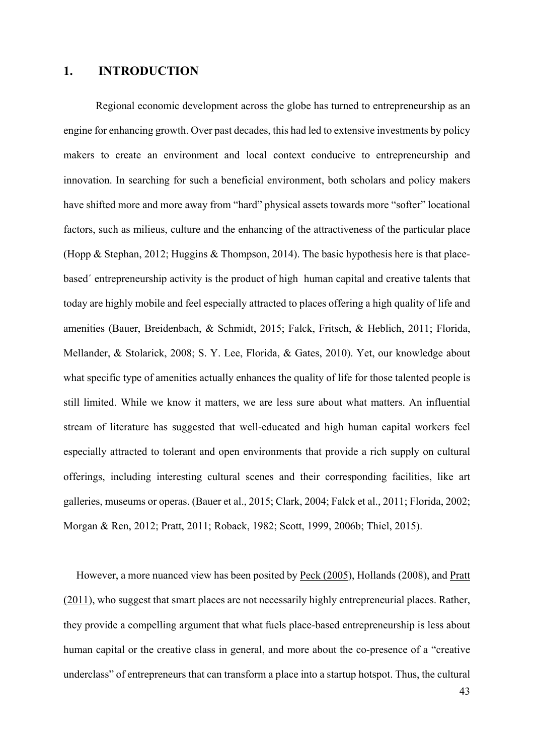## **1. INTRODUCTION**

Regional economic development across the globe has turned to entrepreneurship as an engine for enhancing growth. Over past decades, this had led to extensive investments by policy makers to create an environment and local context conducive to entrepreneurship and innovation. In searching for such a beneficial environment, both scholars and policy makers have shifted more and more away from "hard" physical assets towards more "softer" locational factors, such as milieus, culture and the enhancing of the attractiveness of the particular place (Hopp & Stephan, 2012; Huggins & Thompson, 2014). The basic hypothesis here is that placebased´ entrepreneurship activity is the product of high human capital and creative talents that today are highly mobile and feel especially attracted to places offering a high quality of life and amenities (Bauer, Breidenbach, & Schmidt, 2015; Falck, Fritsch, & Heblich, 2011; Florida, Mellander, & Stolarick, 2008; S. Y. Lee, Florida, & Gates, 2010). Yet, our knowledge about what specific type of amenities actually enhances the quality of life for those talented people is still limited. While we know it matters, we are less sure about what matters. An influential stream of literature has suggested that well-educated and high human capital workers feel especially attracted to tolerant and open environments that provide a rich supply on cultural offerings, including interesting cultural scenes and their corresponding facilities, like art galleries, museums or operas. (Bauer et al., 2015; Clark, 2004; Falck et al., 2011; Florida, 2002; Morgan & Ren, 2012; Pratt, 2011; Roback, 1982; Scott, 1999, 2006b; Thiel, 2015).

However, a more nuanced view has been posited by Peck (2005), Hollands (2008), and Pratt  $(2011)$ , who suggest that smart places are not necessarily highly entrepreneurial places. Rather, they provide a compelling argument that what fuels place-based entrepreneurship is less about human capital or the creative class in general, and more about the co-presence of a "creative underclass" of entrepreneurs that can transform a place into a startup hotspot. Thus, the cultural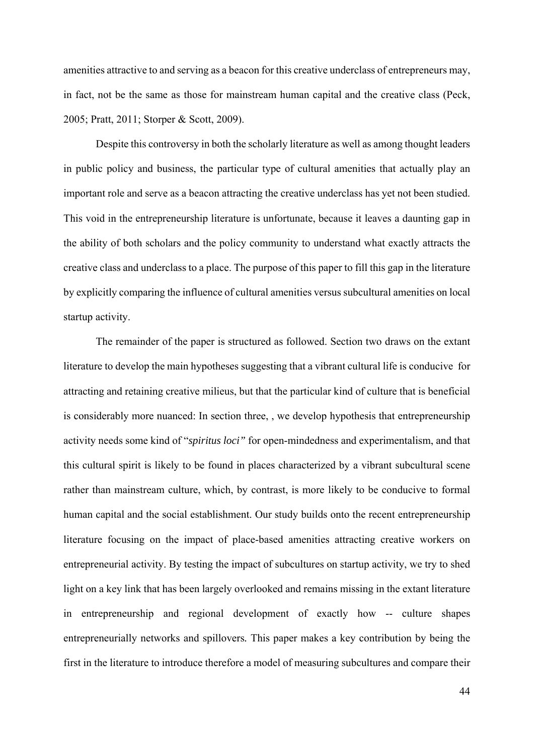amenities attractive to and serving as a beacon for this creative underclass of entrepreneurs may, in fact, not be the same as those for mainstream human capital and the creative class (Peck, 2005; Pratt, 2011; Storper & Scott, 2009).

Despite this controversy in both the scholarly literature as well as among thought leaders in public policy and business, the particular type of cultural amenities that actually play an important role and serve as a beacon attracting the creative underclass has yet not been studied. This void in the entrepreneurship literature is unfortunate, because it leaves a daunting gap in the ability of both scholars and the policy community to understand what exactly attracts the creative class and underclass to a place. The purpose of this paper to fill this gap in the literature by explicitly comparing the influence of cultural amenities versus subcultural amenities on local startup activity.

The remainder of the paper is structured as followed. Section two draws on the extant literature to develop the main hypotheses suggesting that a vibrant cultural life is conducive for attracting and retaining creative milieus, but that the particular kind of culture that is beneficial is considerably more nuanced: In section three, , we develop hypothesis that entrepreneurship activity needs some kind of "*spiritus loci"* for open-mindedness and experimentalism, and that this cultural spirit is likely to be found in places characterized by a vibrant subcultural scene rather than mainstream culture, which, by contrast, is more likely to be conducive to formal human capital and the social establishment. Our study builds onto the recent entrepreneurship literature focusing on the impact of place-based amenities attracting creative workers on entrepreneurial activity. By testing the impact of subcultures on startup activity, we try to shed light on a key link that has been largely overlooked and remains missing in the extant literature in entrepreneurship and regional development of exactly how -- culture shapes entrepreneurially networks and spillovers*.* This paper makes a key contribution by being the first in the literature to introduce therefore a model of measuring subcultures and compare their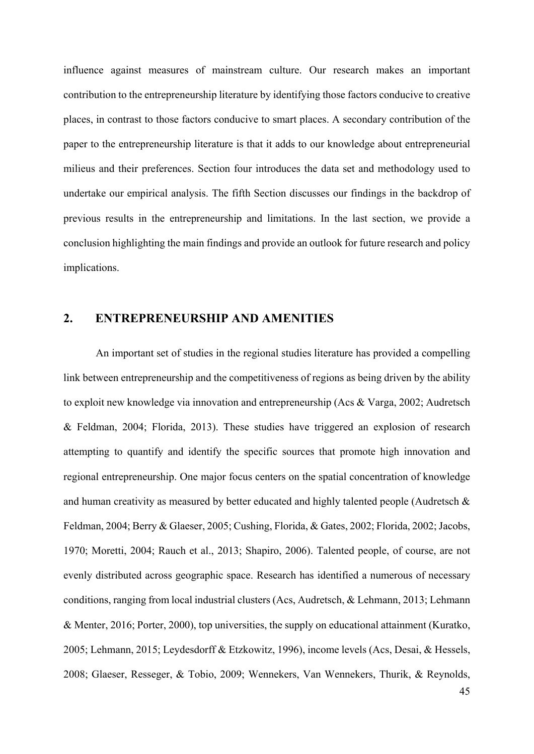influence against measures of mainstream culture. Our research makes an important contribution to the entrepreneurship literature by identifying those factors conducive to creative places, in contrast to those factors conducive to smart places. A secondary contribution of the paper to the entrepreneurship literature is that it adds to our knowledge about entrepreneurial milieus and their preferences. Section four introduces the data set and methodology used to undertake our empirical analysis. The fifth Section discusses our findings in the backdrop of previous results in the entrepreneurship and limitations. In the last section, we provide a conclusion highlighting the main findings and provide an outlook for future research and policy implications.

# **2. ENTREPRENEURSHIP AND AMENITIES**

An important set of studies in the regional studies literature has provided a compelling link between entrepreneurship and the competitiveness of regions as being driven by the ability to exploit new knowledge via innovation and entrepreneurship (Acs & Varga, 2002; Audretsch & Feldman, 2004; Florida, 2013). These studies have triggered an explosion of research attempting to quantify and identify the specific sources that promote high innovation and regional entrepreneurship. One major focus centers on the spatial concentration of knowledge and human creativity as measured by better educated and highly talented people (Audretsch & Feldman, 2004; Berry & Glaeser, 2005; Cushing, Florida, & Gates, 2002; Florida, 2002; Jacobs, 1970; Moretti, 2004; Rauch et al., 2013; Shapiro, 2006). Talented people, of course, are not evenly distributed across geographic space. Research has identified a numerous of necessary conditions, ranging from local industrial clusters (Acs, Audretsch, & Lehmann, 2013; Lehmann & Menter, 2016; Porter, 2000), top universities, the supply on educational attainment (Kuratko, 2005; Lehmann, 2015; Leydesdorff & Etzkowitz, 1996), income levels (Acs, Desai, & Hessels, 2008; Glaeser, Resseger, & Tobio, 2009; Wennekers, Van Wennekers, Thurik, & Reynolds,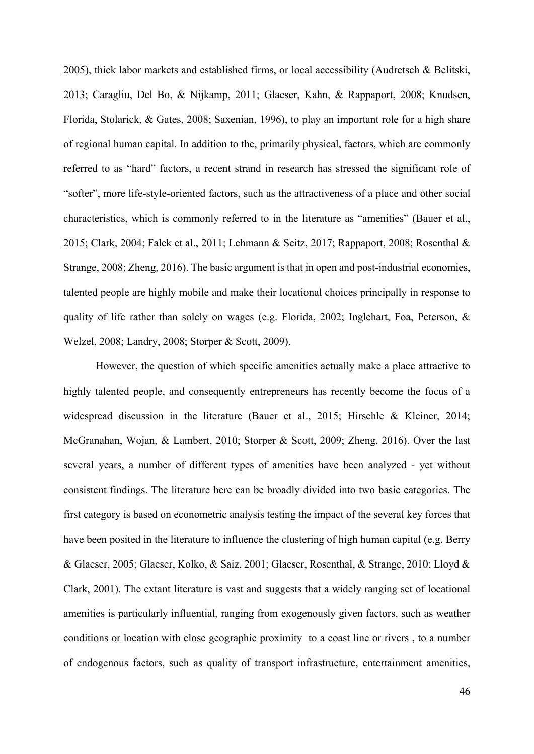2005), thick labor markets and established firms, or local accessibility (Audretsch & Belitski, 2013; Caragliu, Del Bo, & Nijkamp, 2011; Glaeser, Kahn, & Rappaport, 2008; Knudsen, Florida, Stolarick, & Gates, 2008; Saxenian, 1996), to play an important role for a high share of regional human capital. In addition to the, primarily physical, factors, which are commonly referred to as "hard" factors, a recent strand in research has stressed the significant role of "softer", more life-style-oriented factors, such as the attractiveness of a place and other social characteristics, which is commonly referred to in the literature as "amenities" (Bauer et al., 2015; Clark, 2004; Falck et al., 2011; Lehmann & Seitz, 2017; Rappaport, 2008; Rosenthal & Strange, 2008; Zheng, 2016). The basic argument is that in open and post-industrial economies, talented people are highly mobile and make their locational choices principally in response to quality of life rather than solely on wages (e.g. Florida, 2002; Inglehart, Foa, Peterson, & Welzel, 2008; Landry, 2008; Storper & Scott, 2009).

However, the question of which specific amenities actually make a place attractive to highly talented people, and consequently entrepreneurs has recently become the focus of a widespread discussion in the literature (Bauer et al., 2015; Hirschle & Kleiner, 2014; McGranahan, Wojan, & Lambert, 2010; Storper & Scott, 2009; Zheng, 2016). Over the last several years, a number of different types of amenities have been analyzed - yet without consistent findings. The literature here can be broadly divided into two basic categories. The first category is based on econometric analysis testing the impact of the several key forces that have been posited in the literature to influence the clustering of high human capital (e.g. Berry & Glaeser, 2005; Glaeser, Kolko, & Saiz, 2001; Glaeser, Rosenthal, & Strange, 2010; Lloyd & Clark, 2001). The extant literature is vast and suggests that a widely ranging set of locational amenities is particularly influential, ranging from exogenously given factors, such as weather conditions or location with close geographic proximity to a coast line or rivers , to a number of endogenous factors, such as quality of transport infrastructure, entertainment amenities,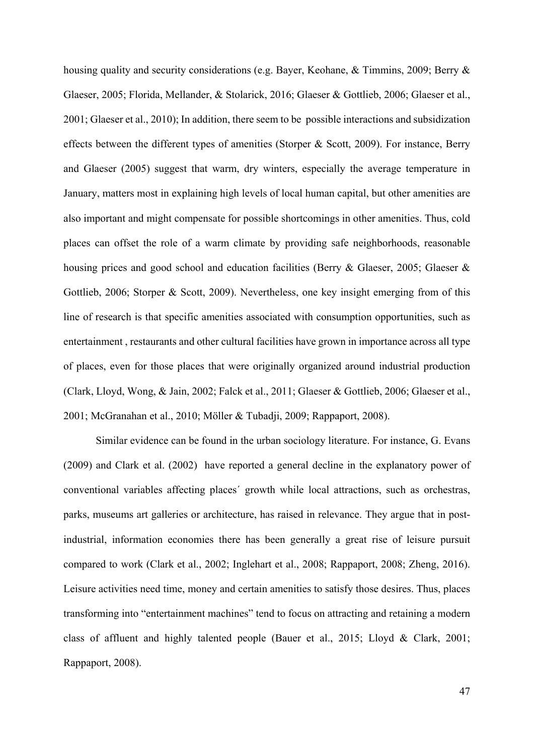housing quality and security considerations (e.g. Bayer, Keohane, & Timmins, 2009; Berry & Glaeser, 2005; Florida, Mellander, & Stolarick, 2016; Glaeser & Gottlieb, 2006; Glaeser et al., 2001; Glaeser et al., 2010); In addition, there seem to be possible interactions and subsidization effects between the different types of amenities (Storper & Scott, 2009). For instance, Berry and Glaeser (2005) suggest that warm, dry winters, especially the average temperature in January, matters most in explaining high levels of local human capital, but other amenities are also important and might compensate for possible shortcomings in other amenities. Thus, cold places can offset the role of a warm climate by providing safe neighborhoods, reasonable housing prices and good school and education facilities (Berry & Glaeser, 2005; Glaeser & Gottlieb, 2006; Storper & Scott, 2009). Nevertheless, one key insight emerging from of this line of research is that specific amenities associated with consumption opportunities, such as entertainment , restaurants and other cultural facilities have grown in importance across all type of places, even for those places that were originally organized around industrial production (Clark, Lloyd, Wong, & Jain, 2002; Falck et al., 2011; Glaeser & Gottlieb, 2006; Glaeser et al., 2001; McGranahan et al., 2010; Möller & Tubadji, 2009; Rappaport, 2008).

Similar evidence can be found in the urban sociology literature. For instance, G. Evans (2009) and Clark et al. (2002) have reported a general decline in the explanatory power of conventional variables affecting places´ growth while local attractions, such as orchestras, parks, museums art galleries or architecture, has raised in relevance. They argue that in postindustrial, information economies there has been generally a great rise of leisure pursuit compared to work (Clark et al., 2002; Inglehart et al., 2008; Rappaport, 2008; Zheng, 2016). Leisure activities need time, money and certain amenities to satisfy those desires. Thus, places transforming into "entertainment machines" tend to focus on attracting and retaining a modern class of affluent and highly talented people (Bauer et al., 2015; Lloyd & Clark, 2001; Rappaport, 2008).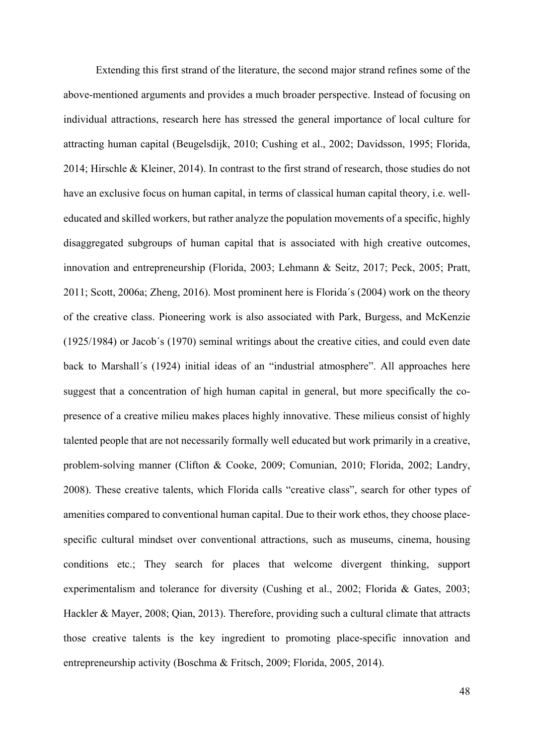Extending this first strand of the literature, the second major strand refines some of the above-mentioned arguments and provides a much broader perspective. Instead of focusing on individual attractions, research here has stressed the general importance of local culture for attracting human capital (Beugelsdijk, 2010; Cushing et al., 2002; Davidsson, 1995; Florida, 2014; Hirschle & Kleiner, 2014). In contrast to the first strand of research, those studies do not have an exclusive focus on human capital, in terms of classical human capital theory, i.e. welleducated and skilled workers, but rather analyze the population movements of a specific, highly disaggregated subgroups of human capital that is associated with high creative outcomes, innovation and entrepreneurship (Florida, 2003; Lehmann & Seitz, 2017; Peck, 2005; Pratt, 2011; Scott, 2006a; Zheng, 2016). Most prominent here is Florida´s (2004) work on the theory of the creative class. Pioneering work is also associated with Park, Burgess, and McKenzie (1925/1984) or Jacob´s (1970) seminal writings about the creative cities, and could even date back to Marshall´s (1924) initial ideas of an "industrial atmosphere". All approaches here suggest that a concentration of high human capital in general, but more specifically the copresence of a creative milieu makes places highly innovative. These milieus consist of highly talented people that are not necessarily formally well educated but work primarily in a creative, problem-solving manner (Clifton & Cooke, 2009; Comunian, 2010; Florida, 2002; Landry, 2008). These creative talents, which Florida calls "creative class", search for other types of amenities compared to conventional human capital. Due to their work ethos, they choose placespecific cultural mindset over conventional attractions, such as museums, cinema, housing conditions etc.; They search for places that welcome divergent thinking, support experimentalism and tolerance for diversity (Cushing et al., 2002; Florida & Gates, 2003; Hackler & Mayer, 2008; Qian, 2013). Therefore, providing such a cultural climate that attracts those creative talents is the key ingredient to promoting place-specific innovation and entrepreneurship activity (Boschma & Fritsch, 2009; Florida, 2005, 2014).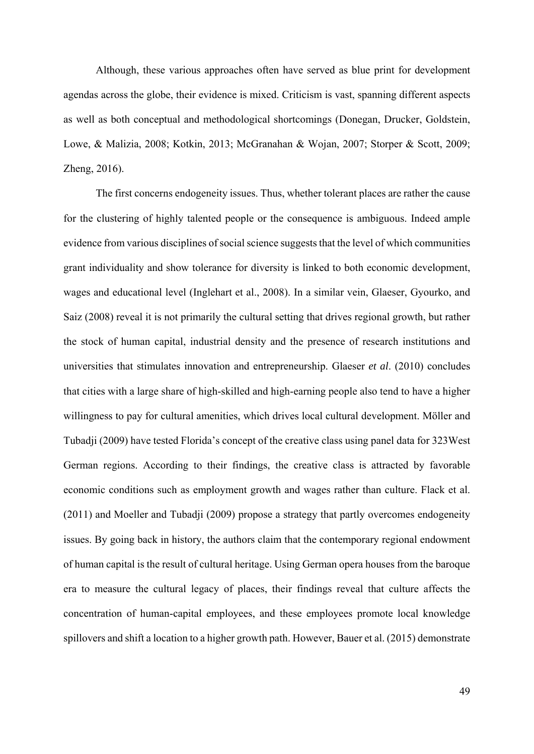Although, these various approaches often have served as blue print for development agendas across the globe, their evidence is mixed. Criticism is vast, spanning different aspects as well as both conceptual and methodological shortcomings (Donegan, Drucker, Goldstein, Lowe, & Malizia, 2008; Kotkin, 2013; McGranahan & Wojan, 2007; Storper & Scott, 2009; Zheng, 2016).

The first concerns endogeneity issues. Thus, whether tolerant places are rather the cause for the clustering of highly talented people or the consequence is ambiguous. Indeed ample evidence from various disciplines of social science suggests that the level of which communities grant individuality and show tolerance for diversity is linked to both economic development, wages and educational level (Inglehart et al., 2008). In a similar vein, Glaeser, Gyourko, and Saiz (2008) reveal it is not primarily the cultural setting that drives regional growth, but rather the stock of human capital, industrial density and the presence of research institutions and universities that stimulates innovation and entrepreneurship. Glaeser *et al*. (2010) concludes that cities with a large share of high-skilled and high-earning people also tend to have a higher willingness to pay for cultural amenities, which drives local cultural development. Möller and Tubadji (2009) have tested Florida's concept of the creative class using panel data for 323West German regions. According to their findings, the creative class is attracted by favorable economic conditions such as employment growth and wages rather than culture. Flack et al. (2011) and Moeller and Tubadji (2009) propose a strategy that partly overcomes endogeneity issues. By going back in history, the authors claim that the contemporary regional endowment of human capital is the result of cultural heritage. Using German opera houses from the baroque era to measure the cultural legacy of places, their findings reveal that culture affects the concentration of human-capital employees, and these employees promote local knowledge spillovers and shift a location to a higher growth path. However, Bauer et al. (2015) demonstrate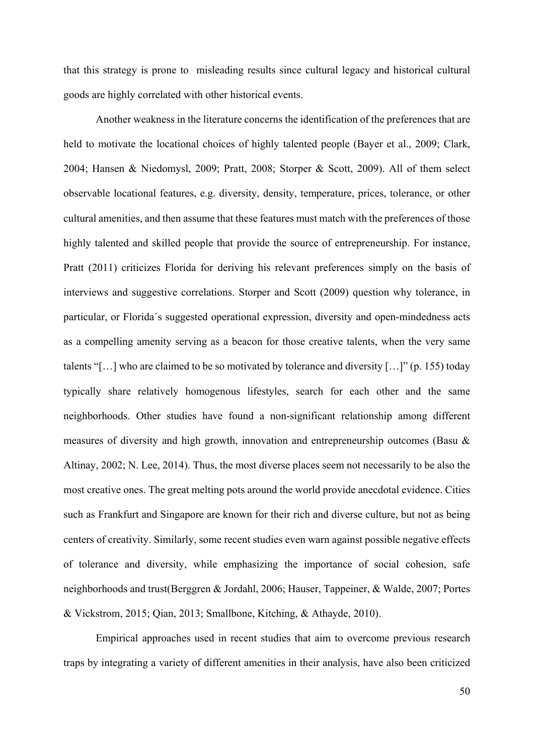that this strategy is prone to misleading results since cultural legacy and historical cultural goods are highly correlated with other historical events.

Another weakness in the literature concerns the identification of the preferences that are held to motivate the locational choices of highly talented people (Bayer et al., 2009; Clark, 2004; Hansen & Niedomysl, 2009; Pratt, 2008; Storper & Scott, 2009). All of them select observable locational features, e.g. diversity, density, temperature, prices, tolerance, or other cultural amenities, and then assume that these features must match with the preferences of those highly talented and skilled people that provide the source of entrepreneurship. For instance, Pratt (2011) criticizes Florida for deriving his relevant preferences simply on the basis of interviews and suggestive correlations. Storper and Scott (2009) question why tolerance, in particular, or Florida´s suggested operational expression, diversity and open-mindedness acts as a compelling amenity serving as a beacon for those creative talents, when the very same talents "[…] who are claimed to be so motivated by tolerance and diversity […]" (p. 155) today typically share relatively homogenous lifestyles, search for each other and the same neighborhoods. Other studies have found a non-significant relationship among different measures of diversity and high growth, innovation and entrepreneurship outcomes (Basu & Altinay, 2002; N. Lee, 2014). Thus, the most diverse places seem not necessarily to be also the most creative ones. The great melting pots around the world provide anecdotal evidence. Cities such as Frankfurt and Singapore are known for their rich and diverse culture, but not as being centers of creativity. Similarly, some recent studies even warn against possible negative effects of tolerance and diversity, while emphasizing the importance of social cohesion, safe neighborhoods and trust(Berggren & Jordahl, 2006; Hauser, Tappeiner, & Walde, 2007; Portes & Vickstrom, 2015; Qian, 2013; Smallbone, Kitching, & Athayde, 2010).

Empirical approaches used in recent studies that aim to overcome previous research traps by integrating a variety of different amenities in their analysis, have also been criticized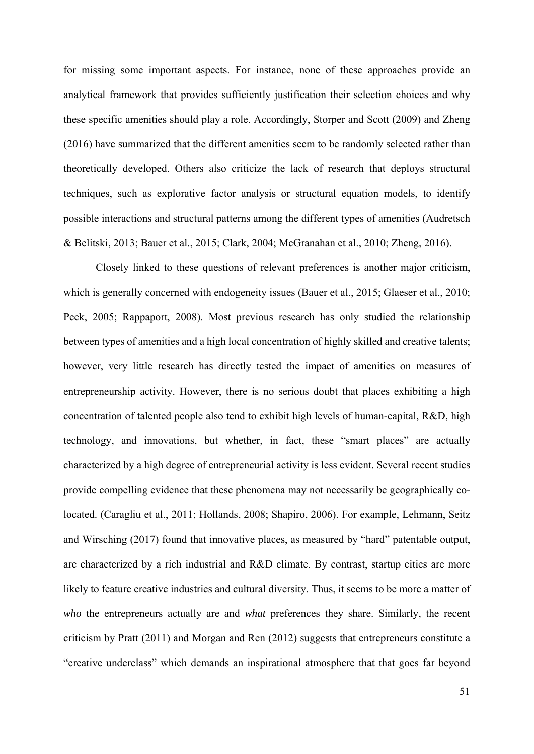for missing some important aspects. For instance, none of these approaches provide an analytical framework that provides sufficiently justification their selection choices and why these specific amenities should play a role. Accordingly, Storper and Scott (2009) and Zheng (2016) have summarized that the different amenities seem to be randomly selected rather than theoretically developed. Others also criticize the lack of research that deploys structural techniques, such as explorative factor analysis or structural equation models, to identify possible interactions and structural patterns among the different types of amenities (Audretsch & Belitski, 2013; Bauer et al., 2015; Clark, 2004; McGranahan et al., 2010; Zheng, 2016).

Closely linked to these questions of relevant preferences is another major criticism, which is generally concerned with endogeneity issues (Bauer et al., 2015; Glaeser et al., 2010; Peck, 2005; Rappaport, 2008). Most previous research has only studied the relationship between types of amenities and a high local concentration of highly skilled and creative talents; however, very little research has directly tested the impact of amenities on measures of entrepreneurship activity. However, there is no serious doubt that places exhibiting a high concentration of talented people also tend to exhibit high levels of human-capital, R&D, high technology, and innovations, but whether, in fact, these "smart places" are actually characterized by a high degree of entrepreneurial activity is less evident. Several recent studies provide compelling evidence that these phenomena may not necessarily be geographically colocated. (Caragliu et al., 2011; Hollands, 2008; Shapiro, 2006). For example, Lehmann, Seitz and Wirsching (2017) found that innovative places, as measured by "hard" patentable output, are characterized by a rich industrial and R&D climate. By contrast, startup cities are more likely to feature creative industries and cultural diversity. Thus, it seems to be more a matter of *who* the entrepreneurs actually are and *what* preferences they share. Similarly, the recent criticism by Pratt (2011) and Morgan and Ren (2012) suggests that entrepreneurs constitute a "creative underclass" which demands an inspirational atmosphere that that goes far beyond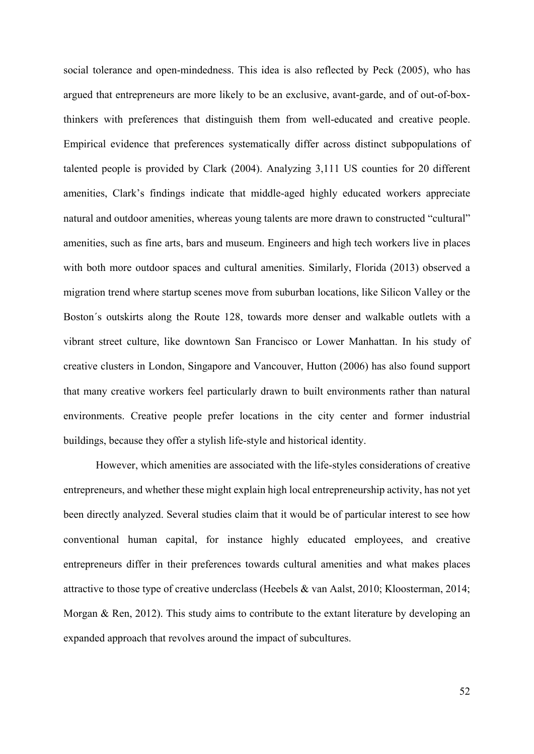social tolerance and open-mindedness. This idea is also reflected by Peck (2005), who has argued that entrepreneurs are more likely to be an exclusive, avant-garde, and of out-of-boxthinkers with preferences that distinguish them from well-educated and creative people. Empirical evidence that preferences systematically differ across distinct subpopulations of talented people is provided by Clark (2004). Analyzing 3,111 US counties for 20 different amenities, Clark's findings indicate that middle-aged highly educated workers appreciate natural and outdoor amenities, whereas young talents are more drawn to constructed "cultural" amenities, such as fine arts, bars and museum. Engineers and high tech workers live in places with both more outdoor spaces and cultural amenities. Similarly, Florida (2013) observed a migration trend where startup scenes move from suburban locations, like Silicon Valley or the Boston´s outskirts along the Route 128, towards more denser and walkable outlets with a vibrant street culture, like downtown San Francisco or Lower Manhattan. In his study of creative clusters in London, Singapore and Vancouver, Hutton (2006) has also found support that many creative workers feel particularly drawn to built environments rather than natural environments. Creative people prefer locations in the city center and former industrial buildings, because they offer a stylish life-style and historical identity.

However, which amenities are associated with the life-styles considerations of creative entrepreneurs, and whether these might explain high local entrepreneurship activity, has not yet been directly analyzed. Several studies claim that it would be of particular interest to see how conventional human capital, for instance highly educated employees, and creative entrepreneurs differ in their preferences towards cultural amenities and what makes places attractive to those type of creative underclass (Heebels & van Aalst, 2010; Kloosterman, 2014; Morgan & Ren, 2012). This study aims to contribute to the extant literature by developing an expanded approach that revolves around the impact of subcultures.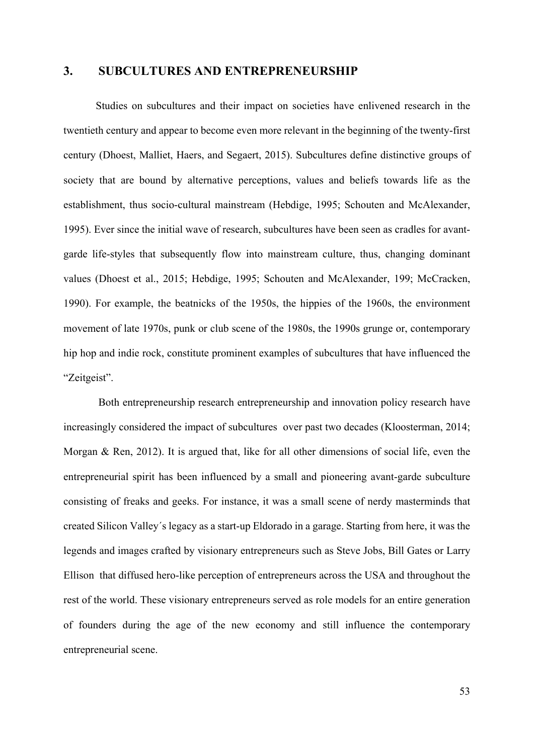## **3. SUBCULTURES AND ENTREPRENEURSHIP**

Studies on subcultures and their impact on societies have enlivened research in the twentieth century and appear to become even more relevant in the beginning of the twenty-first century (Dhoest, Malliet, Haers, and Segaert, 2015). Subcultures define distinctive groups of society that are bound by alternative perceptions, values and beliefs towards life as the establishment, thus socio-cultural mainstream (Hebdige, 1995; Schouten and McAlexander, 1995). Ever since the initial wave of research, subcultures have been seen as cradles for avantgarde life-styles that subsequently flow into mainstream culture, thus, changing dominant values (Dhoest et al., 2015; Hebdige, 1995; Schouten and McAlexander, 199; McCracken, 1990). For example, the beatnicks of the 1950s, the hippies of the 1960s, the environment movement of late 1970s, punk or club scene of the 1980s, the 1990s grunge or, contemporary hip hop and indie rock, constitute prominent examples of subcultures that have influenced the "Zeitgeist".

 Both entrepreneurship research entrepreneurship and innovation policy research have increasingly considered the impact of subcultures over past two decades (Kloosterman, 2014; Morgan & Ren, 2012). It is argued that, like for all other dimensions of social life, even the entrepreneurial spirit has been influenced by a small and pioneering avant-garde subculture consisting of freaks and geeks. For instance, it was a small scene of nerdy masterminds that created Silicon Valley´s legacy as a start-up Eldorado in a garage. Starting from here, it was the legends and images crafted by visionary entrepreneurs such as Steve Jobs, Bill Gates or Larry Ellison that diffused hero-like perception of entrepreneurs across the USA and throughout the rest of the world. These visionary entrepreneurs served as role models for an entire generation of founders during the age of the new economy and still influence the contemporary entrepreneurial scene.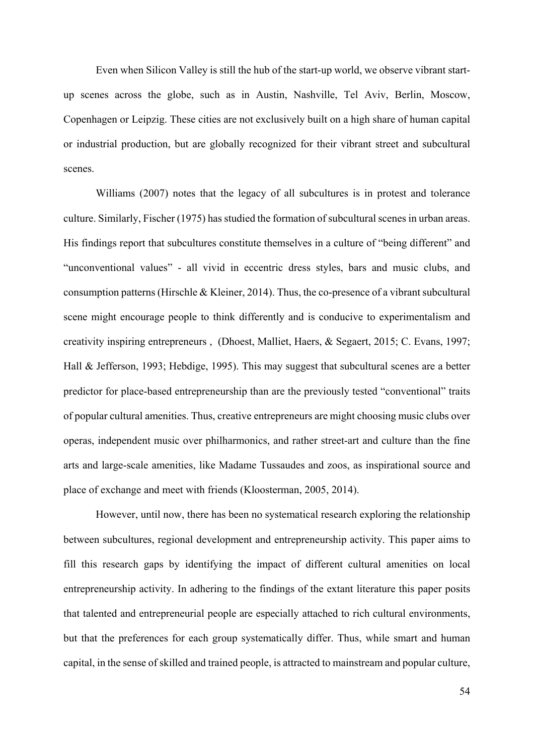Even when Silicon Valley is still the hub of the start-up world, we observe vibrant startup scenes across the globe, such as in Austin, Nashville, Tel Aviv, Berlin, Moscow, Copenhagen or Leipzig. These cities are not exclusively built on a high share of human capital or industrial production, but are globally recognized for their vibrant street and subcultural scenes.

Williams (2007) notes that the legacy of all subcultures is in protest and tolerance culture. Similarly, Fischer (1975) has studied the formation of subcultural scenes in urban areas. His findings report that subcultures constitute themselves in a culture of "being different" and "unconventional values" - all vivid in eccentric dress styles, bars and music clubs, and consumption patterns (Hirschle & Kleiner, 2014). Thus, the co-presence of a vibrant subcultural scene might encourage people to think differently and is conducive to experimentalism and creativity inspiring entrepreneurs , (Dhoest, Malliet, Haers, & Segaert, 2015; C. Evans, 1997; Hall & Jefferson, 1993; Hebdige, 1995). This may suggest that subcultural scenes are a better predictor for place-based entrepreneurship than are the previously tested "conventional" traits of popular cultural amenities. Thus, creative entrepreneurs are might choosing music clubs over operas, independent music over philharmonics, and rather street-art and culture than the fine arts and large-scale amenities, like Madame Tussaudes and zoos, as inspirational source and place of exchange and meet with friends (Kloosterman, 2005, 2014).

However, until now, there has been no systematical research exploring the relationship between subcultures, regional development and entrepreneurship activity. This paper aims to fill this research gaps by identifying the impact of different cultural amenities on local entrepreneurship activity. In adhering to the findings of the extant literature this paper posits that talented and entrepreneurial people are especially attached to rich cultural environments, but that the preferences for each group systematically differ. Thus, while smart and human capital, in the sense of skilled and trained people, is attracted to mainstream and popular culture,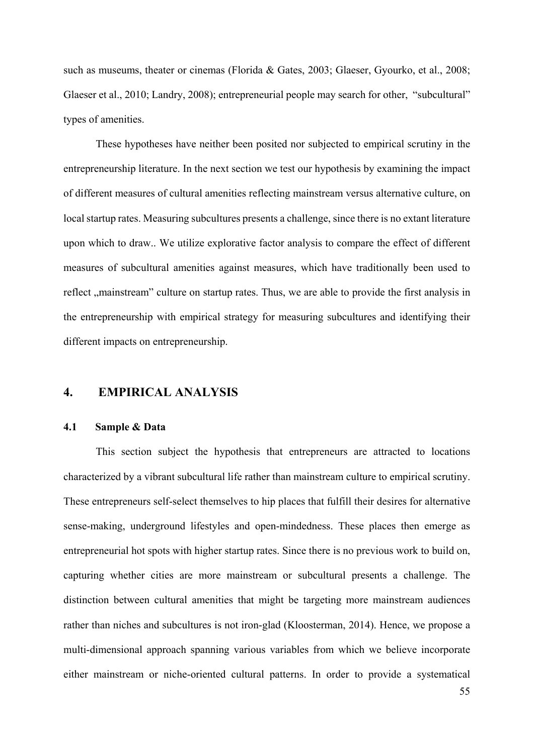such as museums, theater or cinemas (Florida & Gates, 2003; Glaeser, Gyourko, et al., 2008; Glaeser et al., 2010; Landry, 2008); entrepreneurial people may search for other, "subcultural" types of amenities.

These hypotheses have neither been posited nor subjected to empirical scrutiny in the entrepreneurship literature. In the next section we test our hypothesis by examining the impact of different measures of cultural amenities reflecting mainstream versus alternative culture, on local startup rates. Measuring subcultures presents a challenge, since there is no extant literature upon which to draw.. We utilize explorative factor analysis to compare the effect of different measures of subcultural amenities against measures, which have traditionally been used to reflect , mainstream" culture on startup rates. Thus, we are able to provide the first analysis in the entrepreneurship with empirical strategy for measuring subcultures and identifying their different impacts on entrepreneurship.

# **4. EMPIRICAL ANALYSIS**

## **4.1 Sample & Data**

This section subject the hypothesis that entrepreneurs are attracted to locations characterized by a vibrant subcultural life rather than mainstream culture to empirical scrutiny. These entrepreneurs self-select themselves to hip places that fulfill their desires for alternative sense-making, underground lifestyles and open-mindedness. These places then emerge as entrepreneurial hot spots with higher startup rates. Since there is no previous work to build on, capturing whether cities are more mainstream or subcultural presents a challenge. The distinction between cultural amenities that might be targeting more mainstream audiences rather than niches and subcultures is not iron-glad (Kloosterman, 2014). Hence, we propose a multi-dimensional approach spanning various variables from which we believe incorporate either mainstream or niche-oriented cultural patterns. In order to provide a systematical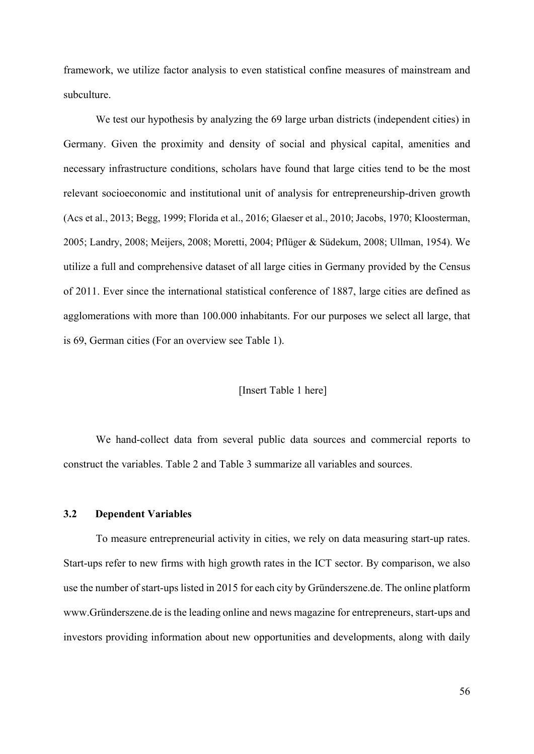framework, we utilize factor analysis to even statistical confine measures of mainstream and subculture.

We test our hypothesis by analyzing the 69 large urban districts (independent cities) in Germany. Given the proximity and density of social and physical capital, amenities and necessary infrastructure conditions, scholars have found that large cities tend to be the most relevant socioeconomic and institutional unit of analysis for entrepreneurship-driven growth (Acs et al., 2013; Begg, 1999; Florida et al., 2016; Glaeser et al., 2010; Jacobs, 1970; Kloosterman, 2005; Landry, 2008; Meijers, 2008; Moretti, 2004; Pflüger & Südekum, 2008; Ullman, 1954). We utilize a full and comprehensive dataset of all large cities in Germany provided by the Census of 2011. Ever since the international statistical conference of 1887, large cities are defined as agglomerations with more than 100.000 inhabitants. For our purposes we select all large, that is 69, German cities (For an overview see Table 1).

## [Insert Table 1 here]

We hand-collect data from several public data sources and commercial reports to construct the variables. Table 2 and Table 3 summarize all variables and sources.

#### **3.2 Dependent Variables**

To measure entrepreneurial activity in cities, we rely on data measuring start-up rates. Start-ups refer to new firms with high growth rates in the ICT sector. By comparison, we also use the number of start-ups listed in 2015 for each city by Gründerszene.de. The online platform www.Gründerszene.de is the leading online and news magazine for entrepreneurs, start-ups and investors providing information about new opportunities and developments, along with daily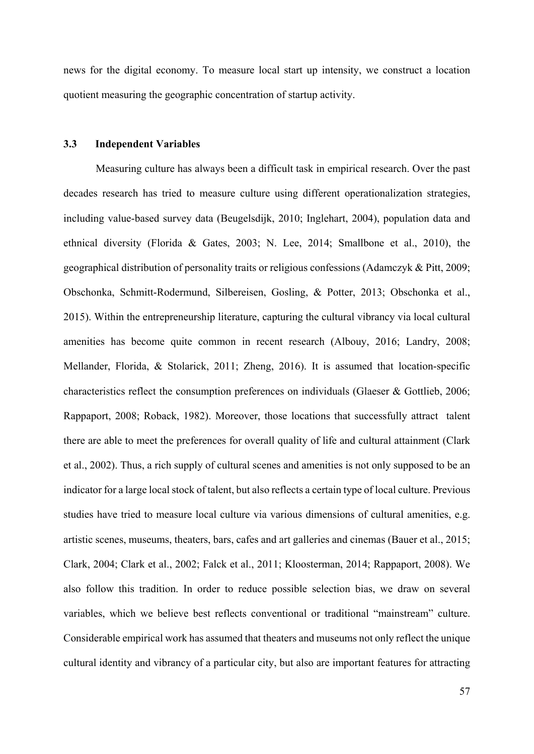news for the digital economy. To measure local start up intensity, we construct a location quotient measuring the geographic concentration of startup activity.

## **3.3 Independent Variables**

Measuring culture has always been a difficult task in empirical research. Over the past decades research has tried to measure culture using different operationalization strategies, including value-based survey data (Beugelsdijk, 2010; Inglehart, 2004), population data and ethnical diversity (Florida & Gates, 2003; N. Lee, 2014; Smallbone et al., 2010), the geographical distribution of personality traits or religious confessions (Adamczyk & Pitt, 2009; Obschonka, Schmitt-Rodermund, Silbereisen, Gosling, & Potter, 2013; Obschonka et al., 2015). Within the entrepreneurship literature, capturing the cultural vibrancy via local cultural amenities has become quite common in recent research (Albouy, 2016; Landry, 2008; Mellander, Florida, & Stolarick, 2011; Zheng, 2016). It is assumed that location-specific characteristics reflect the consumption preferences on individuals (Glaeser & Gottlieb, 2006; Rappaport, 2008; Roback, 1982). Moreover, those locations that successfully attract talent there are able to meet the preferences for overall quality of life and cultural attainment (Clark et al., 2002). Thus, a rich supply of cultural scenes and amenities is not only supposed to be an indicator for a large local stock of talent, but also reflects a certain type of local culture. Previous studies have tried to measure local culture via various dimensions of cultural amenities, e.g. artistic scenes, museums, theaters, bars, cafes and art galleries and cinemas (Bauer et al., 2015; Clark, 2004; Clark et al., 2002; Falck et al., 2011; Kloosterman, 2014; Rappaport, 2008). We also follow this tradition. In order to reduce possible selection bias, we draw on several variables, which we believe best reflects conventional or traditional "mainstream" culture. Considerable empirical work has assumed that theaters and museums not only reflect the unique cultural identity and vibrancy of a particular city, but also are important features for attracting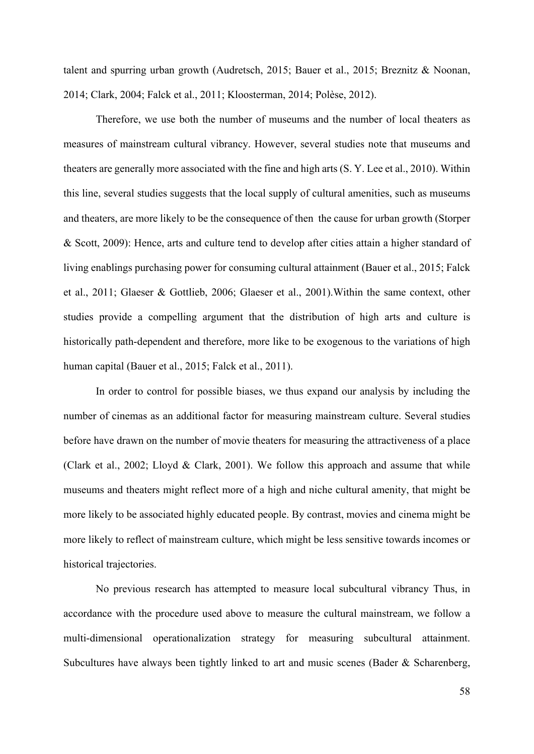talent and spurring urban growth (Audretsch, 2015; Bauer et al., 2015; Breznitz & Noonan, 2014; Clark, 2004; Falck et al., 2011; Kloosterman, 2014; Polèse, 2012).

Therefore, we use both the number of museums and the number of local theaters as measures of mainstream cultural vibrancy. However, several studies note that museums and theaters are generally more associated with the fine and high arts (S. Y. Lee et al., 2010). Within this line, several studies suggests that the local supply of cultural amenities, such as museums and theaters, are more likely to be the consequence of then the cause for urban growth (Storper & Scott, 2009): Hence, arts and culture tend to develop after cities attain a higher standard of living enablings purchasing power for consuming cultural attainment (Bauer et al., 2015; Falck et al., 2011; Glaeser & Gottlieb, 2006; Glaeser et al., 2001).Within the same context, other studies provide a compelling argument that the distribution of high arts and culture is historically path-dependent and therefore, more like to be exogenous to the variations of high human capital (Bauer et al., 2015; Falck et al., 2011).

In order to control for possible biases, we thus expand our analysis by including the number of cinemas as an additional factor for measuring mainstream culture. Several studies before have drawn on the number of movie theaters for measuring the attractiveness of a place (Clark et al., 2002; Lloyd & Clark, 2001). We follow this approach and assume that while museums and theaters might reflect more of a high and niche cultural amenity, that might be more likely to be associated highly educated people. By contrast, movies and cinema might be more likely to reflect of mainstream culture, which might be less sensitive towards incomes or historical trajectories.

No previous research has attempted to measure local subcultural vibrancy Thus, in accordance with the procedure used above to measure the cultural mainstream, we follow a multi-dimensional operationalization strategy for measuring subcultural attainment. Subcultures have always been tightly linked to art and music scenes (Bader & Scharenberg,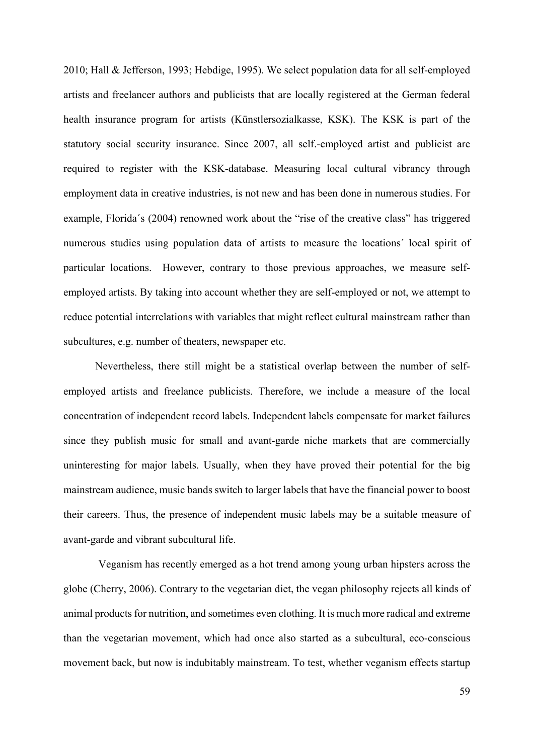2010; Hall & Jefferson, 1993; Hebdige, 1995). We select population data for all self-employed artists and freelancer authors and publicists that are locally registered at the German federal health insurance program for artists (Künstlersozialkasse, KSK). The KSK is part of the statutory social security insurance. Since 2007, all self.-employed artist and publicist are required to register with the KSK-database. Measuring local cultural vibrancy through employment data in creative industries, is not new and has been done in numerous studies. For example, Florida´s (2004) renowned work about the "rise of the creative class" has triggered numerous studies using population data of artists to measure the locations´ local spirit of particular locations. However, contrary to those previous approaches, we measure selfemployed artists. By taking into account whether they are self-employed or not, we attempt to reduce potential interrelations with variables that might reflect cultural mainstream rather than subcultures, e.g. number of theaters, newspaper etc.

Nevertheless, there still might be a statistical overlap between the number of selfemployed artists and freelance publicists. Therefore, we include a measure of the local concentration of independent record labels. Independent labels compensate for market failures since they publish music for small and avant-garde niche markets that are commercially uninteresting for major labels. Usually, when they have proved their potential for the big mainstream audience, music bands switch to larger labels that have the financial power to boost their careers. Thus, the presence of independent music labels may be a suitable measure of avant-garde and vibrant subcultural life.

 Veganism has recently emerged as a hot trend among young urban hipsters across the globe (Cherry, 2006). Contrary to the vegetarian diet, the vegan philosophy rejects all kinds of animal products for nutrition, and sometimes even clothing. It is much more radical and extreme than the vegetarian movement, which had once also started as a subcultural, eco-conscious movement back, but now is indubitably mainstream. To test, whether veganism effects startup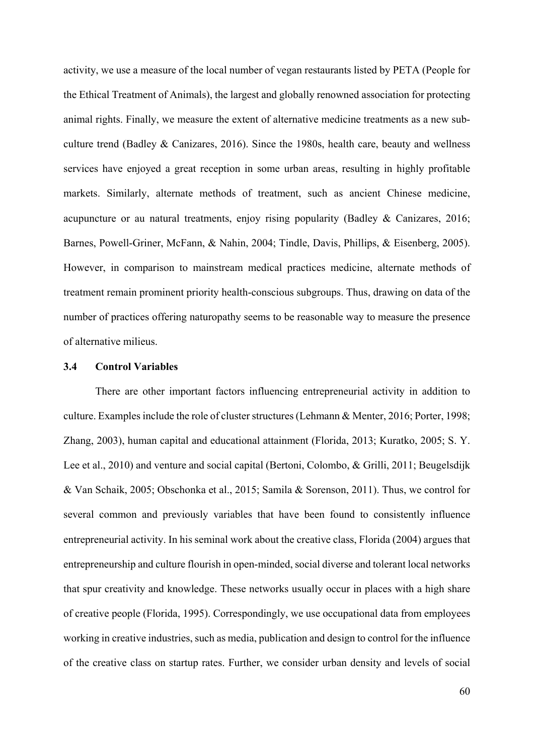activity, we use a measure of the local number of vegan restaurants listed by PETA (People for the Ethical Treatment of Animals), the largest and globally renowned association for protecting animal rights. Finally, we measure the extent of alternative medicine treatments as a new subculture trend (Badley & Canizares, 2016). Since the 1980s, health care, beauty and wellness services have enjoyed a great reception in some urban areas, resulting in highly profitable markets. Similarly, alternate methods of treatment, such as ancient Chinese medicine, acupuncture or au natural treatments, enjoy rising popularity (Badley & Canizares, 2016; Barnes, Powell-Griner, McFann, & Nahin, 2004; Tindle, Davis, Phillips, & Eisenberg, 2005). However, in comparison to mainstream medical practices medicine, alternate methods of treatment remain prominent priority health-conscious subgroups. Thus, drawing on data of the number of practices offering naturopathy seems to be reasonable way to measure the presence of alternative milieus.

### **3.4 Control Variables**

There are other important factors influencing entrepreneurial activity in addition to culture. Examples include the role of cluster structures (Lehmann & Menter, 2016; Porter, 1998; Zhang, 2003), human capital and educational attainment (Florida, 2013; Kuratko, 2005; S. Y. Lee et al., 2010) and venture and social capital (Bertoni, Colombo, & Grilli, 2011; Beugelsdijk & Van Schaik, 2005; Obschonka et al., 2015; Samila & Sorenson, 2011). Thus, we control for several common and previously variables that have been found to consistently influence entrepreneurial activity. In his seminal work about the creative class, Florida (2004) argues that entrepreneurship and culture flourish in open-minded, social diverse and tolerant local networks that spur creativity and knowledge. These networks usually occur in places with a high share of creative people (Florida, 1995). Correspondingly, we use occupational data from employees working in creative industries, such as media, publication and design to control for the influence of the creative class on startup rates. Further, we consider urban density and levels of social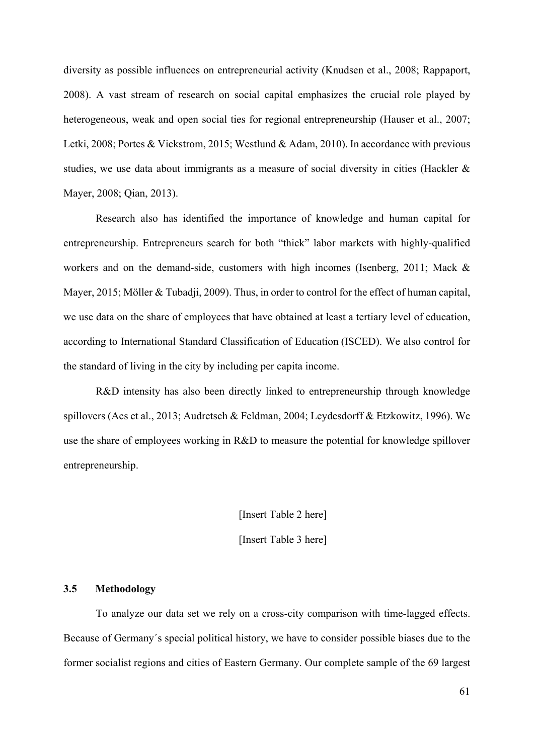diversity as possible influences on entrepreneurial activity (Knudsen et al., 2008; Rappaport, 2008). A vast stream of research on social capital emphasizes the crucial role played by heterogeneous, weak and open social ties for regional entrepreneurship (Hauser et al., 2007; Letki, 2008; Portes & Vickstrom, 2015; Westlund & Adam, 2010). In accordance with previous studies, we use data about immigrants as a measure of social diversity in cities (Hackler & Mayer, 2008; Qian, 2013).

Research also has identified the importance of knowledge and human capital for entrepreneurship. Entrepreneurs search for both "thick" labor markets with highly-qualified workers and on the demand-side, customers with high incomes (Isenberg, 2011; Mack & Mayer, 2015; Möller & Tubadji, 2009). Thus, in order to control for the effect of human capital, we use data on the share of employees that have obtained at least a tertiary level of education, according to International Standard Classification of Education (ISCED). We also control for the standard of living in the city by including per capita income.

R&D intensity has also been directly linked to entrepreneurship through knowledge spillovers (Acs et al., 2013; Audretsch & Feldman, 2004; Leydesdorff & Etzkowitz, 1996). We use the share of employees working in R&D to measure the potential for knowledge spillover entrepreneurship.

[Insert Table 2 here]

[Insert Table 3 here]

## **3.5 Methodology**

To analyze our data set we rely on a cross-city comparison with time-lagged effects. Because of Germany´s special political history, we have to consider possible biases due to the former socialist regions and cities of Eastern Germany. Our complete sample of the 69 largest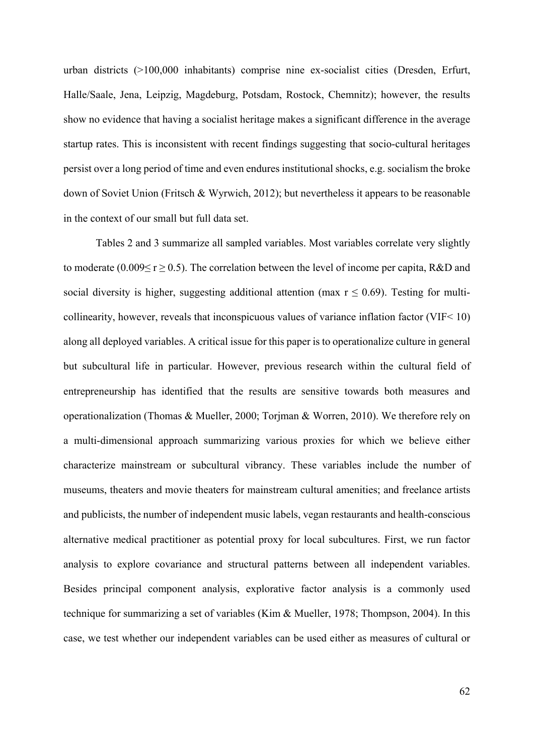urban districts (>100,000 inhabitants) comprise nine ex-socialist cities (Dresden, Erfurt, Halle/Saale, Jena, Leipzig, Magdeburg, Potsdam, Rostock, Chemnitz); however, the results show no evidence that having a socialist heritage makes a significant difference in the average startup rates. This is inconsistent with recent findings suggesting that socio-cultural heritages persist over a long period of time and even endures institutional shocks, e.g. socialism the broke down of Soviet Union (Fritsch & Wyrwich, 2012); but nevertheless it appears to be reasonable in the context of our small but full data set.

Tables 2 and 3 summarize all sampled variables. Most variables correlate very slightly to moderate (0.009 $\le$  r  $\ge$  0.5). The correlation between the level of income per capita, R&D and social diversity is higher, suggesting additional attention (max  $r \leq 0.69$ ). Testing for multicollinearity, however, reveals that inconspicuous values of variance inflation factor (VIF< 10) along all deployed variables. A critical issue for this paper is to operationalize culture in general but subcultural life in particular. However, previous research within the cultural field of entrepreneurship has identified that the results are sensitive towards both measures and operationalization (Thomas & Mueller, 2000; Torjman & Worren, 2010). We therefore rely on a multi-dimensional approach summarizing various proxies for which we believe either characterize mainstream or subcultural vibrancy. These variables include the number of museums, theaters and movie theaters for mainstream cultural amenities; and freelance artists and publicists, the number of independent music labels, vegan restaurants and health-conscious alternative medical practitioner as potential proxy for local subcultures. First, we run factor analysis to explore covariance and structural patterns between all independent variables. Besides principal component analysis, explorative factor analysis is a commonly used technique for summarizing a set of variables (Kim & Mueller, 1978; Thompson, 2004). In this case, we test whether our independent variables can be used either as measures of cultural or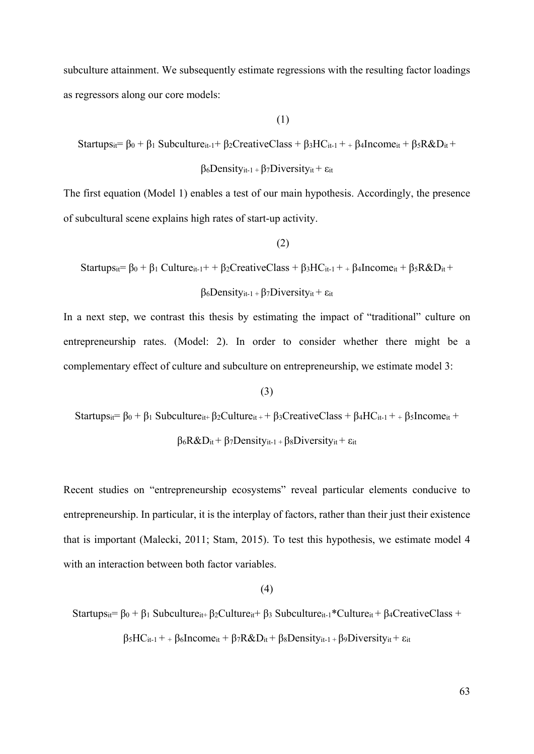subculture attainment. We subsequently estimate regressions with the resulting factor loadings as regressors along our core models:

### (1)

Startups<sub>it</sub>=  $\beta_0 + \beta_1$  Subculture<sub>it-1</sub>+  $\beta_2$ CreativeClass +  $\beta_3$ HC<sub>it-1</sub> + +  $\beta_4$ Income<sub>it</sub> +  $\beta_5 R \& D_{it}$  +

$$
\beta_6 Density_{it-1} + \beta_7 Diversity_{it} + \varepsilon_{it}
$$

The first equation (Model 1) enables a test of our main hypothesis. Accordingly, the presence of subcultural scene explains high rates of start-up activity.

## (2)

Startups<sub>it</sub>=  $\beta_0 + \beta_1$  Culture<sub>it-1</sub>+ +  $\beta_2$ CreativeClass +  $\beta_3$ HC<sub>it-1</sub> + +  $\beta_4$ Income<sub>it</sub> +  $\beta_5$ R&D<sub>it</sub> +

## β6Densityit-1 + β7Diversityit + εit

In a next step, we contrast this thesis by estimating the impact of "traditional" culture on entrepreneurship rates. (Model: 2). In order to consider whether there might be a complementary effect of culture and subculture on entrepreneurship, we estimate model 3:

#### (3)

Startups<sub>it</sub>=  $\beta_0 + \beta_1$  Subculture<sub>it</sub> +  $\beta_2$ Culture<sub>it</sub> + +  $\beta_3$ CreativeClass +  $\beta_4$ HC<sub>it-1</sub> + <sub>+</sub>  $\beta_5$ Income<sub>it</sub> + β6R&Dit + β7Densityit-1 + β8Diversityit + εit

Recent studies on "entrepreneurship ecosystems" reveal particular elements conducive to entrepreneurship. In particular, it is the interplay of factors, rather than their just their existence that is important (Malecki, 2011; Stam, 2015). To test this hypothesis, we estimate model 4 with an interaction between both factor variables.

#### (4)

Startups<sub>it</sub>=  $\beta_0 + \beta_1$  Subculture<sub>it+</sub>  $\beta_2$ Culture<sub>it</sub>+  $\beta_3$  Subculture<sub>it-1</sub>\*Culture<sub>it</sub> +  $\beta_4$ CreativeClass +

 $\beta_5HC_{it-1}$  + + β<sub>6</sub>Income<sub>it</sub> + β7R&D<sub>it</sub> + β8Density<sub>it-1</sub> + β9Diversity<sub>it</sub> + ε<sub>it</sub>

63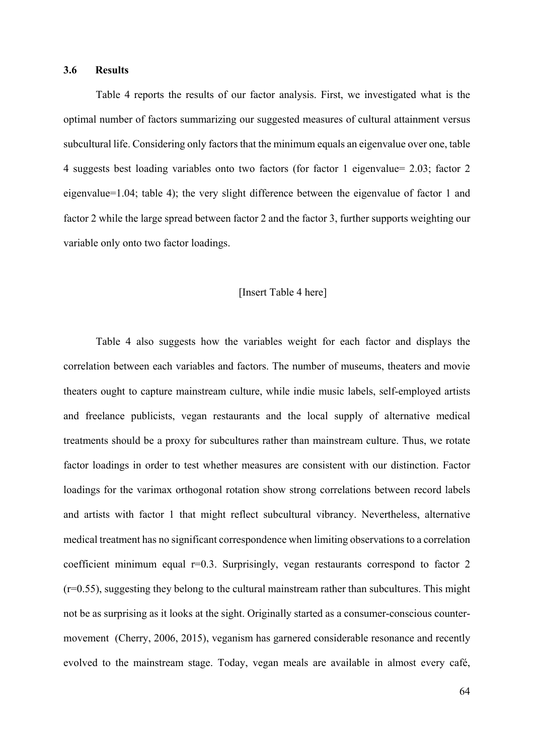#### **3.6 Results**

Table 4 reports the results of our factor analysis. First, we investigated what is the optimal number of factors summarizing our suggested measures of cultural attainment versus subcultural life. Considering only factors that the minimum equals an eigenvalue over one, table 4 suggests best loading variables onto two factors (for factor 1 eigenvalue= 2.03; factor 2 eigenvalue=1.04; table 4); the very slight difference between the eigenvalue of factor 1 and factor 2 while the large spread between factor 2 and the factor 3, further supports weighting our variable only onto two factor loadings.

### [Insert Table 4 here]

Table 4 also suggests how the variables weight for each factor and displays the correlation between each variables and factors. The number of museums, theaters and movie theaters ought to capture mainstream culture, while indie music labels, self-employed artists and freelance publicists, vegan restaurants and the local supply of alternative medical treatments should be a proxy for subcultures rather than mainstream culture. Thus, we rotate factor loadings in order to test whether measures are consistent with our distinction. Factor loadings for the varimax orthogonal rotation show strong correlations between record labels and artists with factor 1 that might reflect subcultural vibrancy. Nevertheless, alternative medical treatment has no significant correspondence when limiting observations to a correlation coefficient minimum equal  $r=0.3$ . Surprisingly, vegan restaurants correspond to factor 2 (r=0.55), suggesting they belong to the cultural mainstream rather than subcultures. This might not be as surprising as it looks at the sight. Originally started as a consumer-conscious countermovement (Cherry, 2006, 2015), veganism has garnered considerable resonance and recently evolved to the mainstream stage. Today, vegan meals are available in almost every café,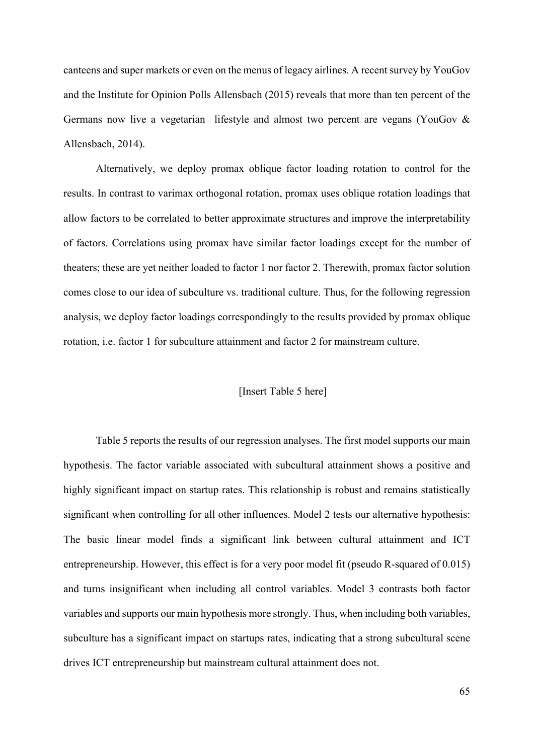canteens and super markets or even on the menus of legacy airlines. A recent survey by YouGov and the Institute for Opinion Polls Allensbach (2015) reveals that more than ten percent of the Germans now live a vegetarian lifestyle and almost two percent are vegans (YouGov & Allensbach, 2014).

Alternatively, we deploy promax oblique factor loading rotation to control for the results. In contrast to varimax orthogonal rotation, promax uses oblique rotation loadings that allow factors to be correlated to better approximate structures and improve the interpretability of factors. Correlations using promax have similar factor loadings except for the number of theaters; these are yet neither loaded to factor 1 nor factor 2. Therewith, promax factor solution comes close to our idea of subculture vs. traditional culture. Thus, for the following regression analysis, we deploy factor loadings correspondingly to the results provided by promax oblique rotation, i.e. factor 1 for subculture attainment and factor 2 for mainstream culture.

### [Insert Table 5 here]

Table 5 reports the results of our regression analyses. The first model supports our main hypothesis. The factor variable associated with subcultural attainment shows a positive and highly significant impact on startup rates. This relationship is robust and remains statistically significant when controlling for all other influences. Model 2 tests our alternative hypothesis: The basic linear model finds a significant link between cultural attainment and ICT entrepreneurship. However, this effect is for a very poor model fit (pseudo R-squared of 0.015) and turns insignificant when including all control variables. Model 3 contrasts both factor variables and supports our main hypothesis more strongly. Thus, when including both variables, subculture has a significant impact on startups rates, indicating that a strong subcultural scene drives ICT entrepreneurship but mainstream cultural attainment does not.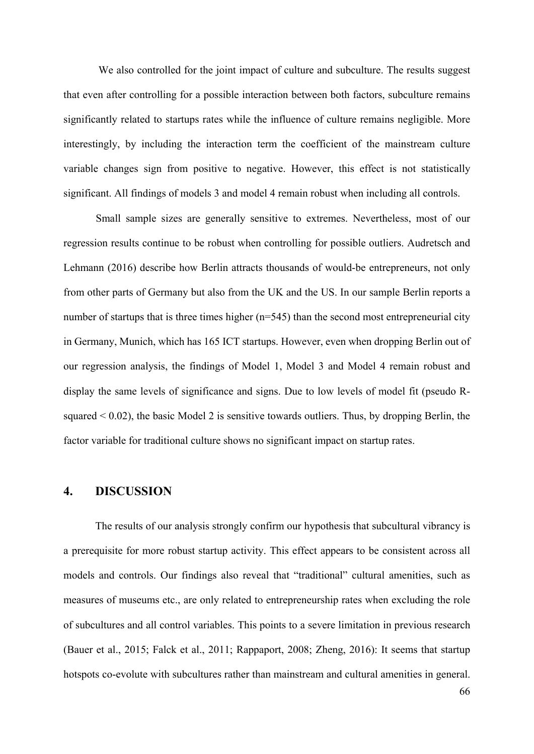We also controlled for the joint impact of culture and subculture. The results suggest that even after controlling for a possible interaction between both factors, subculture remains significantly related to startups rates while the influence of culture remains negligible. More interestingly, by including the interaction term the coefficient of the mainstream culture variable changes sign from positive to negative. However, this effect is not statistically significant. All findings of models 3 and model 4 remain robust when including all controls.

Small sample sizes are generally sensitive to extremes. Nevertheless, most of our regression results continue to be robust when controlling for possible outliers. Audretsch and Lehmann (2016) describe how Berlin attracts thousands of would-be entrepreneurs, not only from other parts of Germany but also from the UK and the US. In our sample Berlin reports a number of startups that is three times higher (n=545) than the second most entrepreneurial city in Germany, Munich, which has 165 ICT startups. However, even when dropping Berlin out of our regression analysis, the findings of Model 1, Model 3 and Model 4 remain robust and display the same levels of significance and signs. Due to low levels of model fit (pseudo Rsquared  $< 0.02$ ), the basic Model 2 is sensitive towards outliers. Thus, by dropping Berlin, the factor variable for traditional culture shows no significant impact on startup rates.

# **4. DISCUSSION**

The results of our analysis strongly confirm our hypothesis that subcultural vibrancy is a prerequisite for more robust startup activity. This effect appears to be consistent across all models and controls. Our findings also reveal that "traditional" cultural amenities, such as measures of museums etc., are only related to entrepreneurship rates when excluding the role of subcultures and all control variables. This points to a severe limitation in previous research (Bauer et al., 2015; Falck et al., 2011; Rappaport, 2008; Zheng, 2016): It seems that startup hotspots co-evolute with subcultures rather than mainstream and cultural amenities in general.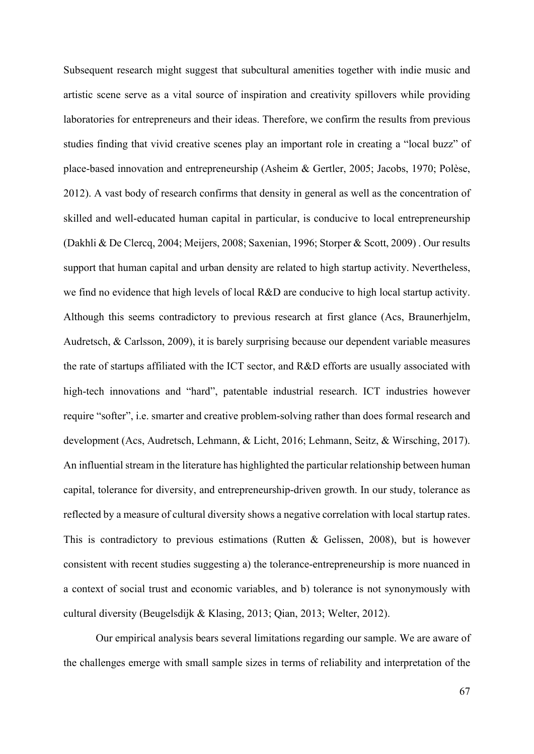Subsequent research might suggest that subcultural amenities together with indie music and artistic scene serve as a vital source of inspiration and creativity spillovers while providing laboratories for entrepreneurs and their ideas. Therefore, we confirm the results from previous studies finding that vivid creative scenes play an important role in creating a "local buzz" of place-based innovation and entrepreneurship (Asheim & Gertler, 2005; Jacobs, 1970; Polèse, 2012). A vast body of research confirms that density in general as well as the concentration of skilled and well-educated human capital in particular, is conducive to local entrepreneurship (Dakhli & De Clercq, 2004; Meijers, 2008; Saxenian, 1996; Storper & Scott, 2009) . Our results support that human capital and urban density are related to high startup activity. Nevertheless, we find no evidence that high levels of local R&D are conducive to high local startup activity. Although this seems contradictory to previous research at first glance (Acs, Braunerhjelm, Audretsch, & Carlsson, 2009), it is barely surprising because our dependent variable measures the rate of startups affiliated with the ICT sector, and R&D efforts are usually associated with high-tech innovations and "hard", patentable industrial research. ICT industries however require "softer", i.e. smarter and creative problem-solving rather than does formal research and development (Acs, Audretsch, Lehmann, & Licht, 2016; Lehmann, Seitz, & Wirsching, 2017). An influential stream in the literature has highlighted the particular relationship between human capital, tolerance for diversity, and entrepreneurship-driven growth. In our study, tolerance as reflected by a measure of cultural diversity shows a negative correlation with local startup rates. This is contradictory to previous estimations (Rutten & Gelissen, 2008), but is however consistent with recent studies suggesting a) the tolerance-entrepreneurship is more nuanced in a context of social trust and economic variables, and b) tolerance is not synonymously with cultural diversity (Beugelsdijk & Klasing, 2013; Qian, 2013; Welter, 2012).

Our empirical analysis bears several limitations regarding our sample. We are aware of the challenges emerge with small sample sizes in terms of reliability and interpretation of the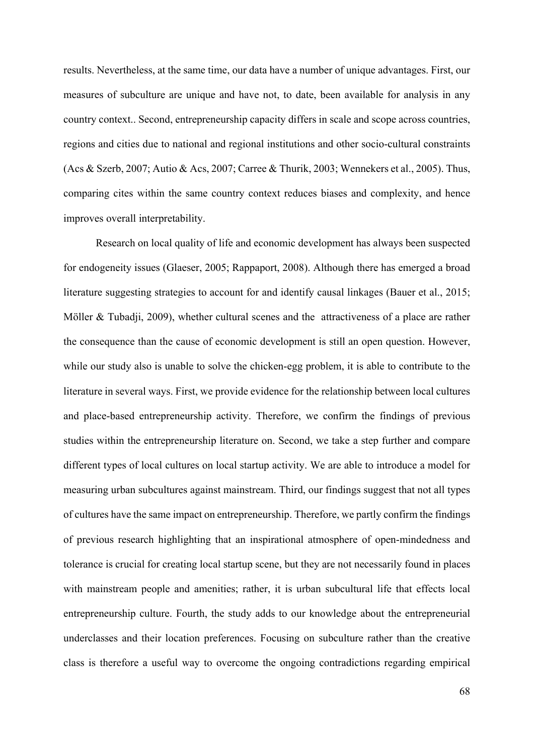results. Nevertheless, at the same time, our data have a number of unique advantages. First, our measures of subculture are unique and have not, to date, been available for analysis in any country context.. Second, entrepreneurship capacity differs in scale and scope across countries, regions and cities due to national and regional institutions and other socio-cultural constraints (Acs & Szerb, 2007; Autio & Acs, 2007; Carree & Thurik, 2003; Wennekers et al., 2005). Thus, comparing cites within the same country context reduces biases and complexity, and hence improves overall interpretability.

Research on local quality of life and economic development has always been suspected for endogeneity issues (Glaeser, 2005; Rappaport, 2008). Although there has emerged a broad literature suggesting strategies to account for and identify causal linkages (Bauer et al., 2015; Möller & Tubadji, 2009), whether cultural scenes and the attractiveness of a place are rather the consequence than the cause of economic development is still an open question. However, while our study also is unable to solve the chicken-egg problem, it is able to contribute to the literature in several ways. First, we provide evidence for the relationship between local cultures and place-based entrepreneurship activity. Therefore, we confirm the findings of previous studies within the entrepreneurship literature on. Second, we take a step further and compare different types of local cultures on local startup activity. We are able to introduce a model for measuring urban subcultures against mainstream. Third, our findings suggest that not all types of cultures have the same impact on entrepreneurship. Therefore, we partly confirm the findings of previous research highlighting that an inspirational atmosphere of open-mindedness and tolerance is crucial for creating local startup scene, but they are not necessarily found in places with mainstream people and amenities; rather, it is urban subcultural life that effects local entrepreneurship culture. Fourth, the study adds to our knowledge about the entrepreneurial underclasses and their location preferences. Focusing on subculture rather than the creative class is therefore a useful way to overcome the ongoing contradictions regarding empirical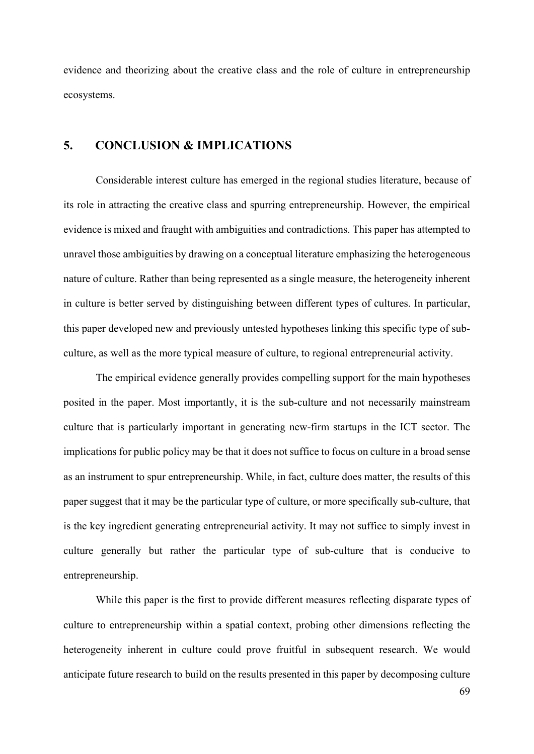evidence and theorizing about the creative class and the role of culture in entrepreneurship ecosystems.

### **5. CONCLUSION & IMPLICATIONS**

Considerable interest culture has emerged in the regional studies literature, because of its role in attracting the creative class and spurring entrepreneurship. However, the empirical evidence is mixed and fraught with ambiguities and contradictions. This paper has attempted to unravel those ambiguities by drawing on a conceptual literature emphasizing the heterogeneous nature of culture. Rather than being represented as a single measure, the heterogeneity inherent in culture is better served by distinguishing between different types of cultures. In particular, this paper developed new and previously untested hypotheses linking this specific type of subculture, as well as the more typical measure of culture, to regional entrepreneurial activity.

The empirical evidence generally provides compelling support for the main hypotheses posited in the paper. Most importantly, it is the sub-culture and not necessarily mainstream culture that is particularly important in generating new-firm startups in the ICT sector. The implications for public policy may be that it does not suffice to focus on culture in a broad sense as an instrument to spur entrepreneurship. While, in fact, culture does matter, the results of this paper suggest that it may be the particular type of culture, or more specifically sub-culture, that is the key ingredient generating entrepreneurial activity. It may not suffice to simply invest in culture generally but rather the particular type of sub-culture that is conducive to entrepreneurship.

While this paper is the first to provide different measures reflecting disparate types of culture to entrepreneurship within a spatial context, probing other dimensions reflecting the heterogeneity inherent in culture could prove fruitful in subsequent research. We would anticipate future research to build on the results presented in this paper by decomposing culture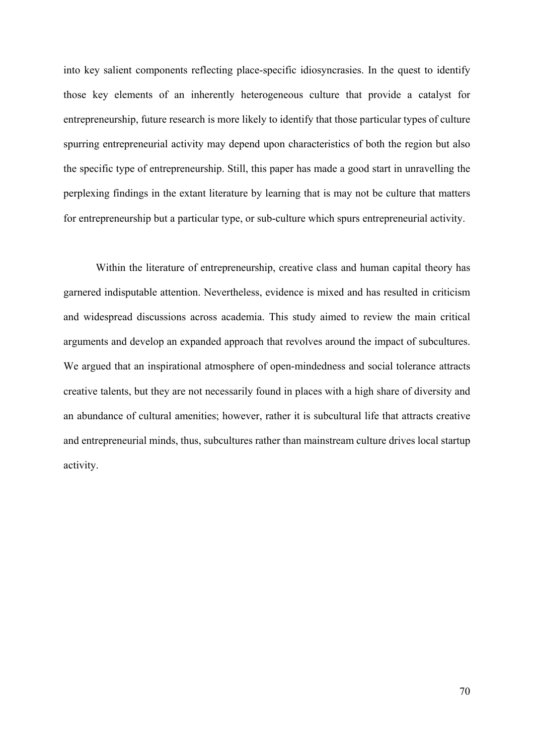into key salient components reflecting place-specific idiosyncrasies. In the quest to identify those key elements of an inherently heterogeneous culture that provide a catalyst for entrepreneurship, future research is more likely to identify that those particular types of culture spurring entrepreneurial activity may depend upon characteristics of both the region but also the specific type of entrepreneurship. Still, this paper has made a good start in unravelling the perplexing findings in the extant literature by learning that is may not be culture that matters for entrepreneurship but a particular type, or sub-culture which spurs entrepreneurial activity.

Within the literature of entrepreneurship, creative class and human capital theory has garnered indisputable attention. Nevertheless, evidence is mixed and has resulted in criticism and widespread discussions across academia. This study aimed to review the main critical arguments and develop an expanded approach that revolves around the impact of subcultures. We argued that an inspirational atmosphere of open-mindedness and social tolerance attracts creative talents, but they are not necessarily found in places with a high share of diversity and an abundance of cultural amenities; however, rather it is subcultural life that attracts creative and entrepreneurial minds, thus, subcultures rather than mainstream culture drives local startup activity.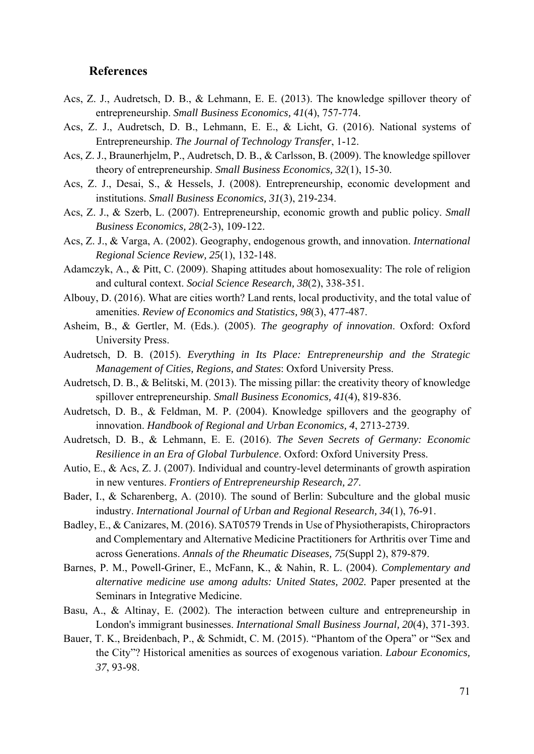#### **References**

- Acs, Z. J., Audretsch, D. B., & Lehmann, E. E. (2013). The knowledge spillover theory of entrepreneurship. *Small Business Economics, 41*(4), 757-774.
- Acs, Z. J., Audretsch, D. B., Lehmann, E. E., & Licht, G. (2016). National systems of Entrepreneurship. *The Journal of Technology Transfer*, 1-12.
- Acs, Z. J., Braunerhjelm, P., Audretsch, D. B., & Carlsson, B. (2009). The knowledge spillover theory of entrepreneurship. *Small Business Economics, 32*(1), 15-30.
- Acs, Z. J., Desai, S., & Hessels, J. (2008). Entrepreneurship, economic development and institutions. *Small Business Economics, 31*(3), 219-234.
- Acs, Z. J., & Szerb, L. (2007). Entrepreneurship, economic growth and public policy. *Small Business Economics, 28*(2-3), 109-122.
- Acs, Z. J., & Varga, A. (2002). Geography, endogenous growth, and innovation. *International Regional Science Review, 25*(1), 132-148.
- Adamczyk, A., & Pitt, C. (2009). Shaping attitudes about homosexuality: The role of religion and cultural context. *Social Science Research, 38*(2), 338-351.
- Albouy, D. (2016). What are cities worth? Land rents, local productivity, and the total value of amenities. *Review of Economics and Statistics, 98*(3), 477-487.
- Asheim, B., & Gertler, M. (Eds.). (2005). *The geography of innovation*. Oxford: Oxford University Press.
- Audretsch, D. B. (2015). *Everything in Its Place: Entrepreneurship and the Strategic Management of Cities, Regions, and States*: Oxford University Press.
- Audretsch, D. B., & Belitski, M. (2013). The missing pillar: the creativity theory of knowledge spillover entrepreneurship. *Small Business Economics, 41*(4), 819-836.
- Audretsch, D. B., & Feldman, M. P. (2004). Knowledge spillovers and the geography of innovation. *Handbook of Regional and Urban Economics, 4*, 2713-2739.
- Audretsch, D. B., & Lehmann, E. E. (2016). *The Seven Secrets of Germany: Economic Resilience in an Era of Global Turbulence*. Oxford: Oxford University Press.
- Autio, E., & Acs, Z. J. (2007). Individual and country-level determinants of growth aspiration in new ventures. *Frontiers of Entrepreneurship Research, 27*.
- Bader, I., & Scharenberg, A. (2010). The sound of Berlin: Subculture and the global music industry. *International Journal of Urban and Regional Research, 34*(1), 76-91.
- Badley, E., & Canizares, M. (2016). SAT0579 Trends in Use of Physiotherapists, Chiropractors and Complementary and Alternative Medicine Practitioners for Arthritis over Time and across Generations. *Annals of the Rheumatic Diseases, 75*(Suppl 2), 879-879.
- Barnes, P. M., Powell-Griner, E., McFann, K., & Nahin, R. L. (2004). *Complementary and alternative medicine use among adults: United States, 2002.* Paper presented at the Seminars in Integrative Medicine.
- Basu, A., & Altinay, E. (2002). The interaction between culture and entrepreneurship in London's immigrant businesses. *International Small Business Journal, 20*(4), 371-393.
- Bauer, T. K., Breidenbach, P., & Schmidt, C. M. (2015). "Phantom of the Opera" or "Sex and the City"? Historical amenities as sources of exogenous variation. *Labour Economics, 37*, 93-98.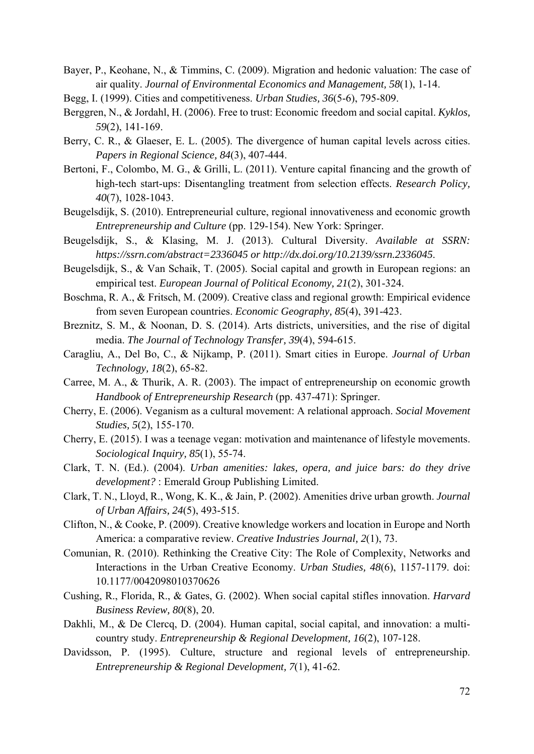- Bayer, P., Keohane, N., & Timmins, C. (2009). Migration and hedonic valuation: The case of air quality. *Journal of Environmental Economics and Management, 58*(1), 1-14.
- Begg, I. (1999). Cities and competitiveness. *Urban Studies, 36*(5-6), 795-809.
- Berggren, N., & Jordahl, H. (2006). Free to trust: Economic freedom and social capital. *Kyklos, 59*(2), 141-169.
- Berry, C. R., & Glaeser, E. L. (2005). The divergence of human capital levels across cities. *Papers in Regional Science, 84*(3), 407-444.
- Bertoni, F., Colombo, M. G., & Grilli, L. (2011). Venture capital financing and the growth of high-tech start-ups: Disentangling treatment from selection effects. *Research Policy, 40*(7), 1028-1043.
- Beugelsdijk, S. (2010). Entrepreneurial culture, regional innovativeness and economic growth *Entrepreneurship and Culture* (pp. 129-154). New York: Springer.
- Beugelsdijk, S., & Klasing, M. J. (2013). Cultural Diversity. *Available at SSRN: https://ssrn.com/abstract=2336045 or http://dx.doi.org/10.2139/ssrn.2336045*.
- Beugelsdijk, S., & Van Schaik, T. (2005). Social capital and growth in European regions: an empirical test. *European Journal of Political Economy, 21*(2), 301-324.
- Boschma, R. A., & Fritsch, M. (2009). Creative class and regional growth: Empirical evidence from seven European countries. *Economic Geography, 85*(4), 391-423.
- Breznitz, S. M., & Noonan, D. S. (2014). Arts districts, universities, and the rise of digital media. *The Journal of Technology Transfer, 39*(4), 594-615.
- Caragliu, A., Del Bo, C., & Nijkamp, P. (2011). Smart cities in Europe. *Journal of Urban Technology, 18*(2), 65-82.
- Carree, M. A., & Thurik, A. R. (2003). The impact of entrepreneurship on economic growth *Handbook of Entrepreneurship Research* (pp. 437-471): Springer.
- Cherry, E. (2006). Veganism as a cultural movement: A relational approach. *Social Movement Studies, 5*(2), 155-170.
- Cherry, E. (2015). I was a teenage vegan: motivation and maintenance of lifestyle movements. *Sociological Inquiry, 85*(1), 55-74.
- Clark, T. N. (Ed.). (2004). *Urban amenities: lakes, opera, and juice bars: do they drive development?* : Emerald Group Publishing Limited.
- Clark, T. N., Lloyd, R., Wong, K. K., & Jain, P. (2002). Amenities drive urban growth. *Journal of Urban Affairs, 24*(5), 493-515.
- Clifton, N., & Cooke, P. (2009). Creative knowledge workers and location in Europe and North America: a comparative review. *Creative Industries Journal, 2*(1), 73.
- Comunian, R. (2010). Rethinking the Creative City: The Role of Complexity, Networks and Interactions in the Urban Creative Economy. *Urban Studies, 48*(6), 1157-1179. doi: 10.1177/0042098010370626
- Cushing, R., Florida, R., & Gates, G. (2002). When social capital stifles innovation. *Harvard Business Review, 80*(8), 20.
- Dakhli, M., & De Clercq, D. (2004). Human capital, social capital, and innovation: a multicountry study. *Entrepreneurship & Regional Development, 16*(2), 107-128.
- Davidsson, P. (1995). Culture, structure and regional levels of entrepreneurship. *Entrepreneurship & Regional Development, 7*(1), 41-62.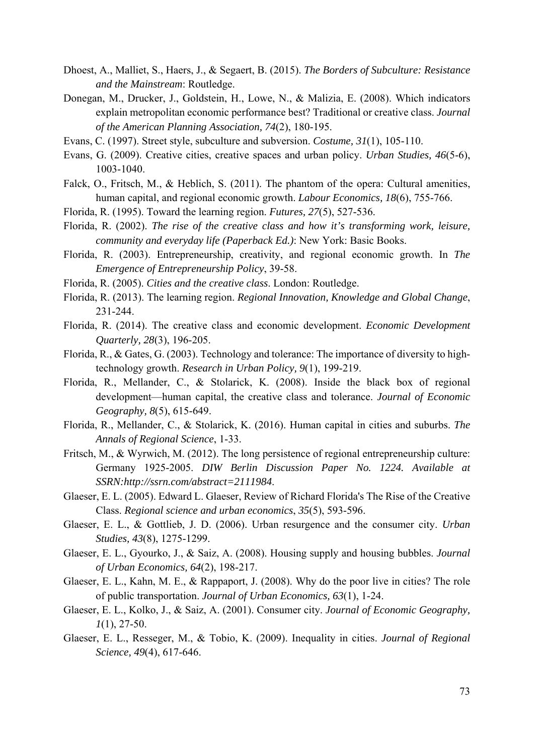- Dhoest, A., Malliet, S., Haers, J., & Segaert, B. (2015). *The Borders of Subculture: Resistance and the Mainstream*: Routledge.
- Donegan, M., Drucker, J., Goldstein, H., Lowe, N., & Malizia, E. (2008). Which indicators explain metropolitan economic performance best? Traditional or creative class. *Journal of the American Planning Association, 74*(2), 180-195.
- Evans, C. (1997). Street style, subculture and subversion. *Costume, 31*(1), 105-110.
- Evans, G. (2009). Creative cities, creative spaces and urban policy. *Urban Studies, 46*(5-6), 1003-1040.
- Falck, O., Fritsch, M., & Heblich, S. (2011). The phantom of the opera: Cultural amenities, human capital, and regional economic growth. *Labour Economics, 18*(6), 755-766.
- Florida, R. (1995). Toward the learning region. *Futures, 27*(5), 527-536.
- Florida, R. (2002). *The rise of the creative class and how it's transforming work, leisure, community and everyday life (Paperback Ed.)*: New York: Basic Books.
- Florida, R. (2003). Entrepreneurship, creativity, and regional economic growth. In *The Emergence of Entrepreneurship Policy*, 39-58.
- Florida, R. (2005). *Cities and the creative class*. London: Routledge.
- Florida, R. (2013). The learning region. *Regional Innovation, Knowledge and Global Change*, 231-244.
- Florida, R. (2014). The creative class and economic development. *Economic Development Quarterly, 28*(3), 196-205.
- Florida, R., & Gates, G. (2003). Technology and tolerance: The importance of diversity to hightechnology growth. *Research in Urban Policy, 9*(1), 199-219.
- Florida, R., Mellander, C., & Stolarick, K. (2008). Inside the black box of regional development—human capital, the creative class and tolerance. *Journal of Economic Geography, 8*(5), 615-649.
- Florida, R., Mellander, C., & Stolarick, K. (2016). Human capital in cities and suburbs. *The Annals of Regional Science*, 1-33.
- Fritsch, M., & Wyrwich, M. (2012). The long persistence of regional entrepreneurship culture: Germany 1925-2005. *DIW Berlin Discussion Paper No. 1224. Available at SSRN:http://ssrn.com/abstract=2111984*.
- Glaeser, E. L. (2005). Edward L. Glaeser, Review of Richard Florida's The Rise of the Creative Class. *Regional science and urban economics*, *35*(5), 593-596.
- Glaeser, E. L., & Gottlieb, J. D. (2006). Urban resurgence and the consumer city. *Urban Studies, 43*(8), 1275-1299.
- Glaeser, E. L., Gyourko, J., & Saiz, A. (2008). Housing supply and housing bubbles. *Journal of Urban Economics, 64*(2), 198-217.
- Glaeser, E. L., Kahn, M. E., & Rappaport, J. (2008). Why do the poor live in cities? The role of public transportation. *Journal of Urban Economics, 63*(1), 1-24.
- Glaeser, E. L., Kolko, J., & Saiz, A. (2001). Consumer city. *Journal of Economic Geography, 1*(1), 27-50.
- Glaeser, E. L., Resseger, M., & Tobio, K. (2009). Inequality in cities. *Journal of Regional Science, 49*(4), 617-646.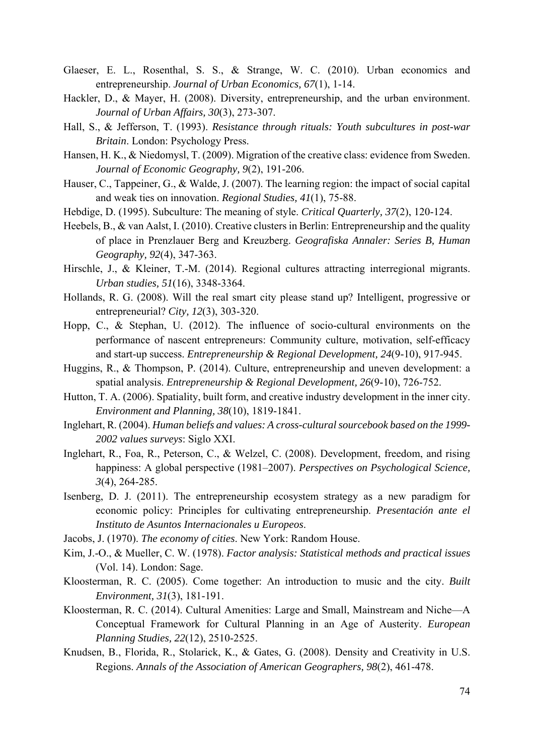- Glaeser, E. L., Rosenthal, S. S., & Strange, W. C. (2010). Urban economics and entrepreneurship. *Journal of Urban Economics, 67*(1), 1-14.
- Hackler, D., & Mayer, H. (2008). Diversity, entrepreneurship, and the urban environment. *Journal of Urban Affairs, 30*(3), 273-307.
- Hall, S., & Jefferson, T. (1993). *Resistance through rituals: Youth subcultures in post-war Britain*. London: Psychology Press.
- Hansen, H. K., & Niedomysl, T. (2009). Migration of the creative class: evidence from Sweden. *Journal of Economic Geography, 9*(2), 191-206.
- Hauser, C., Tappeiner, G., & Walde, J. (2007). The learning region: the impact of social capital and weak ties on innovation. *Regional Studies, 41*(1), 75-88.
- Hebdige, D. (1995). Subculture: The meaning of style. *Critical Quarterly, 37*(2), 120-124.
- Heebels, B., & van Aalst, I. (2010). Creative clusters in Berlin: Entrepreneurship and the quality of place in Prenzlauer Berg and Kreuzberg. *Geografiska Annaler: Series B, Human Geography, 92*(4), 347-363.
- Hirschle, J., & Kleiner, T.-M. (2014). Regional cultures attracting interregional migrants. *Urban studies, 51*(16), 3348-3364.
- Hollands, R. G. (2008). Will the real smart city please stand up? Intelligent, progressive or entrepreneurial? *City, 12*(3), 303-320.
- Hopp, C., & Stephan, U. (2012). The influence of socio-cultural environments on the performance of nascent entrepreneurs: Community culture, motivation, self-efficacy and start-up success. *Entrepreneurship & Regional Development, 24*(9-10), 917-945.
- Huggins, R., & Thompson, P. (2014). Culture, entrepreneurship and uneven development: a spatial analysis. *Entrepreneurship & Regional Development, 26*(9-10), 726-752.
- Hutton, T. A. (2006). Spatiality, built form, and creative industry development in the inner city. *Environment and Planning, 38*(10), 1819-1841.
- Inglehart, R. (2004). *Human beliefs and values: A cross-cultural sourcebook based on the 1999- 2002 values surveys*: Siglo XXI.
- Inglehart, R., Foa, R., Peterson, C., & Welzel, C. (2008). Development, freedom, and rising happiness: A global perspective (1981–2007). *Perspectives on Psychological Science, 3*(4), 264-285.
- Isenberg, D. J. (2011). The entrepreneurship ecosystem strategy as a new paradigm for economic policy: Principles for cultivating entrepreneurship. *Presentación ante el Instituto de Asuntos Internacionales u Europeos*.
- Jacobs, J. (1970). *The economy of cities*. New York: Random House.
- Kim, J.-O., & Mueller, C. W. (1978). *Factor analysis: Statistical methods and practical issues* (Vol. 14). London: Sage.
- Kloosterman, R. C. (2005). Come together: An introduction to music and the city. *Built Environment, 31*(3), 181-191.
- Kloosterman, R. C. (2014). Cultural Amenities: Large and Small, Mainstream and Niche—A Conceptual Framework for Cultural Planning in an Age of Austerity. *European Planning Studies, 22*(12), 2510-2525.
- Knudsen, B., Florida, R., Stolarick, K., & Gates, G. (2008). Density and Creativity in U.S. Regions. *Annals of the Association of American Geographers, 98*(2), 461-478.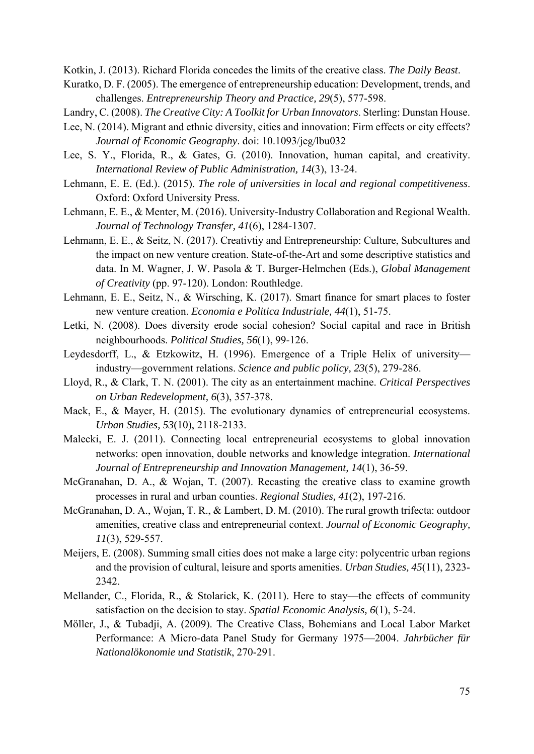Kotkin, J. (2013). Richard Florida concedes the limits of the creative class. *The Daily Beast*.

- Kuratko, D. F. (2005). The emergence of entrepreneurship education: Development, trends, and challenges. *Entrepreneurship Theory and Practice, 29*(5), 577-598.
- Landry, C. (2008). *The Creative City: A Toolkit for Urban Innovators*. Sterling: Dunstan House.
- Lee, N. (2014). Migrant and ethnic diversity, cities and innovation: Firm effects or city effects? *Journal of Economic Geography*. doi: 10.1093/jeg/lbu032
- Lee, S. Y., Florida, R., & Gates, G. (2010). Innovation, human capital, and creativity. *International Review of Public Administration, 14*(3), 13-24.
- Lehmann, E. E. (Ed.). (2015). *The role of universities in local and regional competitiveness*. Oxford: Oxford University Press.
- Lehmann, E. E., & Menter, M. (2016). University-Industry Collaboration and Regional Wealth. *Journal of Technology Transfer, 41*(6), 1284-1307.
- Lehmann, E. E., & Seitz, N. (2017). Creativtiy and Entrepreneurship: Culture, Subcultures and the impact on new venture creation. State-of-the-Art and some descriptive statistics and data. In M. Wagner, J. W. Pasola & T. Burger-Helmchen (Eds.), *Global Management of Creativity* (pp. 97-120). London: Routhledge.
- Lehmann, E. E., Seitz, N., & Wirsching, K. (2017). Smart finance for smart places to foster new venture creation. *Economia e Politica Industriale, 44*(1), 51-75.
- Letki, N. (2008). Does diversity erode social cohesion? Social capital and race in British neighbourhoods. *Political Studies, 56*(1), 99-126.
- Leydesdorff, L., & Etzkowitz, H. (1996). Emergence of a Triple Helix of university industry—government relations. *Science and public policy, 23*(5), 279-286.
- Lloyd, R., & Clark, T. N. (2001). The city as an entertainment machine. *Critical Perspectives on Urban Redevelopment, 6*(3), 357-378.
- Mack, E., & Mayer, H. (2015). The evolutionary dynamics of entrepreneurial ecosystems. *Urban Studies, 53*(10), 2118-2133.
- Malecki, E. J. (2011). Connecting local entrepreneurial ecosystems to global innovation networks: open innovation, double networks and knowledge integration. *International Journal of Entrepreneurship and Innovation Management, 14*(1), 36-59.
- McGranahan, D. A., & Wojan, T. (2007). Recasting the creative class to examine growth processes in rural and urban counties. *Regional Studies, 41*(2), 197-216.
- McGranahan, D. A., Wojan, T. R., & Lambert, D. M. (2010). The rural growth trifecta: outdoor amenities, creative class and entrepreneurial context. *Journal of Economic Geography, 11*(3), 529-557.
- Meijers, E. (2008). Summing small cities does not make a large city: polycentric urban regions and the provision of cultural, leisure and sports amenities. *Urban Studies, 45*(11), 2323- 2342.
- Mellander, C., Florida, R., & Stolarick, K. (2011). Here to stay—the effects of community satisfaction on the decision to stay. *Spatial Economic Analysis, 6*(1), 5-24.
- Möller, J., & Tubadji, A. (2009). The Creative Class, Bohemians and Local Labor Market Performance: A Micro-data Panel Study for Germany 1975—2004. *Jahrbücher für Nationalökonomie und Statistik*, 270-291.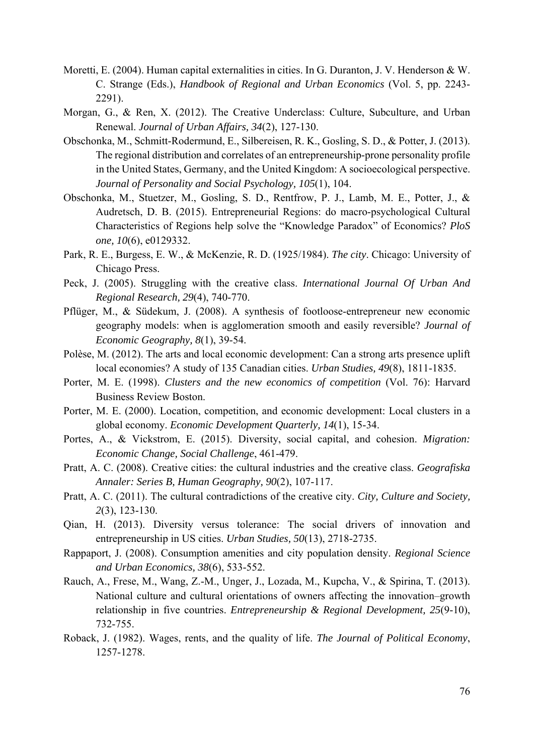- Moretti, E. (2004). Human capital externalities in cities. In G. Duranton, J. V. Henderson & W. C. Strange (Eds.), *Handbook of Regional and Urban Economics* (Vol. 5, pp. 2243- 2291).
- Morgan, G., & Ren, X. (2012). The Creative Underclass: Culture, Subculture, and Urban Renewal. *Journal of Urban Affairs, 34*(2), 127-130.
- Obschonka, M., Schmitt-Rodermund, E., Silbereisen, R. K., Gosling, S. D., & Potter, J. (2013). The regional distribution and correlates of an entrepreneurship-prone personality profile in the United States, Germany, and the United Kingdom: A socioecological perspective. *Journal of Personality and Social Psychology, 105*(1), 104.
- Obschonka, M., Stuetzer, M., Gosling, S. D., Rentfrow, P. J., Lamb, M. E., Potter, J., & Audretsch, D. B. (2015). Entrepreneurial Regions: do macro-psychological Cultural Characteristics of Regions help solve the "Knowledge Paradox" of Economics? *PloS one, 10*(6), e0129332.
- Park, R. E., Burgess, E. W., & McKenzie, R. D. (1925/1984). *The city*. Chicago: University of Chicago Press.
- Peck, J. (2005). Struggling with the creative class. *International Journal Of Urban And Regional Research, 29*(4), 740-770.
- Pflüger, M., & Südekum, J. (2008). A synthesis of footloose-entrepreneur new economic geography models: when is agglomeration smooth and easily reversible? *Journal of Economic Geography, 8*(1), 39-54.
- Polèse, M. (2012). The arts and local economic development: Can a strong arts presence uplift local economies? A study of 135 Canadian cities. *Urban Studies, 49*(8), 1811-1835.
- Porter, M. E. (1998). *Clusters and the new economics of competition* (Vol. 76): Harvard Business Review Boston.
- Porter, M. E. (2000). Location, competition, and economic development: Local clusters in a global economy. *Economic Development Quarterly, 14*(1), 15-34.
- Portes, A., & Vickstrom, E. (2015). Diversity, social capital, and cohesion. *Migration: Economic Change, Social Challenge*, 461-479.
- Pratt, A. C. (2008). Creative cities: the cultural industries and the creative class. *Geografiska Annaler: Series B, Human Geography, 90*(2), 107-117.
- Pratt, A. C. (2011). The cultural contradictions of the creative city. *City, Culture and Society, 2*(3), 123-130.
- Qian, H. (2013). Diversity versus tolerance: The social drivers of innovation and entrepreneurship in US cities. *Urban Studies, 50*(13), 2718-2735.
- Rappaport, J. (2008). Consumption amenities and city population density. *Regional Science and Urban Economics, 38*(6), 533-552.
- Rauch, A., Frese, M., Wang, Z.-M., Unger, J., Lozada, M., Kupcha, V., & Spirina, T. (2013). National culture and cultural orientations of owners affecting the innovation–growth relationship in five countries. *Entrepreneurship & Regional Development, 25*(9-10), 732-755.
- Roback, J. (1982). Wages, rents, and the quality of life. *The Journal of Political Economy*, 1257-1278.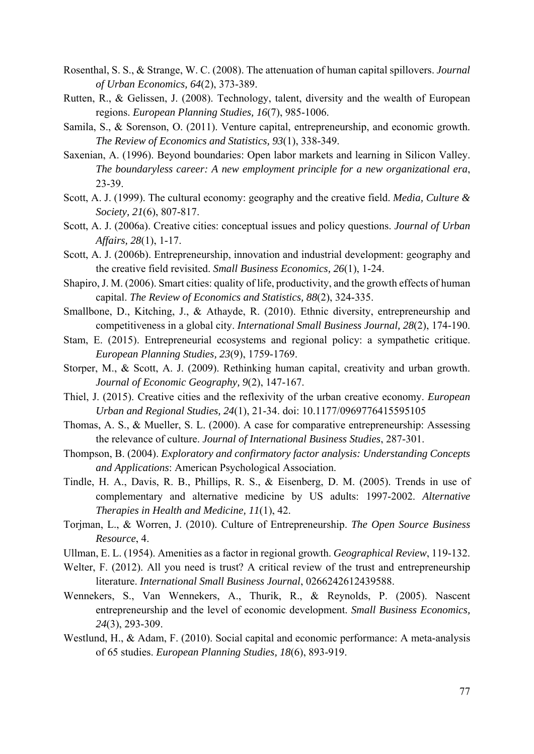- Rosenthal, S. S., & Strange, W. C. (2008). The attenuation of human capital spillovers. *Journal of Urban Economics, 64*(2), 373-389.
- Rutten, R., & Gelissen, J. (2008). Technology, talent, diversity and the wealth of European regions. *European Planning Studies, 16*(7), 985-1006.
- Samila, S., & Sorenson, O. (2011). Venture capital, entrepreneurship, and economic growth. *The Review of Economics and Statistics, 93*(1), 338-349.
- Saxenian, A. (1996). Beyond boundaries: Open labor markets and learning in Silicon Valley. *The boundaryless career: A new employment principle for a new organizational era*, 23-39.
- Scott, A. J. (1999). The cultural economy: geography and the creative field. *Media, Culture & Society, 21*(6), 807-817.
- Scott, A. J. (2006a). Creative cities: conceptual issues and policy questions. *Journal of Urban Affairs, 28*(1), 1-17.
- Scott, A. J. (2006b). Entrepreneurship, innovation and industrial development: geography and the creative field revisited. *Small Business Economics, 26*(1), 1-24.
- Shapiro, J. M. (2006). Smart cities: quality of life, productivity, and the growth effects of human capital. *The Review of Economics and Statistics, 88*(2), 324-335.
- Smallbone, D., Kitching, J., & Athayde, R. (2010). Ethnic diversity, entrepreneurship and competitiveness in a global city. *International Small Business Journal, 28*(2), 174-190.
- Stam, E. (2015). Entrepreneurial ecosystems and regional policy: a sympathetic critique. *European Planning Studies, 23*(9), 1759-1769.
- Storper, M., & Scott, A. J. (2009). Rethinking human capital, creativity and urban growth. *Journal of Economic Geography, 9*(2), 147-167.
- Thiel, J. (2015). Creative cities and the reflexivity of the urban creative economy. *European Urban and Regional Studies, 24*(1), 21-34. doi: 10.1177/0969776415595105
- Thomas, A. S., & Mueller, S. L. (2000). A case for comparative entrepreneurship: Assessing the relevance of culture. *Journal of International Business Studies*, 287-301.
- Thompson, B. (2004). *Exploratory and confirmatory factor analysis: Understanding Concepts and Applications*: American Psychological Association.
- Tindle, H. A., Davis, R. B., Phillips, R. S., & Eisenberg, D. M. (2005). Trends in use of complementary and alternative medicine by US adults: 1997-2002. *Alternative Therapies in Health and Medicine, 11*(1), 42.
- Torjman, L., & Worren, J. (2010). Culture of Entrepreneurship. *The Open Source Business Resource*, 4.
- Ullman, E. L. (1954). Amenities as a factor in regional growth. *Geographical Review*, 119-132.
- Welter, F. (2012). All you need is trust? A critical review of the trust and entrepreneurship literature. *International Small Business Journal*, 0266242612439588.
- Wennekers, S., Van Wennekers, A., Thurik, R., & Reynolds, P. (2005). Nascent entrepreneurship and the level of economic development. *Small Business Economics, 24*(3), 293-309.
- Westlund, H., & Adam, F. (2010). Social capital and economic performance: A meta-analysis of 65 studies. *European Planning Studies, 18*(6), 893-919.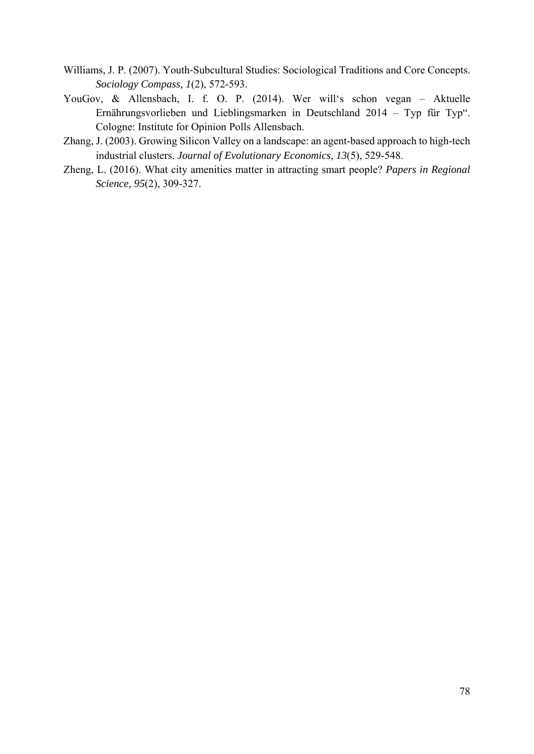- Williams, J. P. (2007). Youth‐Subcultural Studies: Sociological Traditions and Core Concepts. *Sociology Compass, 1*(2), 572-593.
- YouGov, & Allensbach, I. f. O. P. (2014). Wer will's schon vegan Aktuelle Ernährungsvorlieben und Lieblingsmarken in Deutschland 2014 – Typ für Typ". Cologne: Institute for Opinion Polls Allensbach.
- Zhang, J. (2003). Growing Silicon Valley on a landscape: an agent-based approach to high-tech industrial clusters. *Journal of Evolutionary Economics, 13*(5), 529-548.
- Zheng, L. (2016). What city amenities matter in attracting smart people? *Papers in Regional Science, 95*(2), 309-327.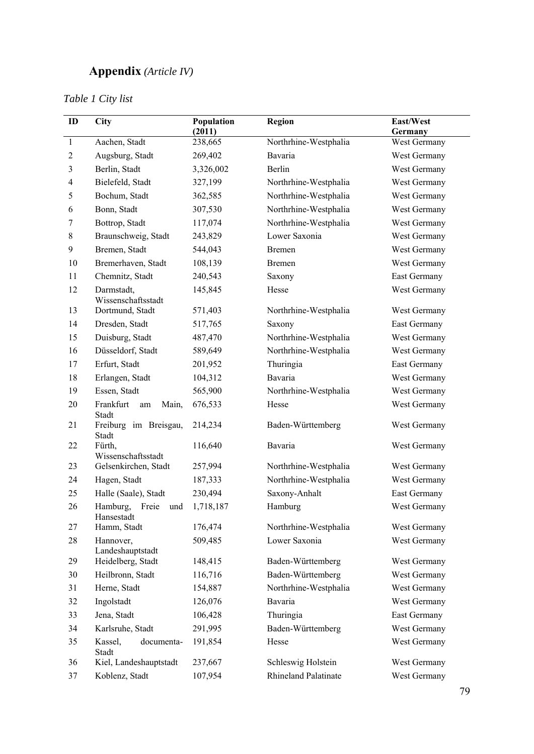# **Appendix** *(Article IV)*

## *Table 1 City list*

| ID                      | <b>City</b>                            | Population | Region                | East/West    |  |  |
|-------------------------|----------------------------------------|------------|-----------------------|--------------|--|--|
|                         |                                        | (2011)     |                       | Germany      |  |  |
| 1                       | Aachen, Stadt                          | 238,665    | Northrhine-Westphalia | West Germany |  |  |
| $\overline{2}$          | Augsburg, Stadt                        | 269,402    | Bavaria               | West Germany |  |  |
| 3                       | Berlin, Stadt                          | 3,326,002  | Berlin                | West Germany |  |  |
| $\overline{\mathbf{4}}$ | Bielefeld, Stadt                       | 327,199    | Northrhine-Westphalia | West Germany |  |  |
| 5                       | Bochum, Stadt                          | 362,585    | Northrhine-Westphalia | West Germany |  |  |
| 6                       | Bonn, Stadt                            | 307,530    | Northrhine-Westphalia | West Germany |  |  |
| 7                       | Bottrop, Stadt                         | 117,074    | Northrhine-Westphalia | West Germany |  |  |
| $8\,$                   | Braunschweig, Stadt                    | 243,829    | Lower Saxonia         | West Germany |  |  |
| 9                       | Bremen, Stadt                          | 544,043    | <b>Bremen</b>         | West Germany |  |  |
| 10                      | Bremerhaven, Stadt                     | 108,139    | <b>Bremen</b>         | West Germany |  |  |
| 11                      | Chemnitz, Stadt                        | 240,543    | Saxony                | East Germany |  |  |
| 12                      | Darmstadt,<br>Wissenschaftsstadt       | 145,845    | Hesse                 | West Germany |  |  |
| 13                      | Dortmund, Stadt                        | 571,403    | Northrhine-Westphalia | West Germany |  |  |
| 14                      | Dresden, Stadt                         | 517,765    | Saxony                | East Germany |  |  |
| 15                      | Duisburg, Stadt                        | 487,470    | Northrhine-Westphalia | West Germany |  |  |
| 16                      | Düsseldorf, Stadt                      | 589,649    | Northrhine-Westphalia | West Germany |  |  |
| 17                      | Erfurt, Stadt                          | 201,952    | Thuringia             | East Germany |  |  |
| 18                      | Erlangen, Stadt                        | 104,312    | Bavaria               | West Germany |  |  |
| 19                      | Essen, Stadt                           | 565,900    | Northrhine-Westphalia | West Germany |  |  |
| 20                      | Frankfurt<br>Main,<br>am<br>Stadt      | 676,533    | Hesse                 | West Germany |  |  |
| 21                      | Freiburg im Breisgau,<br>Stadt         | 214,234    | Baden-Württemberg     | West Germany |  |  |
| 22                      | Fürth,<br>Wissenschaftsstadt           | 116,640    | Bavaria               | West Germany |  |  |
| 23                      | Gelsenkirchen, Stadt                   | 257,994    | Northrhine-Westphalia | West Germany |  |  |
| 24                      | Hagen, Stadt                           | 187,333    | Northrhine-Westphalia | West Germany |  |  |
| 25                      | Halle (Saale), Stadt                   | 230,494    | Saxony-Anhalt         | East Germany |  |  |
| 26                      | Hamburg,<br>Freie<br>und<br>Hansestadt | 1,718,187  | Hamburg               | West Germany |  |  |
| 27                      | Hamm, Stadt                            | 176,474    | Northrhine-Westphalia | West Germany |  |  |
| 28                      | Hannover,<br>Landeshauptstadt          | 509,485    | Lower Saxonia         | West Germany |  |  |
| 29                      | Heidelberg, Stadt                      | 148,415    | Baden-Württemberg     | West Germany |  |  |
| 30                      | Heilbronn, Stadt                       | 116,716    | Baden-Württemberg     | West Germany |  |  |
| 31                      | Herne, Stadt                           | 154,887    | Northrhine-Westphalia | West Germany |  |  |
| 32                      | Ingolstadt                             | 126,076    | Bavaria               | West Germany |  |  |
| 33                      | Jena, Stadt                            | 106,428    | Thuringia             | East Germany |  |  |
| 34                      | Karlsruhe, Stadt                       | 291,995    | Baden-Württemberg     | West Germany |  |  |
| 35                      | Kassel,<br>documenta-<br>Stadt         | 191,854    | Hesse                 | West Germany |  |  |
| 36                      | Kiel, Landeshauptstadt                 | 237,667    | Schleswig Holstein    | West Germany |  |  |
| 37                      | Koblenz, Stadt                         | 107,954    | Rhineland Palatinate  | West Germany |  |  |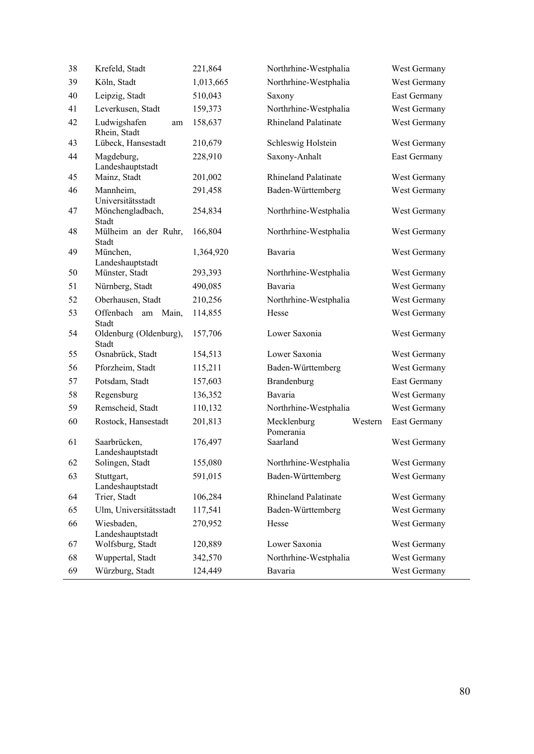| 38 | Krefeld, Stadt                     | 221,864   | Northrhine-Westphalia               | West Germany |
|----|------------------------------------|-----------|-------------------------------------|--------------|
| 39 | Köln, Stadt                        | 1,013,665 | Northrhine-Westphalia               | West Germany |
| 40 | Leipzig, Stadt                     | 510,043   | Saxony                              | East Germany |
| 41 | Leverkusen, Stadt                  | 159,373   | Northrhine-Westphalia               | West Germany |
| 42 | Ludwigshafen<br>am<br>Rhein, Stadt | 158,637   | <b>Rhineland Palatinate</b>         | West Germany |
| 43 | Lübeck, Hansestadt                 | 210,679   | Schleswig Holstein                  | West Germany |
| 44 | Magdeburg,<br>Landeshauptstadt     | 228,910   | Saxony-Anhalt                       | East Germany |
| 45 | Mainz, Stadt                       | 201,002   | <b>Rhineland Palatinate</b>         | West Germany |
| 46 | Mannheim,<br>Universitätsstadt     | 291,458   | Baden-Württemberg                   | West Germany |
| 47 | Mönchengladbach,<br>Stadt          | 254,834   | Northrhine-Westphalia               | West Germany |
| 48 | Mülheim an der Ruhr,<br>Stadt      | 166,804   | Northrhine-Westphalia               | West Germany |
| 49 | München,<br>Landeshauptstadt       | 1,364,920 | Bavaria                             | West Germany |
| 50 | Münster, Stadt                     | 293,393   | Northrhine-Westphalia               | West Germany |
| 51 | Nürnberg, Stadt                    | 490,085   | Bavaria                             | West Germany |
| 52 | Oberhausen, Stadt                  | 210,256   | Northrhine-Westphalia               | West Germany |
| 53 | Offenbach am<br>Main,<br>Stadt     | 114,855   | Hesse                               | West Germany |
| 54 | Oldenburg (Oldenburg),<br>Stadt    | 157,706   | Lower Saxonia                       | West Germany |
| 55 | Osnabrück, Stadt                   | 154,513   | Lower Saxonia                       | West Germany |
| 56 | Pforzheim, Stadt                   | 115,211   | Baden-Württemberg                   | West Germany |
| 57 | Potsdam, Stadt                     | 157,603   | Brandenburg                         | East Germany |
| 58 | Regensburg                         | 136,352   | Bavaria                             | West Germany |
| 59 | Remscheid, Stadt                   | 110,132   | Northrhine-Westphalia               | West Germany |
| 60 | Rostock, Hansestadt                | 201,813   | Mecklenburg<br>Western<br>Pomerania | East Germany |
| 61 | Saarbrücken,<br>Landeshauptstadt   | 176,497   | Saarland                            | West Germany |
| 62 | Solingen, Stadt                    | 155,080   | Northrhine-Westphalia               | West Germany |
| 63 | Stuttgart,<br>Landeshauptstadt     | 591,015   | Baden-Württemberg                   | West Germany |
| 64 | Trier, Stadt                       | 106,284   | <b>Rhineland Palatinate</b>         | West Germany |
| 65 | Ulm, Universitätsstadt             | 117,541   | Baden-Württemberg                   | West Germany |
| 66 | Wiesbaden,<br>Landeshauptstadt     | 270,952   | Hesse                               | West Germany |
| 67 | Wolfsburg, Stadt                   | 120,889   | Lower Saxonia                       | West Germany |
| 68 | Wuppertal, Stadt                   | 342,570   | Northrhine-Westphalia               | West Germany |
| 69 | Würzburg, Stadt                    | 124,449   | Bavaria                             | West Germany |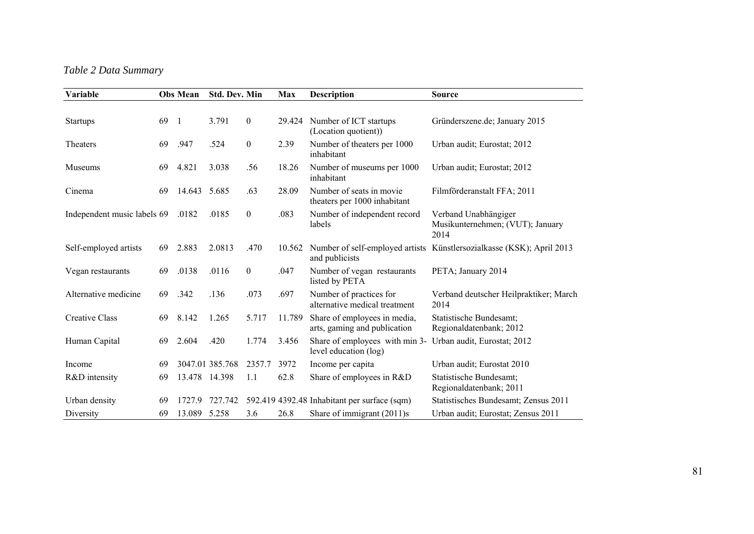## *Table 2 Data Summary*

| Variable                    |    | <b>Obs Mean</b> | <b>Std. Dev. Min</b> |                | Max    | <b>Description</b>                                                                  | <b>Source</b>                                                         |
|-----------------------------|----|-----------------|----------------------|----------------|--------|-------------------------------------------------------------------------------------|-----------------------------------------------------------------------|
|                             |    |                 |                      |                |        |                                                                                     |                                                                       |
| <b>Startups</b>             | 69 | $\overline{1}$  | 3.791                | $\overline{0}$ | 29.424 | Number of ICT startups<br>(Location quotient))                                      | Gründerszene.de; January 2015                                         |
| Theaters                    | 69 | .947            | .524                 | $\overline{0}$ | 2.39   | Number of theaters per 1000<br>inhabitant                                           | Urban audit; Eurostat; 2012                                           |
| Museums                     | 69 | 4.821           | 3.038                | .56            | 18.26  | Number of museums per 1000<br>inhabitant                                            | Urban audit; Eurostat; 2012                                           |
| Cinema                      | 69 | 14.643          | 5.685                | .63            | 28.09  | Number of seats in movie<br>theaters per 1000 inhabitant                            | Filmförderanstalt FFA; 2011                                           |
| Independent music labels 69 |    | .0182           | .0185                | $\overline{0}$ | .083   | Number of independent record<br>labels                                              | Verband Unabhängiger<br>Musikunternehmen; (VUT); January<br>2014      |
| Self-employed artists       | 69 | 2.883           | 2.0813               | .470           | 10.562 | and publicists                                                                      | Number of self-employed artists Künstlersozialkasse (KSK); April 2013 |
| Vegan restaurants           | 69 | .0138           | .0116                | $\overline{0}$ | .047   | Number of vegan restaurants<br>listed by PETA                                       | PETA; January 2014                                                    |
| Alternative medicine        | 69 | .342            | .136                 | .073           | .697   | Number of practices for<br>alternative medical treatment                            | Verband deutscher Heilpraktiker; March<br>2014                        |
| Creative Class              | 69 | 8.142           | 1.265                | 5.717          | 11.789 | Share of employees in media,<br>arts, gaming and publication                        | Statistische Bundesamt;<br>Regionaldatenbank; 2012                    |
| Human Capital               | 69 | 2.604           | .420                 | 1.774          | 3.456  | Share of employees with min 3- Urban audit, Eurostat; 2012<br>level education (log) |                                                                       |
| Income                      | 69 |                 | 3047.01 385.768      | 2357.7         | 3972   | Income per capita                                                                   | Urban audit; Eurostat 2010                                            |
| R&D intensity               | 69 | 13.478 14.398   |                      | 1.1            | 62.8   | Share of employees in R&D                                                           | Statistische Bundesamt;<br>Regionaldatenbank; 2011                    |
| Urban density               | 69 | 1727.9          | 727.742              |                |        | 592.419 4392.48 Inhabitant per surface (sqm)                                        | Statistisches Bundesamt; Zensus 2011                                  |
| Diversity                   | 69 | 13.089          | 5.258                | 3.6            | 26.8   | Share of immigrant (2011)s                                                          | Urban audit; Eurostat; Zensus 2011                                    |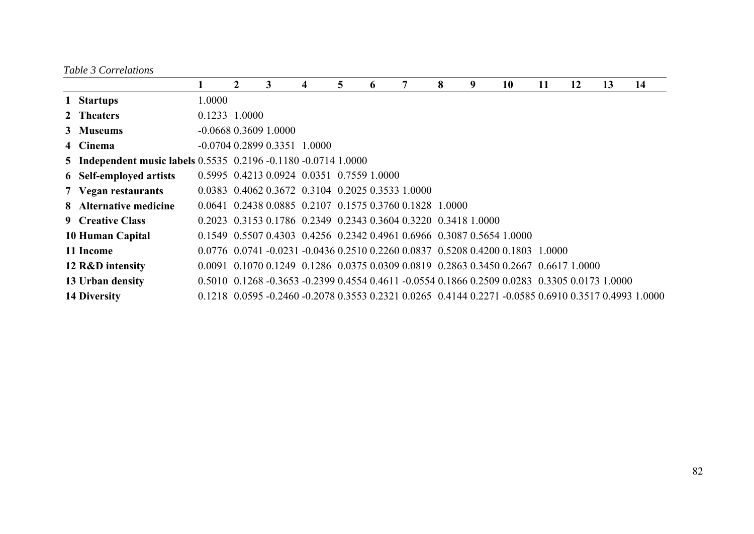*Table 3 Correlations* 

|                                                                 |                                | 2 | 3 | 4                                                                                                                                | 5 | 6 | 8 | 9 | 10 | 11 | 12 | 13 | 14 |
|-----------------------------------------------------------------|--------------------------------|---|---|----------------------------------------------------------------------------------------------------------------------------------|---|---|---|---|----|----|----|----|----|
| 1 Startups                                                      | 1.0000                         |   |   |                                                                                                                                  |   |   |   |   |    |    |    |    |    |
| 2 Theaters                                                      | 0.1233 1.0000                  |   |   |                                                                                                                                  |   |   |   |   |    |    |    |    |    |
| 3 Museums                                                       | $-0.0668$ 0.3609 1.0000        |   |   |                                                                                                                                  |   |   |   |   |    |    |    |    |    |
| 4 Cinema                                                        | $-0.0704$ 0.2899 0.3351 1.0000 |   |   |                                                                                                                                  |   |   |   |   |    |    |    |    |    |
| 5 Independent music labels 0.5535 0.2196 -0.1180 -0.0714 1.0000 |                                |   |   |                                                                                                                                  |   |   |   |   |    |    |    |    |    |
| <b>6</b> Self-employed artists                                  |                                |   |   | 0.5995 0.4213 0.0924 0.0351 0.7559 1.0000                                                                                        |   |   |   |   |    |    |    |    |    |
| <b>7</b> Vegan restaurants                                      |                                |   |   | 0.0383 0.4062 0.3672 0.3104 0.2025 0.3533 1.0000                                                                                 |   |   |   |   |    |    |    |    |    |
| 8 Alternative medicine                                          |                                |   |   | 0.0641 0.2438 0.0885 0.2107 0.1575 0.3760 0.1828 1.0000                                                                          |   |   |   |   |    |    |    |    |    |
| 9 Creative Class                                                |                                |   |   | 0.2023 0.3153 0.1786 0.2349 0.2343 0.3604 0.3220 0.3418 1.0000                                                                   |   |   |   |   |    |    |    |    |    |
| <b>10 Human Capital</b>                                         |                                |   |   | 0.1549 0.5507 0.4303 0.4256 0.2342 0.4961 0.6966 0.3087 0.5654 1.0000                                                            |   |   |   |   |    |    |    |    |    |
| 11 Income                                                       |                                |   |   | $0.0776$ $0.0741$ $-0.0231$ $-0.0436$ $0.2510$ $0.2260$ $0.0837$ $0.5208$ $0.4200$ $0.1803$ $1.0000$                             |   |   |   |   |    |    |    |    |    |
| 12 R&D intensity                                                |                                |   |   | 0.0091 0.1070 0.1249 0.1286 0.0375 0.0309 0.0819 0.2863 0.3450 0.2667 0.6617 1.0000                                              |   |   |   |   |    |    |    |    |    |
| 13 Urban density                                                |                                |   |   | $0.5010$ $0.1268$ $-0.3653$ $-0.2399$ $0.4554$ $0.4611$ $-0.0554$ $0.1866$ $0.2509$ $0.0283$ $0.3305$ $0.0173$ $1.0000$          |   |   |   |   |    |    |    |    |    |
| <b>14 Diversity</b>                                             |                                |   |   | $0.1218$ $0.0595$ $-0.2460$ $-0.2078$ $0.3553$ $0.2321$ $0.0265$ $0.4144$ $0.2271$ $-0.0585$ $0.6910$ $0.3517$ $0.4993$ $1.0000$ |   |   |   |   |    |    |    |    |    |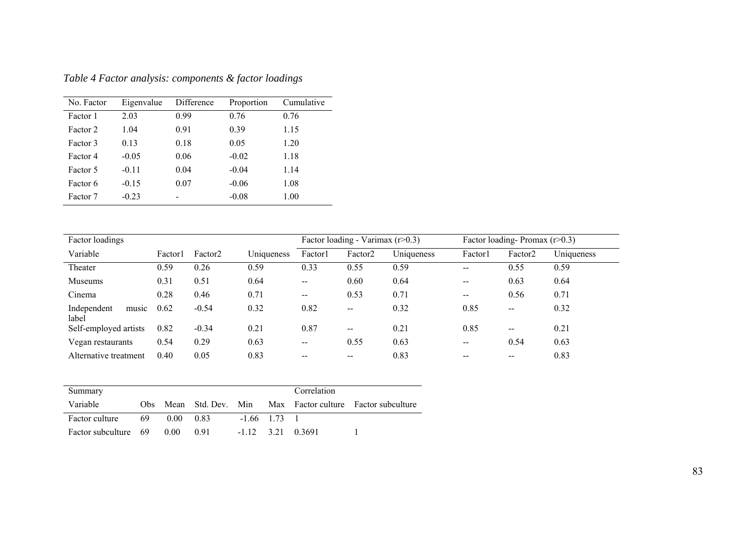*Table 4 Factor analysis: components & factor loadings* 

| No. Factor | Eigenvalue | Difference | Proportion | Cumulative |
|------------|------------|------------|------------|------------|
| Factor 1   | 2.03       | 0.99       | 0.76       | 0.76       |
| Factor 2   | 1.04       | 0.91       | 0.39       | 1.15       |
| Factor 3   | 0.13       | 0.18       | 0.05       | 1.20       |
| Factor 4   | $-0.05$    | 0.06       | $-0.02$    | 1.18       |
| Factor 5   | $-0.11$    | 0.04       | $-0.04$    | 1.14       |
| Factor 6   | $-0.15$    | 0.07       | $-0.06$    | 1.08       |
| Factor 7   | $-0.23$    |            | $-0.08$    | 1.00       |

| Factor loadings               |         |                     |            |                          | Factor loading - Varimax $(r>0.3)$    |            |         | Factor loading-Promax $(r>0.3)$       |            |  |
|-------------------------------|---------|---------------------|------------|--------------------------|---------------------------------------|------------|---------|---------------------------------------|------------|--|
| Variable                      | Factorl | Factor <sub>2</sub> | Uniqueness | Factor1                  | Factor <sub>2</sub>                   | Uniqueness | Factor1 | Factor <sub>2</sub>                   | Uniqueness |  |
| Theater                       | 0.59    | 0.26                | 0.59       | 0.33                     | 0.55                                  | 0.59       | --      | 0.55                                  | 0.59       |  |
| Museums                       | 0.31    | 0.51                | 0.64       | $\overline{\phantom{m}}$ | 0.60                                  | 0.64       | $- -$   | 0.63                                  | 0.64       |  |
| Cinema                        | 0.28    | 0.46                | 0.71       | $\overline{\phantom{m}}$ | 0.53                                  | 0.71       | --      | 0.56                                  | 0.71       |  |
| Independent<br>music<br>label | 0.62    | $-0.54$             | 0.32       | 0.82                     | $\hspace{0.05cm}$ – $\hspace{0.05cm}$ | 0.32       | 0.85    | $\overline{\phantom{a}}$              | 0.32       |  |
| Self-employed artists         | 0.82    | $-0.34$             | 0.21       | 0.87                     | $\overline{\phantom{m}}$              | 0.21       | 0.85    | $\overline{\phantom{a}}$              | 0.21       |  |
| Vegan restaurants             | 0.54    | 0.29                | 0.63       | $\overline{\phantom{m}}$ | 0.55                                  | 0.63       | $--$    | 0.54                                  | 0.63       |  |
| Alternative treatment         | 0.40    | 0.05                | 0.83       | --                       | --                                    | 0.83       |         | $\hspace{0.05cm}$ – $\hspace{0.05cm}$ | 0.83       |  |

| Summary                   |     |      |      |                  | Correlation         |                                                             |
|---------------------------|-----|------|------|------------------|---------------------|-------------------------------------------------------------|
| Variable                  |     |      |      |                  |                     | Obs Mean Std. Dev. Min Max Factor culture Factor subculture |
| Factor culture            | -69 | 0.00 | 0.83 | $-1.66$ $1.73$ 1 |                     |                                                             |
| Factor subculture 69 0.00 |     |      | 0.91 |                  | $-1.12$ 3.21 0.3691 |                                                             |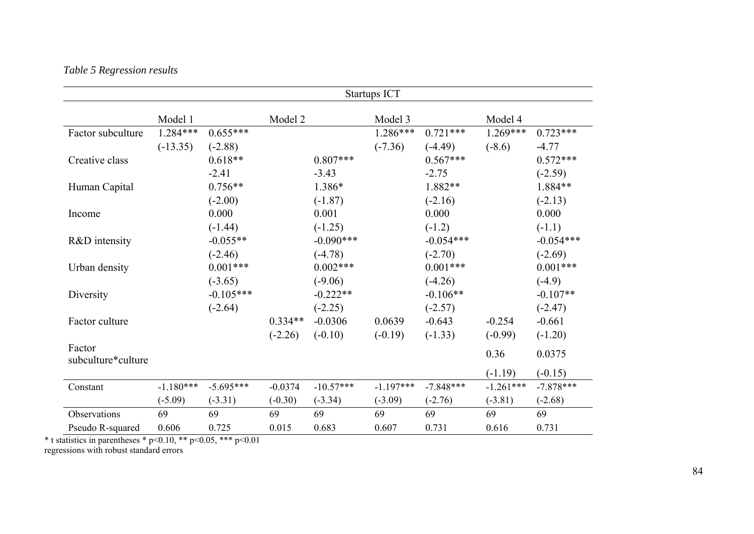### *Table 5 Regression results*

|                    | Startups ICT |             |           |             |             |             |             |             |  |  |
|--------------------|--------------|-------------|-----------|-------------|-------------|-------------|-------------|-------------|--|--|
|                    | Model 1      |             | Model 2   |             | Model 3     |             | Model 4     |             |  |  |
| Factor subculture  | $1.284***$   | $0.655***$  |           |             | $1.286***$  | $0.721***$  | $1.269***$  | $0.723***$  |  |  |
|                    | $(-13.35)$   | $(-2.88)$   |           |             | $(-7.36)$   | $(-4.49)$   | $(-8.6)$    | $-4.77$     |  |  |
| Creative class     |              | $0.618**$   |           | $0.807***$  |             | $0.567***$  |             | $0.572***$  |  |  |
|                    |              | $-2.41$     |           | $-3.43$     |             | $-2.75$     |             | $(-2.59)$   |  |  |
| Human Capital      |              | $0.756**$   |           | 1.386*      |             | 1.882**     |             | 1.884**     |  |  |
|                    |              | $(-2.00)$   |           | $(-1.87)$   |             | $(-2.16)$   |             | $(-2.13)$   |  |  |
| Income             |              | 0.000       |           | 0.001       |             | 0.000       |             | 0.000       |  |  |
|                    |              | $(-1.44)$   |           | $(-1.25)$   |             | $(-1.2)$    |             | $(-1.1)$    |  |  |
| R&D intensity      |              | $-0.055**$  |           | $-0.090***$ |             | $-0.054***$ |             | $-0.054***$ |  |  |
|                    |              | $(-2.46)$   |           | $(-4.78)$   |             | $(-2.70)$   |             | $(-2.69)$   |  |  |
| Urban density      |              | $0.001***$  |           | $0.002***$  |             | $0.001***$  |             | $0.001***$  |  |  |
|                    |              | $(-3.65)$   |           | $(-9.06)$   |             | $(-4.26)$   |             | $(-4.9)$    |  |  |
| Diversity          |              | $-0.105***$ |           | $-0.222**$  |             | $-0.106**$  |             | $-0.107**$  |  |  |
|                    |              | $(-2.64)$   |           | $(-2.25)$   |             | $(-2.57)$   |             | $(-2.47)$   |  |  |
| Factor culture     |              |             | $0.334**$ | $-0.0306$   | 0.0639      | $-0.643$    | $-0.254$    | $-0.661$    |  |  |
|                    |              |             | $(-2.26)$ | $(-0.10)$   | $(-0.19)$   | $(-1.33)$   | $(-0.99)$   | $(-1.20)$   |  |  |
| Factor             |              |             |           |             |             |             | 0.36        | 0.0375      |  |  |
| subculture*culture |              |             |           |             |             |             |             |             |  |  |
|                    |              |             |           |             |             |             | $(-1.19)$   | $(-0.15)$   |  |  |
| Constant           | $-1.180***$  | $-5.695***$ | $-0.0374$ | $-10.57***$ | $-1.197***$ | $-7.848***$ | $-1.261***$ | $-7.878***$ |  |  |
|                    | $(-5.09)$    | $(-3.31)$   | $(-0.30)$ | $(-3.34)$   | $(-3.09)$   | $(-2.76)$   | $(-3.81)$   | $(-2.68)$   |  |  |
| Observations       | 69           | 69          | 69        | 69          | 69          | 69          | 69          | 69          |  |  |
| Pseudo R-squared   | 0.606        | 0.725       | 0.015     | 0.683       | 0.607       | 0.731       | 0.616       | 0.731       |  |  |

\* t statistics in parentheses \*  $p<0.10$ , \*\*  $p<0.05$ , \*\*\*  $p<0.01$ 

regressions with robust standard errors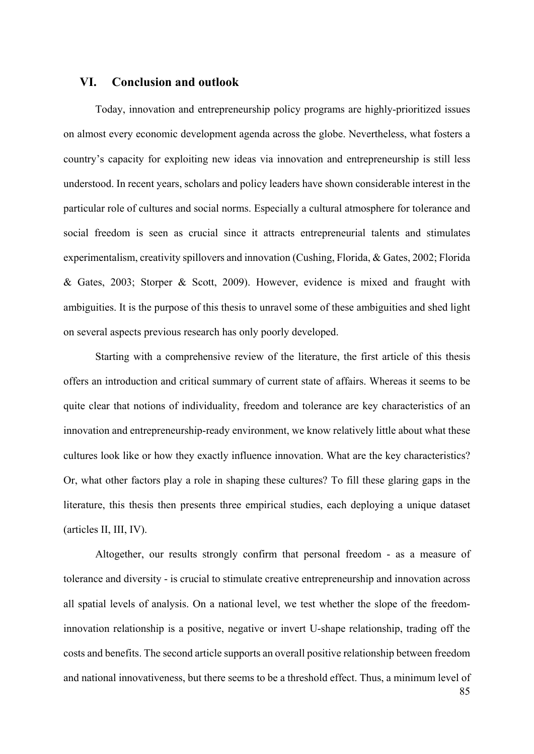#### **VI. Conclusion and outlook**

Today, innovation and entrepreneurship policy programs are highly-prioritized issues on almost every economic development agenda across the globe. Nevertheless, what fosters a country's capacity for exploiting new ideas via innovation and entrepreneurship is still less understood. In recent years, scholars and policy leaders have shown considerable interest in the particular role of cultures and social norms. Especially a cultural atmosphere for tolerance and social freedom is seen as crucial since it attracts entrepreneurial talents and stimulates experimentalism, creativity spillovers and innovation (Cushing, Florida, & Gates, 2002; Florida & Gates, 2003; Storper & Scott, 2009). However, evidence is mixed and fraught with ambiguities. It is the purpose of this thesis to unravel some of these ambiguities and shed light on several aspects previous research has only poorly developed.

Starting with a comprehensive review of the literature, the first article of this thesis offers an introduction and critical summary of current state of affairs. Whereas it seems to be quite clear that notions of individuality, freedom and tolerance are key characteristics of an innovation and entrepreneurship-ready environment, we know relatively little about what these cultures look like or how they exactly influence innovation. What are the key characteristics? Or, what other factors play a role in shaping these cultures? To fill these glaring gaps in the literature, this thesis then presents three empirical studies, each deploying a unique dataset (articles II, III, IV).

Altogether, our results strongly confirm that personal freedom - as a measure of tolerance and diversity - is crucial to stimulate creative entrepreneurship and innovation across all spatial levels of analysis. On a national level, we test whether the slope of the freedominnovation relationship is a positive, negative or invert U-shape relationship, trading off the costs and benefits. The second article supports an overall positive relationship between freedom and national innovativeness, but there seems to be a threshold effect. Thus, a minimum level of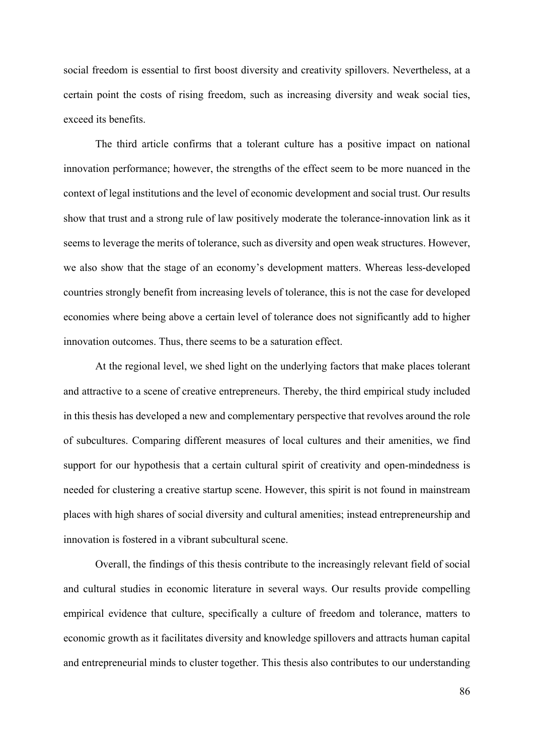social freedom is essential to first boost diversity and creativity spillovers. Nevertheless, at a certain point the costs of rising freedom, such as increasing diversity and weak social ties, exceed its benefits.

The third article confirms that a tolerant culture has a positive impact on national innovation performance; however, the strengths of the effect seem to be more nuanced in the context of legal institutions and the level of economic development and social trust. Our results show that trust and a strong rule of law positively moderate the tolerance-innovation link as it seems to leverage the merits of tolerance, such as diversity and open weak structures. However, we also show that the stage of an economy's development matters. Whereas less-developed countries strongly benefit from increasing levels of tolerance, this is not the case for developed economies where being above a certain level of tolerance does not significantly add to higher innovation outcomes. Thus, there seems to be a saturation effect.

At the regional level, we shed light on the underlying factors that make places tolerant and attractive to a scene of creative entrepreneurs. Thereby, the third empirical study included in this thesis has developed a new and complementary perspective that revolves around the role of subcultures. Comparing different measures of local cultures and their amenities, we find support for our hypothesis that a certain cultural spirit of creativity and open-mindedness is needed for clustering a creative startup scene. However, this spirit is not found in mainstream places with high shares of social diversity and cultural amenities; instead entrepreneurship and innovation is fostered in a vibrant subcultural scene.

Overall, the findings of this thesis contribute to the increasingly relevant field of social and cultural studies in economic literature in several ways. Our results provide compelling empirical evidence that culture, specifically a culture of freedom and tolerance, matters to economic growth as it facilitates diversity and knowledge spillovers and attracts human capital and entrepreneurial minds to cluster together. This thesis also contributes to our understanding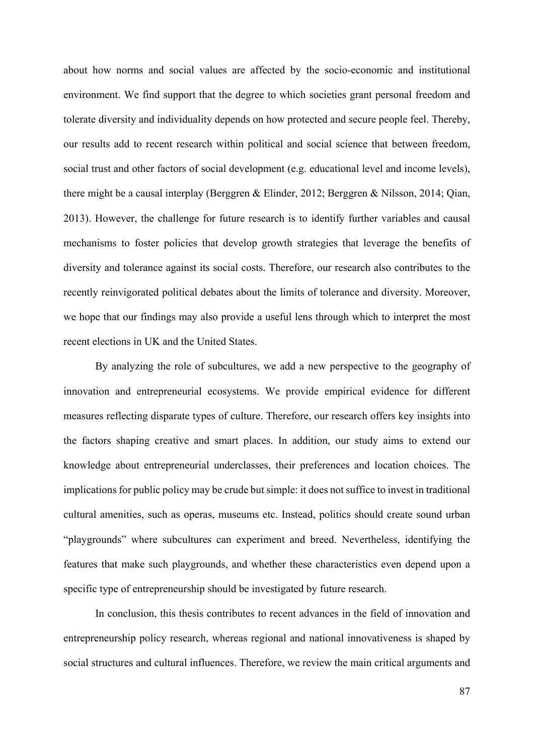about how norms and social values are affected by the socio-economic and institutional environment. We find support that the degree to which societies grant personal freedom and tolerate diversity and individuality depends on how protected and secure people feel. Thereby, our results add to recent research within political and social science that between freedom, social trust and other factors of social development (e.g. educational level and income levels), there might be a causal interplay (Berggren & Elinder, 2012; Berggren & Nilsson, 2014; Qian, 2013). However, the challenge for future research is to identify further variables and causal mechanisms to foster policies that develop growth strategies that leverage the benefits of diversity and tolerance against its social costs. Therefore, our research also contributes to the recently reinvigorated political debates about the limits of tolerance and diversity. Moreover, we hope that our findings may also provide a useful lens through which to interpret the most recent elections in UK and the United States.

By analyzing the role of subcultures, we add a new perspective to the geography of innovation and entrepreneurial ecosystems. We provide empirical evidence for different measures reflecting disparate types of culture. Therefore, our research offers key insights into the factors shaping creative and smart places. In addition, our study aims to extend our knowledge about entrepreneurial underclasses, their preferences and location choices. The implications for public policy may be crude but simple: it does not suffice to invest in traditional cultural amenities, such as operas, museums etc. Instead, politics should create sound urban "playgrounds" where subcultures can experiment and breed. Nevertheless, identifying the features that make such playgrounds, and whether these characteristics even depend upon a specific type of entrepreneurship should be investigated by future research.

In conclusion, this thesis contributes to recent advances in the field of innovation and entrepreneurship policy research, whereas regional and national innovativeness is shaped by social structures and cultural influences. Therefore, we review the main critical arguments and